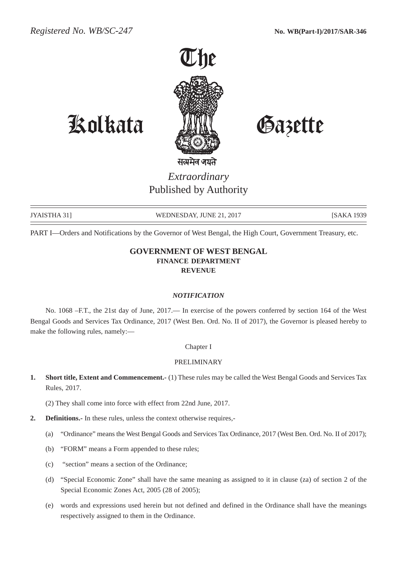

# Kolkata Gazette

*Extraordinary* Published by Authority

JYAISTHA 31] WEDNESDAY, JUNE 21, 2017 [SAKA 1939

PART I—Orders and Notifications by the Governor of West Bengal, the High Court, Government Treasury, etc.

# **GOVERNMENT OF WEST BENGAL FINANCE DEPARTMENT REVENUE**

#### *NOTIFICATION*

No. 1068 –F.T., the 21st day of June, 2017.— In exercise of the powers conferred by section 164 of the West Bengal Goods and Services Tax Ordinance, 2017 (West Ben. Ord. No. II of 2017), the Governor is pleased hereby to make the following rules, namely:—

#### Chapter I

#### PRELIMINARY

**1. Short title, Extent and Commencement.-** (1) These rules may be called the West Bengal Goods and Services Tax Rules, 2017.

(2) They shall come into force with effect from 22nd June, 2017.

- **2. Definitions.-** In these rules, unless the context otherwise requires,-
	- (a) "Ordinance" means the West Bengal Goods and Services Tax Ordinance, 2017 (West Ben. Ord. No. II of 2017);
	- (b) "FORM" means a Form appended to these rules;
	- (c) "section" means a section of the Ordinance;
	- (d) "Special Economic Zone" shall have the same meaning as assigned to it in clause (za) of section 2 of the Special Economic Zones Act, 2005 (28 of 2005);
	- (e) words and expressions used herein but not defined and defined in the Ordinance shall have the meanings respectively assigned to them in the Ordinance.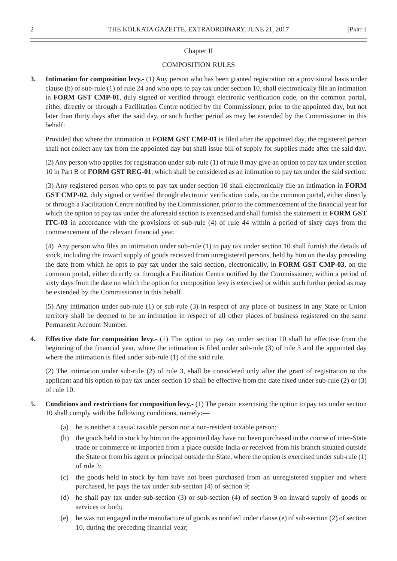#### Chapter II

#### COMPOSITION RULES

**3. Intimation for composition levy.-** (1) Any person who has been granted registration on a provisional basis under clause (b) of sub-rule (1) of rule 24 and who opts to pay tax under section 10, shall electronically file an intimation in **FORM GST CMP-01**, duly signed or verified through electronic verification code, on the common portal, either directly or through a Facilitation Centre notified by the Commissioner, prior to the appointed day, but not later than thirty days after the said day, or such further period as may be extended by the Commissioner in this behalf:

Provided that where the intimation in **FORM GST CMP-01** is filed after the appointed day, the registered person shall not collect any tax from the appointed day but shall issue bill of supply for supplies made after the said day.

(2) Any person who applies for registration under sub-rule (1) of rule 8 may give an option to pay tax under section 10 in Part B of **FORM GST REG-01**, which shall be considered as an intimation to pay tax under the said section.

(3) Any registered person who opts to pay tax under section 10 shall electronically file an intimation in **FORM GST CMP-02**, duly signed or verified through electronic verification code, on the common portal, either directly or through a Facilitation Centre notified by the Commissioner, prior to the commencement of the financial year for which the option to pay tax under the aforesaid section is exercised and shall furnish the statement in **FORM GST ITC-03** in accordance with the provisions of sub-rule (4) of rule 44 within a period of sixty days from the commencement of the relevant financial year.

(4) Any person who files an intimation under sub-rule (1) to pay tax under section 10 shall furnish the details of stock, including the inward supply of goods received from unregistered persons, held by him on the day preceding the date from which he opts to pay tax under the said section, electronically, in **FORM GST CMP-03**, on the common portal, either directly or through a Facilitation Centre notified by the Commissioner, within a period of sixty days from the date on which the option for composition levy is exercised or within such further period as may be extended by the Commissioner in this behalf.

(5) Any intimation under sub-rule (1) or sub-rule (3) in respect of any place of business in any State or Union territory shall be deemed to be an intimation in respect of all other places of business registered on the same Permanent Account Number.

**4. Effective date for composition levy.-** (1) The option to pay tax under section 10 shall be effective from the beginning of the financial year, where the intimation is filed under sub-rule (3) of rule 3 and the appointed day where the intimation is filed under sub-rule (1) of the said rule.

(2) The intimation under sub-rule (2) of rule 3, shall be considered only after the grant of registration to the applicant and his option to pay tax under section 10 shall be effective from the date fixed under sub-rule (2) or (3) of rule 10.

- **5. Conditions and restrictions for composition levy.-** (1) The person exercising the option to pay tax under section 10 shall comply with the following conditions, namely:—
	- (a) he is neither a casual taxable person nor a non-resident taxable person;
	- (b) the goods held in stock by him on the appointed day have not been purchased in the course of inter-State trade or commerce or imported from a place outside India or received from his branch situated outside the State or from his agent or principal outside the State, where the option is exercised under sub-rule (1) of rule 3;
	- (c) the goods held in stock by him have not been purchased from an unregistered supplier and where purchased, he pays the tax under sub-section (4) of section 9;
	- (d) he shall pay tax under sub-section (3) or sub-section (4) of section 9 on inward supply of goods or services or both;
	- (e) he was not engaged in the manufacture of goods as notified under clause (e) of sub-section (2) of section 10, during the preceding financial year;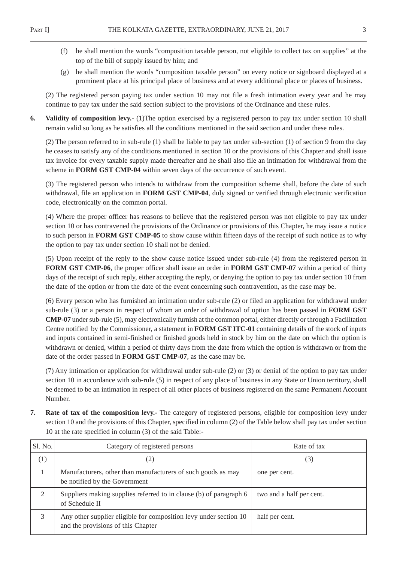- (f) he shall mention the words "composition taxable person, not eligible to collect tax on supplies" at the top of the bill of supply issued by him; and
- (g) he shall mention the words "composition taxable person" on every notice or signboard displayed at a prominent place at his principal place of business and at every additional place or places of business.

(2) The registered person paying tax under section 10 may not file a fresh intimation every year and he may continue to pay tax under the said section subject to the provisions of the Ordinance and these rules.

**6. Validity of composition levy.-** (1)The option exercised by a registered person to pay tax under section 10 shall remain valid so long as he satisfies all the conditions mentioned in the said section and under these rules.

(2) The person referred to in sub-rule (1) shall be liable to pay tax under sub-section (1) of section 9 from the day he ceases to satisfy any of the conditions mentioned in section 10 or the provisions of this Chapter and shall issue tax invoice for every taxable supply made thereafter and he shall also file an intimation for withdrawal from the scheme in **FORM GST CMP-04** within seven days of the occurrence of such event.

(3) The registered person who intends to withdraw from the composition scheme shall, before the date of such withdrawal, file an application in **FORM GST CMP-04**, duly signed or verified through electronic verification code, electronically on the common portal.

(4) Where the proper officer has reasons to believe that the registered person was not eligible to pay tax under section 10 or has contravened the provisions of the Ordinance or provisions of this Chapter, he may issue a notice to such person in **FORM GST CMP-05** to show cause within fifteen days of the receipt of such notice as to why the option to pay tax under section 10 shall not be denied.

(5) Upon receipt of the reply to the show cause notice issued under sub-rule (4) from the registered person in **FORM GST CMP-06**, the proper officer shall issue an order in **FORM GST CMP-07** within a period of thirty days of the receipt of such reply, either accepting the reply, or denying the option to pay tax under section 10 from the date of the option or from the date of the event concerning such contravention, as the case may be.

(6) Every person who has furnished an intimation under sub-rule (2) or filed an application for withdrawal under sub-rule (3) or a person in respect of whom an order of withdrawal of option has been passed in **FORM GST CMP-07** under sub-rule (5), may electronically furnish at the common portal, either directly or through a Facilitation Centre notified by the Commissioner, a statement in **FORM GST ITC-01** containing details of the stock of inputs and inputs contained in semi-finished or finished goods held in stock by him on the date on which the option is withdrawn or denied, within a period of thirty days from the date from which the option is withdrawn or from the date of the order passed in **FORM GST CMP-07**, as the case may be.

(7) Any intimation or application for withdrawal under sub-rule (2) or (3) or denial of the option to pay tax under section 10 in accordance with sub-rule (5) in respect of any place of business in any State or Union territory, shall be deemed to be an intimation in respect of all other places of business registered on the same Permanent Account Number.

**7. Rate of tax of the composition levy.-** The category of registered persons, eligible for composition levy under section 10 and the provisions of this Chapter, specified in column (2) of the Table below shall pay tax under section 10 at the rate specified in column (3) of the said Table:-

| Sl. No. | Category of registered persons                                                                          | Rate of tax              |
|---------|---------------------------------------------------------------------------------------------------------|--------------------------|
| (1)     | (2)                                                                                                     | (3)                      |
|         | Manufacturers, other than manufacturers of such goods as may<br>be notified by the Government           | one per cent.            |
|         | Suppliers making supplies referred to in clause (b) of paragraph 6<br>of Schedule II                    | two and a half per cent. |
|         | Any other supplier eligible for composition levy under section 10<br>and the provisions of this Chapter | half per cent.           |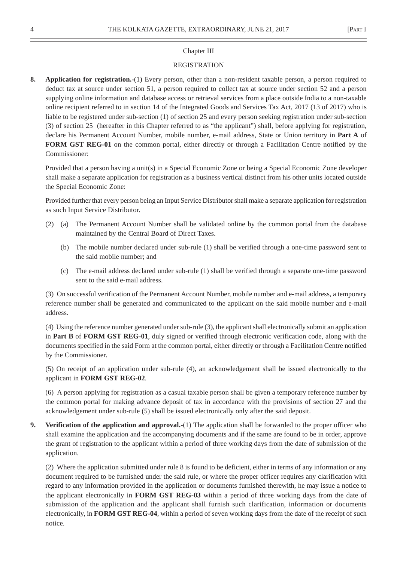#### Chapter III

#### **REGISTRATION**

**8. Application for registration.-**(1) Every person, other than a non-resident taxable person, a person required to deduct tax at source under section 51, a person required to collect tax at source under section 52 and a person supplying online information and database access or retrieval services from a place outside India to a non-taxable online recipient referred to in section 14 of the Integrated Goods and Services Tax Act, 2017 (13 of 2017) who is liable to be registered under sub-section (1) of section 25 and every person seeking registration under sub-section (3) of section 25 (hereafter in this Chapter referred to as "the applicant") shall, before applying for registration, declare his Permanent Account Number, mobile number, e-mail address, State or Union territory in **Part A** of **FORM GST REG-01** on the common portal, either directly or through a Facilitation Centre notified by the Commissioner:

Provided that a person having a unit(s) in a Special Economic Zone or being a Special Economic Zone developer shall make a separate application for registration as a business vertical distinct from his other units located outside the Special Economic Zone:

Provided further that every person being an Input Service Distributor shall make a separate application for registration as such Input Service Distributor.

- (2) (a) The Permanent Account Number shall be validated online by the common portal from the database maintained by the Central Board of Direct Taxes.
	- (b) The mobile number declared under sub-rule (1) shall be verified through a one-time password sent to the said mobile number; and
	- (c) The e-mail address declared under sub-rule (1) shall be verified through a separate one-time password sent to the said e-mail address.

(3) On successful verification of the Permanent Account Number, mobile number and e-mail address, a temporary reference number shall be generated and communicated to the applicant on the said mobile number and e-mail address.

(4) Using the reference number generated under sub-rule (3), the applicant shall electronically submit an application in **Part B** of **FORM GST REG-01**, duly signed or verified through electronic verification code, along with the documents specified in the said Form at the common portal, either directly or through a Facilitation Centre notified by the Commissioner.

(5) On receipt of an application under sub-rule (4), an acknowledgement shall be issued electronically to the applicant in **FORM GST REG-02**.

(6) A person applying for registration as a casual taxable person shall be given a temporary reference number by the common portal for making advance deposit of tax in accordance with the provisions of section 27 and the acknowledgement under sub-rule (5) shall be issued electronically only after the said deposit.

**9. Verification of the application and approval.-**(1) The application shall be forwarded to the proper officer who shall examine the application and the accompanying documents and if the same are found to be in order, approve the grant of registration to the applicant within a period of three working days from the date of submission of the application.

(2) Where the application submitted under rule 8 is found to be deficient, either in terms of any information or any document required to be furnished under the said rule, or where the proper officer requires any clarification with regard to any information provided in the application or documents furnished therewith, he may issue a notice to the applicant electronically in **FORM GST REG-03** within a period of three working days from the date of submission of the application and the applicant shall furnish such clarification, information or documents electronically, in **FORM GST REG-04**, within a period of seven working days from the date of the receipt of such notice.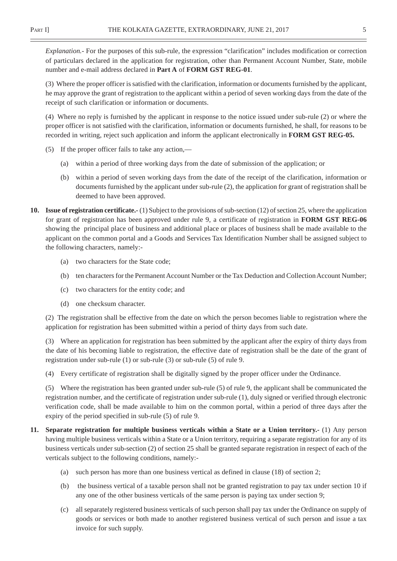*Explanation.-* For the purposes of this sub-rule, the expression "clarification" includes modification or correction of particulars declared in the application for registration, other than Permanent Account Number, State, mobile number and e-mail address declared in **Part A** of **FORM GST REG-01**.

(3) Where the proper officer is satisfied with the clarification, information or documents furnished by the applicant, he may approve the grant of registration to the applicant within a period of seven working days from the date of the receipt of such clarification or information or documents.

(4) Where no reply is furnished by the applicant in response to the notice issued under sub-rule (2) or where the proper officer is not satisfied with the clarification, information or documents furnished, he shall, for reasons to be recorded in writing, reject such application and inform the applicant electronically in **FORM GST REG-05.**

- (5) If the proper officer fails to take any action,—
	- (a) within a period of three working days from the date of submission of the application; or
	- (b) within a period of seven working days from the date of the receipt of the clarification, information or documents furnished by the applicant under sub-rule (2), the application for grant of registration shall be deemed to have been approved.
- **10. Issue of registration certificate.-** (1) Subject to the provisions of sub-section (12) of section 25, where the application for grant of registration has been approved under rule 9, a certificate of registration in **FORM GST REG-06** showing the principal place of business and additional place or places of business shall be made available to the applicant on the common portal and a Goods and Services Tax Identification Number shall be assigned subject to the following characters, namely:-
	- (a) two characters for the State code;
	- (b) ten characters for the Permanent Account Number or the Tax Deduction and Collection Account Number;
	- (c) two characters for the entity code; and
	- (d) one checksum character.

(2) The registration shall be effective from the date on which the person becomes liable to registration where the application for registration has been submitted within a period of thirty days from such date.

(3) Where an application for registration has been submitted by the applicant after the expiry of thirty days from the date of his becoming liable to registration, the effective date of registration shall be the date of the grant of registration under sub-rule (1) or sub-rule (3) or sub-rule (5) of rule 9.

(4) Every certificate of registration shall be digitally signed by the proper officer under the Ordinance.

(5) Where the registration has been granted under sub-rule (5) of rule 9, the applicant shall be communicated the registration number, and the certificate of registration under sub-rule (1), duly signed or verified through electronic verification code, shall be made available to him on the common portal, within a period of three days after the expiry of the period specified in sub-rule (5) of rule 9.

- **11.** Separate registration for multiple business verticals within a State or a Union territory.- (1) Any person having multiple business verticals within a State or a Union territory, requiring a separate registration for any of its business verticals under sub-section (2) of section 25 shall be granted separate registration in respect of each of the verticals subject to the following conditions, namely:-
	- (a) such person has more than one business vertical as defined in clause (18) of section 2;
	- (b) the business vertical of a taxable person shall not be granted registration to pay tax under section 10 if any one of the other business verticals of the same person is paying tax under section 9;
	- (c) all separately registered business verticals of such person shall pay tax under the Ordinance on supply of goods or services or both made to another registered business vertical of such person and issue a tax invoice for such supply.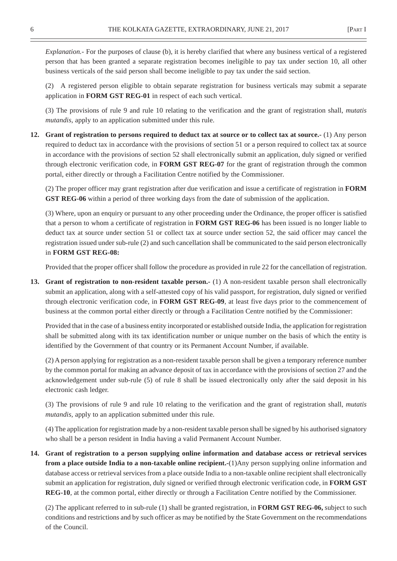*Explanation.-* For the purposes of clause (b), it is hereby clarified that where any business vertical of a registered person that has been granted a separate registration becomes ineligible to pay tax under section 10, all other business verticals of the said person shall become ineligible to pay tax under the said section.

(2) A registered person eligible to obtain separate registration for business verticals may submit a separate application in **FORM GST REG-01** in respect of each such vertical.

(3) The provisions of rule 9 and rule 10 relating to the verification and the grant of registration shall, *mutatis mutandis,* apply to an application submitted under this rule.

**12. Grant of registration to persons required to deduct tax at source or to collect tax at source.-** (1) Any person required to deduct tax in accordance with the provisions of section 51 or a person required to collect tax at source in accordance with the provisions of section 52 shall electronically submit an application, duly signed or verified through electronic verification code, in **FORM GST REG-07** for the grant of registration through the common portal, either directly or through a Facilitation Centre notified by the Commissioner.

(2) The proper officer may grant registration after due verification and issue a certificate of registration in **FORM GST REG-06** within a period of three working days from the date of submission of the application.

(3) Where, upon an enquiry or pursuant to any other proceeding under the Ordinance, the proper officer is satisfied that a person to whom a certificate of registration in **FORM GST REG-06** has been issued is no longer liable to deduct tax at source under section 51 or collect tax at source under section 52, the said officer may cancel the registration issued under sub-rule (2) and such cancellation shall be communicated to the said person electronically in **FORM GST REG-08:**

Provided that the proper officer shall follow the procedure as provided in rule 22 for the cancellation of registration.

**13. Grant of registration to non-resident taxable person.-** (1) A non-resident taxable person shall electronically submit an application, along with a self-attested copy of his valid passport, for registration, duly signed or verified through electronic verification code, in **FORM GST REG-09**, at least five days prior to the commencement of business at the common portal either directly or through a Facilitation Centre notified by the Commissioner:

Provided that in the case of a business entity incorporated or established outside India, the application for registration shall be submitted along with its tax identification number or unique number on the basis of which the entity is identified by the Government of that country or its Permanent Account Number, if available.

(2) A person applying for registration as a non-resident taxable person shall be given a temporary reference number by the common portal for making an advance deposit of tax in accordance with the provisions of section 27 and the acknowledgement under sub-rule (5) of rule 8 shall be issued electronically only after the said deposit in his electronic cash ledger.

(3) The provisions of rule 9 and rule 10 relating to the verification and the grant of registration shall, *mutatis mutandis,* apply to an application submitted under this rule.

(4) The application for registration made by a non-resident taxable person shall be signed by his authorised signatory who shall be a person resident in India having a valid Permanent Account Number.

**14. Grant of registration to a person supplying online information and database access or retrieval services from a place outside India to a non-taxable online recipient.**-(1)Any person supplying online information and database access or retrieval services from a place outside India to a non-taxable online recipient shall electronically submit an application for registration, duly signed or verified through electronic verification code, in **FORM GST REG-10**, at the common portal, either directly or through a Facilitation Centre notified by the Commissioner.

(2) The applicant referred to in sub-rule (1) shall be granted registration, in **FORM GST REG-06,** subject to such conditions and restrictions and by such officer as may be notified by the State Government on the recommendations of the Council.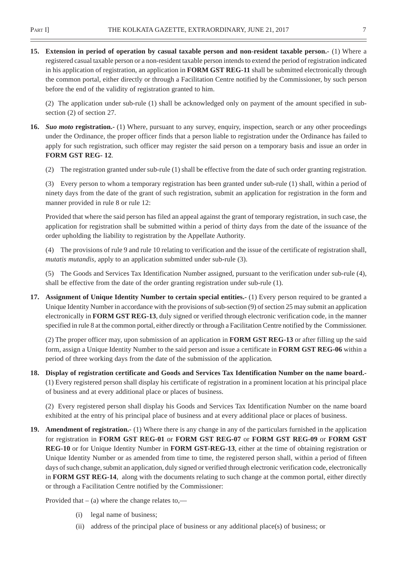**15. Extension in period of operation by casual taxable person and non-resident taxable person.-** (1) Where a registered casual taxable person or a non-resident taxable person intends to extend the period of registration indicated in his application of registration, an application in **FORM GST REG-11** shall be submitted electronically through the common portal, either directly or through a Facilitation Centre notified by the Commissioner, by such person before the end of the validity of registration granted to him.

(2) The application under sub-rule (1) shall be acknowledged only on payment of the amount specified in subsection (2) of section 27.

- **16.** *Suo moto* **registration.-** (1) Where, pursuant to any survey, enquiry, inspection, search or any other proceedings under the Ordinance, the proper officer finds that a person liable to registration under the Ordinance has failed to apply for such registration, such officer may register the said person on a temporary basis and issue an order in **FORM GST REG- 12**.
	- (2) The registration granted under sub-rule (1) shall be effective from the date of such order granting registration.

(3) Every person to whom a temporary registration has been granted under sub-rule (1) shall, within a period of ninety days from the date of the grant of such registration, submit an application for registration in the form and manner provided in rule 8 or rule 12:

Provided that where the said person has filed an appeal against the grant of temporary registration, in such case, the application for registration shall be submitted within a period of thirty days from the date of the issuance of the order upholding the liability to registration by the Appellate Authority.

(4) The provisions of rule 9 and rule 10 relating to verification and the issue of the certificate of registration shall, *mutatis mutandis,* apply to an application submitted under sub-rule (3).

(5) The Goods and Services Tax Identification Number assigned, pursuant to the verification under sub-rule (4), shall be effective from the date of the order granting registration under sub-rule (1).

**17. Assignment of Unique Identity Number to certain special entities.-** (1) Every person required to be granted a Unique Identity Number in accordance with the provisions of sub-section (9) of section 25 may submit an application electronically in **FORM GST REG-13**, duly signed or verified through electronic verification code, in the manner specified in rule 8 at the common portal, either directly or through a Facilitation Centre notified by the Commissioner.

(2) The proper officer may, upon submission of an application in **FORM GST REG-13** or after filling up the said form, assign a Unique Identity Number to the said person and issue a certificate in **FORM GST REG-06** within a period of three working days from the date of the submission of the application*.*

**18. Display of registration certificate and Goods and Services Tax Identification Number on the name board.-** (1) Every registered person shall display his certificate of registration in a prominent location at his principal place of business and at every additional place or places of business.

(2) Every registered person shall display his Goods and Services Tax Identification Number on the name board exhibited at the entry of his principal place of business and at every additional place or places of business.

**19. Amendment of registration.-** (1) Where there is any change in any of the particulars furnished in the application for registration in **FORM GST REG-01** or **FORM GST REG-07** or **FORM GST REG-09** or **FORM GST REG-10** or for Unique Identity Number in **FORM GST-REG-13**, either at the time of obtaining registration or Unique Identity Number or as amended from time to time, the registered person shall, within a period of fifteen days of such change, submit an application, duly signed or verified through electronic verification code, electronically in **FORM GST REG-14**, along with the documents relating to such change at the common portal, either directly or through a Facilitation Centre notified by the Commissioner:

Provided that  $-$  (a) where the change relates to,—

- (i) legal name of business;
- (ii) address of the principal place of business or any additional place(s) of business; or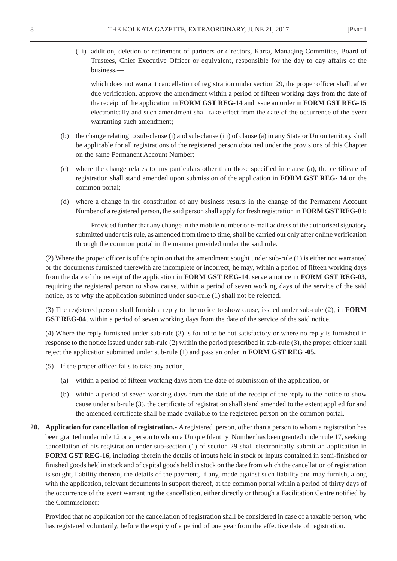(iii) addition, deletion or retirement of partners or directors, Karta, Managing Committee, Board of Trustees, Chief Executive Officer or equivalent, responsible for the day to day affairs of the business,—

which does not warrant cancellation of registration under section 29, the proper officer shall, after due verification, approve the amendment within a period of fifteen working days from the date of the receipt of the application in **FORM GST REG-14** and issue an order in **FORM GST REG-15** electronically and such amendment shall take effect from the date of the occurrence of the event warranting such amendment;

- (b) the change relating to sub-clause (i) and sub-clause (iii) of clause (a) in any State or Union territory shall be applicable for all registrations of the registered person obtained under the provisions of this Chapter on the same Permanent Account Number;
- (c) where the change relates to any particulars other than those specified in clause (a), the certificate of registration shall stand amended upon submission of the application in **FORM GST REG- 14** on the common portal;
- (d) where a change in the constitution of any business results in the change of the Permanent Account Number of a registered person, the said person shall apply for fresh registration in **FORM GST REG-01**:

Provided further that any change in the mobile number or e-mail address of the authorised signatory submitted under this rule, as amended from time to time, shall be carried out only after online verification through the common portal in the manner provided under the said rule.

(2) Where the proper officer is of the opinion that the amendment sought under sub-rule (1) is either not warranted or the documents furnished therewith are incomplete or incorrect, he may, within a period of fifteen working days from the date of the receipt of the application in **FORM GST REG-14**, serve a notice in **FORM GST REG-03,** requiring the registered person to show cause, within a period of seven working days of the service of the said notice, as to why the application submitted under sub-rule (1) shall not be rejected.

(3) The registered person shall furnish a reply to the notice to show cause, issued under sub-rule (2), in **FORM GST REG-04**, within a period of seven working days from the date of the service of the said notice.

(4) Where the reply furnished under sub-rule (3) is found to be not satisfactory or where no reply is furnished in response to the notice issued under sub-rule (2) within the period prescribed in sub-rule (3), the proper officer shall reject the application submitted under sub-rule (1) and pass an order in **FORM GST REG -05***.*

- (5) If the proper officer fails to take any action,—
	- (a) within a period of fifteen working days from the date of submission of the application, or
	- (b) within a period of seven working days from the date of the receipt of the reply to the notice to show cause under sub-rule (3), the certificate of registration shall stand amended to the extent applied for and the amended certificate shall be made available to the registered person on the common portal.
- **20. Application for cancellation of registration.-** A registered person, other than a person to whom a registration has been granted under rule 12 or a person to whom a Unique Identity Number has been granted under rule 17, seeking cancellation of his registration under sub-section (1) of section 29 shall electronically submit an application in FORM GST REG-16, including therein the details of inputs held in stock or inputs contained in semi-finished or finished goods held in stock and of capital goods held in stock on the date from which the cancellation of registration is sought, liability thereon, the details of the payment, if any, made against such liability and may furnish, along with the application, relevant documents in support thereof, at the common portal within a period of thirty days of the occurrence of the event warranting the cancellation, either directly or through a Facilitation Centre notified by the Commissioner:

Provided that no application for the cancellation of registration shall be considered in case of a taxable person, who has registered voluntarily, before the expiry of a period of one year from the effective date of registration.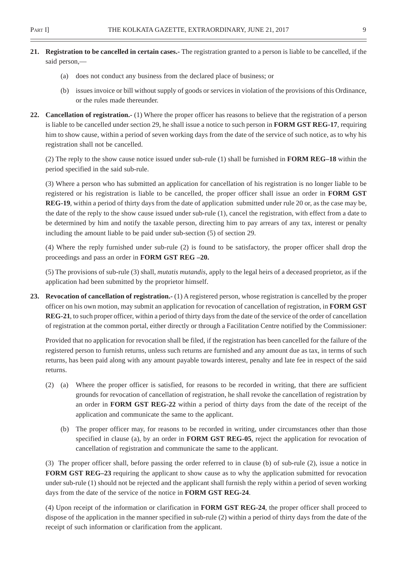- **21. Registration to be cancelled in certain cases.-** The registration granted to a person is liable to be cancelled, if the said person,—
	- (a) does not conduct any business from the declared place of business; or
	- (b) issues invoice or bill without supply of goods or services in violation of the provisions of this Ordinance, or the rules made thereunder.
- **22. Cancellation of registration.-** (1) Where the proper officer has reasons to believe that the registration of a person is liable to be cancelled under section 29, he shall issue a notice to such person in **FORM GST REG-17**, requiring him to show cause, within a period of seven working days from the date of the service of such notice, as to why his registration shall not be cancelled.

(2) The reply to the show cause notice issued under sub-rule (1) shall be furnished in **FORM REG–18** within the period specified in the said sub-rule.

(3) Where a person who has submitted an application for cancellation of his registration is no longer liable to be registered or his registration is liable to be cancelled, the proper officer shall issue an order in **FORM GST REG-19**, within a period of thirty days from the date of application submitted under rule 20 or, as the case may be, the date of the reply to the show cause issued under sub-rule (1), cancel the registration, with effect from a date to be determined by him and notify the taxable person, directing him to pay arrears of any tax, interest or penalty including the amount liable to be paid under sub-section (5) of section 29.

(4) Where the reply furnished under sub-rule (2) is found to be satisfactory, the proper officer shall drop the proceedings and pass an order in **FORM GST REG –20.**

(5) The provisions of sub-rule (3) shall, *mutatis mutandis,* apply to the legal heirs of a deceased proprietor, as if the application had been submitted by the proprietor himself.

**23. Revocation of cancellation of registration.-** (1) A registered person, whose registration is cancelled by the proper officer on his own motion, may submit an application for revocation of cancellation of registration, in **FORM GST REG-21**, to such proper officer, within a period of thirty days from the date of the service of the order of cancellation of registration at the common portal, either directly or through a Facilitation Centre notified by the Commissioner:

Provided that no application for revocation shall be filed, if the registration has been cancelled for the failure of the registered person to furnish returns, unless such returns are furnished and any amount due as tax, in terms of such returns, has been paid along with any amount payable towards interest, penalty and late fee in respect of the said returns.

- (2) (a) Where the proper officer is satisfied, for reasons to be recorded in writing, that there are sufficient grounds for revocation of cancellation of registration, he shall revoke the cancellation of registration by an order in **FORM GST REG-22** within a period of thirty days from the date of the receipt of the application and communicate the same to the applicant.
	- (b) The proper officer may, for reasons to be recorded in writing, under circumstances other than those specified in clause (a), by an order in **FORM GST REG-05**, reject the application for revocation of cancellation of registration and communicate the same to the applicant.

(3) The proper officer shall, before passing the order referred to in clause (b) of sub-rule (2), issue a notice in **FORM GST REG–23** requiring the applicant to show cause as to why the application submitted for revocation under sub-rule (1) should not be rejected and the applicant shall furnish the reply within a period of seven working days from the date of the service of the notice in **FORM GST REG-24**.

(4) Upon receipt of the information or clarification in **FORM GST REG-24**, the proper officer shall proceed to dispose of the application in the manner specified in sub-rule (2) within a period of thirty days from the date of the receipt of such information or clarification from the applicant.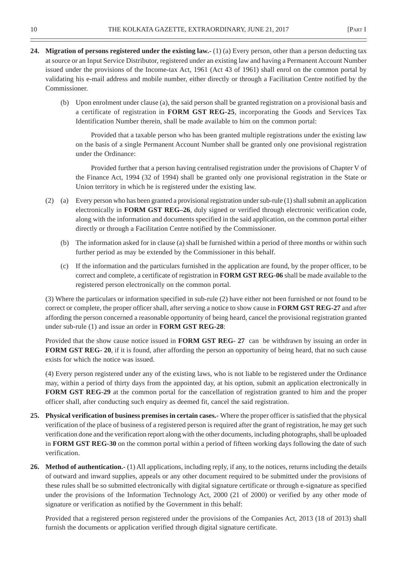- **24. Migration of persons registered under the existing law.-** (1) (a) Every person, other than a person deducting tax at source or an Input Service Distributor, registered under an existing law and having a Permanent Account Number issued under the provisions of the Income-tax Act, 1961 (Act 43 of 1961) shall enrol on the common portal by validating his e-mail address and mobile number, either directly or through a Facilitation Centre notified by the Commissioner.
	- (b) Upon enrolment under clause (a), the said person shall be granted registration on a provisional basis and a certificate of registration in **FORM GST REG-25**, incorporating the Goods and Services Tax Identification Number therein, shall be made available to him on the common portal:

Provided that a taxable person who has been granted multiple registrations under the existing law on the basis of a single Permanent Account Number shall be granted only one provisional registration under the Ordinance:

Provided further that a person having centralised registration under the provisions of Chapter V of the Finance Act, 1994 (32 of 1994) shall be granted only one provisional registration in the State or Union territory in which he is registered under the existing law.

- (2) (a) Every person who has been granted a provisional registration under sub-rule (1) shall submit an application electronically in **FORM GST REG–26**, duly signed or verified through electronic verification code, along with the information and documents specified in the said application, on the common portal either directly or through a Facilitation Centre notified by the Commissioner.
	- (b) The information asked for in clause (a) shall be furnished within a period of three months or within such further period as may be extended by the Commissioner in this behalf.
	- (c) If the information and the particulars furnished in the application are found, by the proper officer, to be correct and complete, a certificate of registration in **FORM GST REG-06** shall be made available to the registered person electronically on the common portal.

(3) Where the particulars or information specified in sub-rule (2) have either not been furnished or not found to be correct or complete, the proper officer shall, after serving a notice to show cause in **FORM GST REG-27** and after affording the person concerned a reasonable opportunity of being heard, cancel the provisional registration granted under sub-rule (1) and issue an order in **FORM GST REG-28**:

Provided that the show cause notice issued in **FORM GST REG- 27** can be withdrawn by issuing an order in **FORM GST REG- 20**, if it is found, after affording the person an opportunity of being heard, that no such cause exists for which the notice was issued.

(4) Every person registered under any of the existing laws, who is not liable to be registered under the Ordinance may, within a period of thirty days from the appointed day, at his option, submit an application electronically in **FORM GST REG-29** at the common portal for the cancellation of registration granted to him and the proper officer shall, after conducting such enquiry as deemed fit, cancel the said registration.

- **25. Physical verification of business premises in certain cases.-** Where the proper officer is satisfied that the physical verification of the place of business of a registered person is required after the grant of registration, he may get such verification done and the verification report along with the other documents, including photographs, shall be uploaded in **FORM GST REG-30** on the common portal within a period of fifteen working days following the date of such verification.
- **26. Method of authentication.-** (1) All applications, including reply, if any, to the notices, returns including the details of outward and inward supplies, appeals or any other document required to be submitted under the provisions of these rules shall be so submitted electronically with digital signature certificate or through e-signature as specified under the provisions of the Information Technology Act, 2000 (21 of 2000) or verified by any other mode of signature or verification as notified by the Government in this behalf:

Provided that a registered person registered under the provisions of the Companies Act, 2013 (18 of 2013) shall furnish the documents or application verified through digital signature certificate.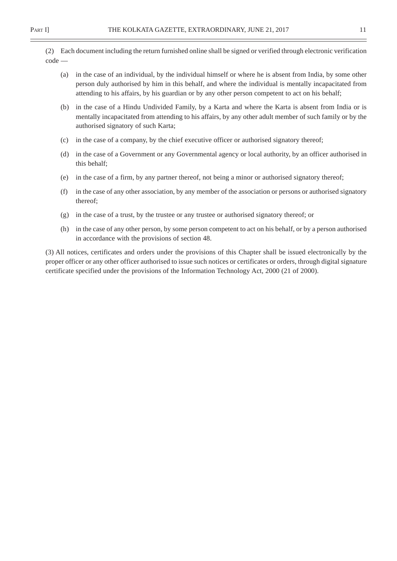(2) Each document including the return furnished online shall be signed or verified through electronic verification code —

- (a) in the case of an individual, by the individual himself or where he is absent from India, by some other person duly authorised by him in this behalf, and where the individual is mentally incapacitated from attending to his affairs, by his guardian or by any other person competent to act on his behalf;
- (b) in the case of a Hindu Undivided Family, by a Karta and where the Karta is absent from India or is mentally incapacitated from attending to his affairs, by any other adult member of such family or by the authorised signatory of such Karta;
- (c) in the case of a company, by the chief executive officer or authorised signatory thereof;
- (d) in the case of a Government or any Governmental agency or local authority, by an officer authorised in this behalf;
- (e) in the case of a firm, by any partner thereof, not being a minor or authorised signatory thereof;
- (f) in the case of any other association, by any member of the association or persons or authorised signatory thereof;
- (g) in the case of a trust, by the trustee or any trustee or authorised signatory thereof; or
- (h) in the case of any other person, by some person competent to act on his behalf, or by a person authorised in accordance with the provisions of section 48.

(3) All notices, certificates and orders under the provisions of this Chapter shall be issued electronically by the proper officer or any other officer authorised to issue such notices or certificates or orders, through digital signature certificate specified under the provisions of the Information Technology Act, 2000 (21 of 2000).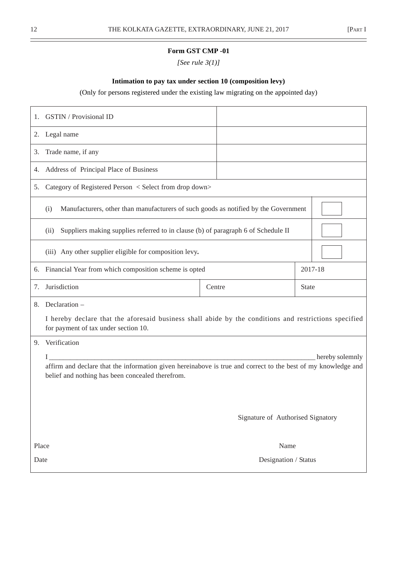# **Form GST CMP -01**

*[See rule 3(1)]*

# **Intimation to pay tax under section 10 (composition levy)**

# (Only for persons registered under the existing law migrating on the appointed day)

| 1.    | <b>GSTIN</b> / Provisional ID                                                                                                                                                        |        |                                   |  |              |  |  |  |  |
|-------|--------------------------------------------------------------------------------------------------------------------------------------------------------------------------------------|--------|-----------------------------------|--|--------------|--|--|--|--|
|       | 2. Legal name                                                                                                                                                                        |        |                                   |  |              |  |  |  |  |
| 3.    | Trade name, if any                                                                                                                                                                   |        |                                   |  |              |  |  |  |  |
| 4.    | Address of Principal Place of Business                                                                                                                                               |        |                                   |  |              |  |  |  |  |
| 5.    | Category of Registered Person < Select from drop down>                                                                                                                               |        |                                   |  |              |  |  |  |  |
|       | Manufacturers, other than manufacturers of such goods as notified by the Government<br>(i)                                                                                           |        |                                   |  |              |  |  |  |  |
|       | Suppliers making supplies referred to in clause (b) of paragraph 6 of Schedule II<br>(ii)                                                                                            |        |                                   |  |              |  |  |  |  |
|       | (iii) Any other supplier eligible for composition levy.                                                                                                                              |        |                                   |  |              |  |  |  |  |
|       | 6. Financial Year from which composition scheme is opted                                                                                                                             |        |                                   |  | 2017-18      |  |  |  |  |
| 7.    | Jurisdiction                                                                                                                                                                         | Centre |                                   |  | <b>State</b> |  |  |  |  |
| 8.    | Declaration -<br>I hereby declare that the aforesaid business shall abide by the conditions and restrictions specified<br>for payment of tax under section 10.                       |        |                                   |  |              |  |  |  |  |
| 9.    | Verification                                                                                                                                                                         |        |                                   |  |              |  |  |  |  |
|       | hereby solemnly<br>affirm and declare that the information given hereinabove is true and correct to the best of my knowledge and<br>belief and nothing has been concealed therefrom. |        |                                   |  |              |  |  |  |  |
|       |                                                                                                                                                                                      |        | Signature of Authorised Signatory |  |              |  |  |  |  |
| Place |                                                                                                                                                                                      |        | Name                              |  |              |  |  |  |  |
| Date  |                                                                                                                                                                                      |        | Designation / Status              |  |              |  |  |  |  |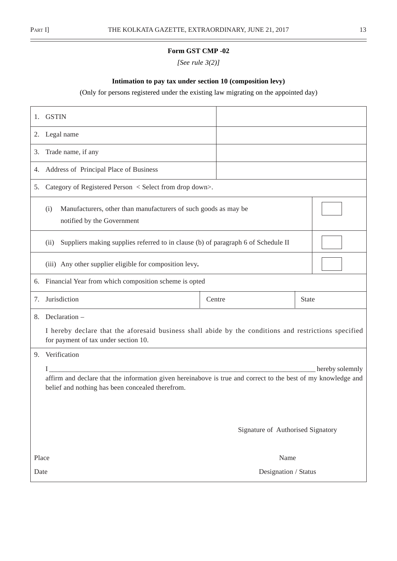$\overline{\phantom{0}}$ 

# **Form GST CMP -02**

*[See rule 3(2)]*

# **Intimation to pay tax under section 10 (composition levy)**

# (Only for persons registered under the existing law migrating on the appointed day)

| 1.   | <b>GSTIN</b>                                                                                                                                                      |                                   |                 |
|------|-------------------------------------------------------------------------------------------------------------------------------------------------------------------|-----------------------------------|-----------------|
| 2.   | Legal name                                                                                                                                                        |                                   |                 |
| 3.   | Trade name, if any                                                                                                                                                |                                   |                 |
| 4.   | Address of Principal Place of Business                                                                                                                            |                                   |                 |
| 5.   | Category of Registered Person < Select from drop down>.                                                                                                           |                                   |                 |
|      | Manufacturers, other than manufacturers of such goods as may be<br>(i)<br>notified by the Government                                                              |                                   |                 |
|      | Suppliers making supplies referred to in clause (b) of paragraph 6 of Schedule II<br>(ii)                                                                         |                                   |                 |
|      | (iii) Any other supplier eligible for composition levy.                                                                                                           |                                   |                 |
|      | 6. Financial Year from which composition scheme is opted                                                                                                          |                                   |                 |
| 7.   | Jurisdiction                                                                                                                                                      | Centre                            | <b>State</b>    |
| 8.   | Declaration -                                                                                                                                                     |                                   |                 |
|      | I hereby declare that the aforesaid business shall abide by the conditions and restrictions specified<br>for payment of tax under section 10.                     |                                   |                 |
| 9.   | Verification                                                                                                                                                      |                                   |                 |
|      | I                                                                                                                                                                 |                                   | hereby solemnly |
|      | affirm and declare that the information given hereinabove is true and correct to the best of my knowledge and<br>belief and nothing has been concealed therefrom. |                                   |                 |
|      |                                                                                                                                                                   |                                   |                 |
|      |                                                                                                                                                                   | Signature of Authorised Signatory |                 |
|      | Place                                                                                                                                                             | Name                              |                 |
| Date |                                                                                                                                                                   | Designation / Status              |                 |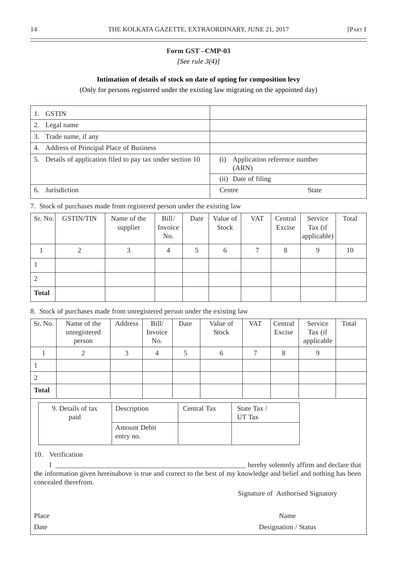# **Form GST –CMP-03**

*[See rule 3(4)]*

# **Intimation of details of stock on date of opting for composition levy**

(Only for persons registered under the existing law migrating on the appointed day)

|    | <b>GSTIN</b>                                                |                                              |  |
|----|-------------------------------------------------------------|----------------------------------------------|--|
| 2. | Legal name                                                  |                                              |  |
|    | 3. Trade name, if any                                       |                                              |  |
| 4. | Address of Principal Place of Business                      |                                              |  |
|    | 5. Details of application filed to pay tax under section 10 | Application reference number<br>(i)<br>(ARN) |  |
|    |                                                             | Date of filing<br>(ii)                       |  |
| 6. | <b>Jurisdiction</b>                                         | Centre<br><b>State</b>                       |  |

# 7. Stock of purchases made from registered person under the existing law

| Sr. No.      | <b>GSTIN/TIN</b> | Name of the<br>supplier | Bill/<br>Invoice<br>No. | Date | Value of<br>Stock | <b>VAT</b> | Central<br>Excise | Service<br>Tax (if<br>applicable) | Total |
|--------------|------------------|-------------------------|-------------------------|------|-------------------|------------|-------------------|-----------------------------------|-------|
|              | 2                | 3                       | $\overline{4}$          |      | 6                 | ⇁          | 8                 | 9                                 | 10    |
|              |                  |                         |                         |      |                   |            |                   |                                   |       |
| 2            |                  |                         |                         |      |                   |            |                   |                                   |       |
| <b>Total</b> |                  |                         |                         |      |                   |            |                   |                                   |       |

# 8. Stock of purchases made from unregistered person under the existing law

| Sr. No.      | Name of the<br>unregistered<br>person | Address | Bill/<br>Invoice<br>No. | Date | Value of<br>Stock | <b>VAT</b> | Central<br>Excise | Service<br>Tax (if<br>applicable | Total |
|--------------|---------------------------------------|---------|-------------------------|------|-------------------|------------|-------------------|----------------------------------|-------|
|              |                                       | 3       | $\overline{4}$          |      | 6                 |            | 8                 | 9                                |       |
|              |                                       |         |                         |      |                   |            |                   |                                  |       |
|              |                                       |         |                         |      |                   |            |                   |                                  |       |
| <b>Total</b> |                                       |         |                         |      |                   |            |                   |                                  |       |

| 9. Details of tax<br>paid | Description                      | Central Tax | State Tax /<br>UT Tax |
|---------------------------|----------------------------------|-------------|-----------------------|
|                           | <b>Amount Debit</b><br>entry no. |             |                       |

#### 10. Verification

I hereby solemnly affirm and declare that the information given hereinabove is true and correct to the best of my knowledge and belief and nothing has been concealed therefrom.

Signature of Authorised Signatory

Place Name Date Designation / Status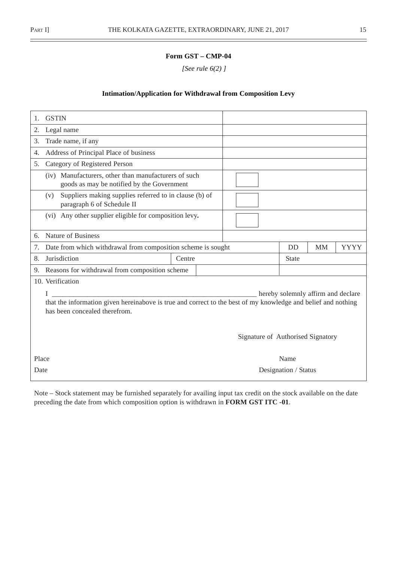# **Form GST – CMP-04**

 *[See rule 6(2) ]*

#### **Intimation/Application for Withdrawal from Composition Levy**

| <b>GSTIN</b><br>1.                                                                                                                             |                                   |  |                                    |           |             |  |  |
|------------------------------------------------------------------------------------------------------------------------------------------------|-----------------------------------|--|------------------------------------|-----------|-------------|--|--|
| Legal name<br>2.                                                                                                                               |                                   |  |                                    |           |             |  |  |
| Trade name, if any<br>3.                                                                                                                       |                                   |  |                                    |           |             |  |  |
| Address of Principal Place of business<br>4.                                                                                                   |                                   |  |                                    |           |             |  |  |
| Category of Registered Person<br>5.                                                                                                            |                                   |  |                                    |           |             |  |  |
| (iv) Manufacturers, other than manufacturers of such<br>goods as may be notified by the Government                                             |                                   |  |                                    |           |             |  |  |
| Suppliers making supplies referred to in clause (b) of<br>(v)<br>paragraph 6 of Schedule II                                                    |                                   |  |                                    |           |             |  |  |
| (vi) Any other supplier eligible for composition levy.                                                                                         |                                   |  |                                    |           |             |  |  |
| Nature of Business<br>6.                                                                                                                       |                                   |  |                                    |           |             |  |  |
| Date from which withdrawal from composition scheme is sought<br>7.                                                                             |                                   |  | <b>DD</b>                          | <b>MM</b> | <b>YYYY</b> |  |  |
| Jurisdiction<br>8.                                                                                                                             | Centre                            |  | State                              |           |             |  |  |
| Reasons for withdrawal from composition scheme<br>9.                                                                                           |                                   |  |                                    |           |             |  |  |
| 10. Verification                                                                                                                               |                                   |  |                                    |           |             |  |  |
| I                                                                                                                                              |                                   |  | hereby solemnly affirm and declare |           |             |  |  |
| that the information given hereinabove is true and correct to the best of my knowledge and belief and nothing<br>has been concealed therefrom. |                                   |  |                                    |           |             |  |  |
|                                                                                                                                                | Signature of Authorised Signatory |  |                                    |           |             |  |  |
| Place                                                                                                                                          |                                   |  | Name                               |           |             |  |  |
| Date                                                                                                                                           |                                   |  | Designation / Status               |           |             |  |  |

Note – Stock statement may be furnished separately for availing input tax credit on the stock available on the date preceding the date from which composition option is withdrawn in **FORM GST ITC -01**.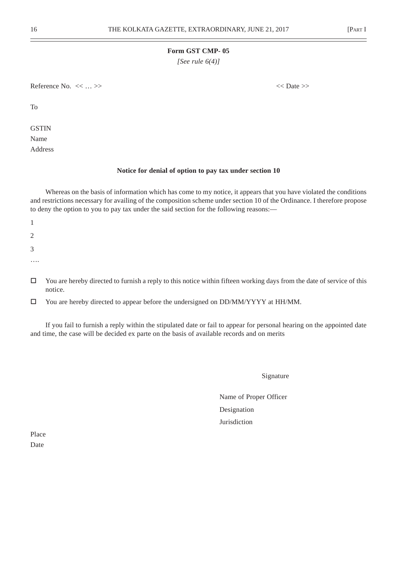#### **Form GST CMP- 05**

*[See rule 6(4)]*

Reference No.  $\langle \langle \cdot, \cdot \rangle \rangle$ 

To

**GSTIN** Name Address

#### **Notice for denial of option to pay tax under section 10**

Whereas on the basis of information which has come to my notice, it appears that you have violated the conditions and restrictions necessary for availing of the composition scheme under section 10 of the Ordinance. I therefore propose to deny the option to you to pay tax under the said section for the following reasons:—

1 2 3 ….

 $\Box$  You are hereby directed to furnish a reply to this notice within fifteen working days from the date of service of this notice.

You are hereby directed to appear before the undersigned on DD/MM/YYYY at HH/MM.

If you fail to furnish a reply within the stipulated date or fail to appear for personal hearing on the appointed date and time, the case will be decided ex parte on the basis of available records and on merits

Signature

Name of Proper Officer Designation Jurisdiction

Place Date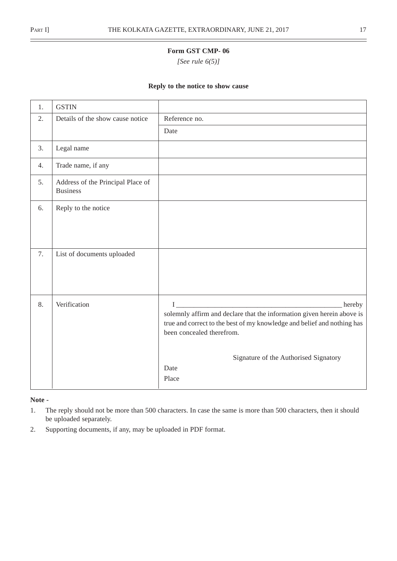$\overline{a}$ 

# **Form GST CMP- 06**

*[See rule 6(5)]*

#### **Reply to the notice to show cause**

| 1. | <b>GSTIN</b>                                         |                                                                                                                                                                                                         |
|----|------------------------------------------------------|---------------------------------------------------------------------------------------------------------------------------------------------------------------------------------------------------------|
| 2. | Details of the show cause notice                     | Reference no.                                                                                                                                                                                           |
|    |                                                      | Date                                                                                                                                                                                                    |
| 3. | Legal name                                           |                                                                                                                                                                                                         |
| 4. | Trade name, if any                                   |                                                                                                                                                                                                         |
| 5. | Address of the Principal Place of<br><b>Business</b> |                                                                                                                                                                                                         |
| 6. | Reply to the notice                                  |                                                                                                                                                                                                         |
| 7. | List of documents uploaded                           |                                                                                                                                                                                                         |
| 8. | Verification                                         | $I$ and $I$<br>hereby<br>solemnly affirm and declare that the information given herein above is<br>true and correct to the best of my knowledge and belief and nothing has<br>been concealed therefrom. |
|    |                                                      | Signature of the Authorised Signatory<br>Date<br>Place                                                                                                                                                  |

**Note -**

- 1. The reply should not be more than 500 characters. In case the same is more than 500 characters, then it should be uploaded separately.
- 2. Supporting documents, if any, may be uploaded in PDF format.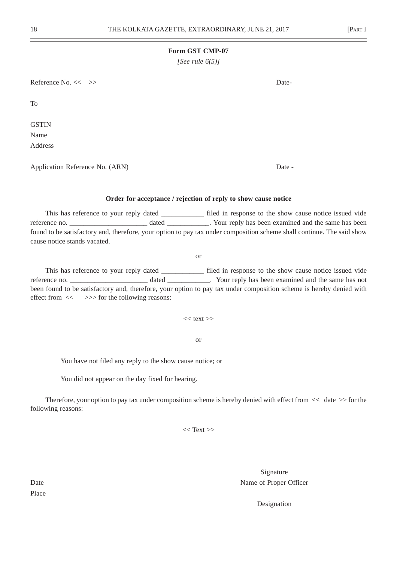#### **Form GST CMP-07**

*[See rule 6(5)]*

Reference No. << >> Date-

To

**GSTIN** Name Address

Application Reference No. (ARN) Date -

#### **Order for acceptance / rejection of reply to show cause notice**

This has reference to your reply dated \_\_\_\_\_\_\_\_\_\_\_\_ filed in response to the show cause notice issued vide reference no. \_\_\_\_\_\_\_\_\_\_\_\_\_\_\_\_\_\_\_\_\_\_\_ dated \_\_\_\_\_\_\_\_\_\_\_\_. Your reply has been examined and the same has been found to be satisfactory and, therefore, your option to pay tax under composition scheme shall continue. The said show cause notice stands vacated.

or

This has reference to your reply dated filed in response to the show cause notice issued vide reference no. \_\_\_\_\_\_\_\_\_\_\_\_\_\_\_\_\_\_\_\_\_\_\_\_ dated \_\_\_\_\_\_\_\_\_\_. Your reply has been examined and the same has not been found to be satisfactory and, therefore, your option to pay tax under composition scheme is hereby denied with effect from  $\ll$   $>>$  for the following reasons:

 $<<$  text  $>>$ 

or

You have not filed any reply to the show cause notice; or

You did not appear on the day fixed for hearing.

Therefore, your option to pay tax under composition scheme is hereby denied with effect from  $<<$  date  $>>$  for the following reasons:

 $<<$  Text  $>>$ 

Signature Date Name of Proper Officer

Designation

Place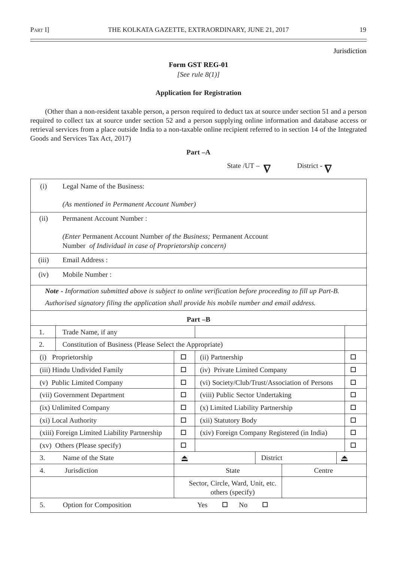Jurisdiction

# **Form GST REG-01**

*[See rule 8(1)]*

#### **Application for Registration**

(Other than a non-resident taxable person, a person required to deduct tax at source under section 51 and a person required to collect tax at source under section 52 and a person supplying online information and database access or retrieval services from a place outside India to a non-taxable online recipient referred to in section 14 of the Integrated Goods and Services Tax Act, 2017)

**Part –A**

|       |                                                                                                                                                                                                             |                       | State $/UT -$                                  |          | District - |        |  |  |  |  |
|-------|-------------------------------------------------------------------------------------------------------------------------------------------------------------------------------------------------------------|-----------------------|------------------------------------------------|----------|------------|--------|--|--|--|--|
| (i)   | Legal Name of the Business:                                                                                                                                                                                 |                       |                                                |          |            |        |  |  |  |  |
|       | (As mentioned in Permanent Account Number)                                                                                                                                                                  |                       |                                                |          |            |        |  |  |  |  |
| (ii)  | <b>Permanent Account Number:</b>                                                                                                                                                                            |                       |                                                |          |            |        |  |  |  |  |
|       | (Enter Permanent Account Number of the Business; Permanent Account<br>Number of Individual in case of Proprietorship concern)                                                                               |                       |                                                |          |            |        |  |  |  |  |
| (iii) | Email Address:                                                                                                                                                                                              |                       |                                                |          |            |        |  |  |  |  |
| (iv)  | Mobile Number:                                                                                                                                                                                              |                       |                                                |          |            |        |  |  |  |  |
|       | Note - Information submitted above is subject to online verification before proceeding to fill up Part-B.<br>Authorised signatory filing the application shall provide his mobile number and email address. |                       | $Part -B$                                      |          |            |        |  |  |  |  |
| 1.    | Trade Name, if any                                                                                                                                                                                          |                       |                                                |          |            |        |  |  |  |  |
| 2.    | Constitution of Business (Please Select the Appropriate)                                                                                                                                                    |                       |                                                |          |            |        |  |  |  |  |
| (i)   | Proprietorship                                                                                                                                                                                              | □<br>(ii) Partnership |                                                |          |            |        |  |  |  |  |
|       | (iii) Hindu Undivided Family                                                                                                                                                                                | $\Box$                | (iv) Private Limited Company                   |          |            | $\Box$ |  |  |  |  |
|       | (v) Public Limited Company                                                                                                                                                                                  | □                     | (vi) Society/Club/Trust/Association of Persons |          |            | $\Box$ |  |  |  |  |
|       | (vii) Government Department                                                                                                                                                                                 | $\Box$                | (viii) Public Sector Undertaking               |          |            | $\Box$ |  |  |  |  |
|       | (ix) Unlimited Company                                                                                                                                                                                      | □                     | (x) Limited Liability Partnership              |          |            | □      |  |  |  |  |
|       | (xi) Local Authority                                                                                                                                                                                        | $\Box$                | (xii) Statutory Body                           |          |            | □      |  |  |  |  |
|       | (xiii) Foreign Limited Liability Partnership                                                                                                                                                                | $\Box$                | (xiv) Foreign Company Registered (in India)    |          |            | $\Box$ |  |  |  |  |
|       | (xv) Others (Please specify)                                                                                                                                                                                | □                     |                                                |          |            | □      |  |  |  |  |
| 3.    | Name of the State                                                                                                                                                                                           | ≜                     |                                                | District |            | ≜      |  |  |  |  |
| 4.    | Jurisdiction                                                                                                                                                                                                |                       | <b>State</b>                                   |          | Centre     |        |  |  |  |  |
|       | Sector, Circle, Ward, Unit, etc.<br>others (specify)                                                                                                                                                        |                       |                                                |          |            |        |  |  |  |  |
| 5.    | <b>Option for Composition</b><br>$\Box$<br>Yes<br>No<br>$\Box$                                                                                                                                              |                       |                                                |          |            |        |  |  |  |  |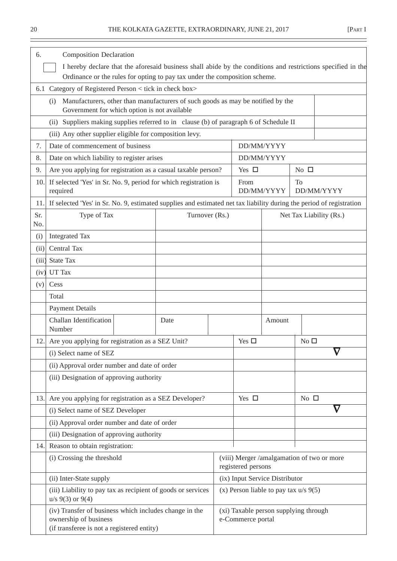<u>.</u>

| 6.         | <b>Composition Declaration</b>                                                                                                         |  |                |  |                                                                  |            |                         |  |               |  |  |
|------------|----------------------------------------------------------------------------------------------------------------------------------------|--|----------------|--|------------------------------------------------------------------|------------|-------------------------|--|---------------|--|--|
|            | I hereby declare that the aforesaid business shall abide by the conditions and restrictions specified in the                           |  |                |  |                                                                  |            |                         |  |               |  |  |
|            | Ordinance or the rules for opting to pay tax under the composition scheme.                                                             |  |                |  |                                                                  |            |                         |  |               |  |  |
|            | 6.1 Category of Registered Person < tick in check box>                                                                                 |  |                |  |                                                                  |            |                         |  |               |  |  |
|            | Manufacturers, other than manufacturers of such goods as may be notified by the<br>(i)<br>Government for which option is not available |  |                |  |                                                                  |            |                         |  |               |  |  |
|            | (ii) Suppliers making supplies referred to in clause (b) of paragraph 6 of Schedule II                                                 |  |                |  |                                                                  |            |                         |  |               |  |  |
|            | (iii) Any other supplier eligible for composition levy.                                                                                |  |                |  |                                                                  |            |                         |  |               |  |  |
| 7.         | Date of commencement of business                                                                                                       |  |                |  |                                                                  | DD/MM/YYYY |                         |  |               |  |  |
| 8.         | Date on which liability to register arises                                                                                             |  |                |  |                                                                  | DD/MM/YYYY |                         |  |               |  |  |
| 9.         | Are you applying for registration as a casual taxable person?                                                                          |  |                |  | Yes $\square$                                                    |            | No $\square$            |  |               |  |  |
| 10.        | If selected 'Yes' in Sr. No. 9, period for which registration is<br>required                                                           |  |                |  | From                                                             | DD/MM/YYYY | To<br>DD/MM/YYYY        |  |               |  |  |
| 11.        | If selected 'Yes' in Sr. No. 9, estimated supplies and estimated net tax liability during the period of registration                   |  |                |  |                                                                  |            |                         |  |               |  |  |
| Sr.<br>No. | Type of Tax                                                                                                                            |  | Turnover (Rs.) |  |                                                                  |            | Net Tax Liability (Rs.) |  |               |  |  |
| (i)        | <b>Integrated Tax</b>                                                                                                                  |  |                |  |                                                                  |            |                         |  |               |  |  |
| (ii)       | Central Tax                                                                                                                            |  |                |  |                                                                  |            |                         |  |               |  |  |
| (iii)      | <b>State Tax</b>                                                                                                                       |  |                |  |                                                                  |            |                         |  |               |  |  |
| (iv)       | UT Tax                                                                                                                                 |  |                |  |                                                                  |            |                         |  |               |  |  |
| (v)        | Cess                                                                                                                                   |  |                |  |                                                                  |            |                         |  |               |  |  |
|            | Total                                                                                                                                  |  |                |  |                                                                  |            |                         |  |               |  |  |
|            | <b>Payment Details</b>                                                                                                                 |  |                |  |                                                                  |            |                         |  |               |  |  |
|            | Challan Identification<br>Number                                                                                                       |  | Date           |  |                                                                  | Amount     |                         |  |               |  |  |
|            | 12. Are you applying for registration as a SEZ Unit?                                                                                   |  |                |  | Yes $\square$                                                    |            | No <sub>1</sub>         |  |               |  |  |
|            | (i) Select name of SEZ                                                                                                                 |  |                |  |                                                                  |            |                         |  | $\bm{\nabla}$ |  |  |
|            | (ii) Approval order number and date of order                                                                                           |  |                |  |                                                                  |            |                         |  |               |  |  |
|            | (iii) Designation of approving authority                                                                                               |  |                |  |                                                                  |            |                         |  |               |  |  |
| 13.        | Are you applying for registration as a SEZ Developer?                                                                                  |  |                |  | Yes $\square$                                                    |            | No $\square$            |  |               |  |  |
|            | (i) Select name of SEZ Developer                                                                                                       |  |                |  |                                                                  |            |                         |  |               |  |  |
|            | (ii) Approval order number and date of order                                                                                           |  |                |  |                                                                  |            |                         |  |               |  |  |
|            | (iii) Designation of approving authority                                                                                               |  |                |  |                                                                  |            |                         |  |               |  |  |
| 14.        | Reason to obtain registration:                                                                                                         |  |                |  |                                                                  |            |                         |  |               |  |  |
|            | (i) Crossing the threshold                                                                                                             |  |                |  | (viii) Merger /amalgamation of two or more<br>registered persons |            |                         |  |               |  |  |
|            | (ii) Inter-State supply                                                                                                                |  |                |  | (ix) Input Service Distributor                                   |            |                         |  |               |  |  |
|            | (iii) Liability to pay tax as recipient of goods or services<br>$u/s$ 9(3) or 9(4)                                                     |  |                |  | (x) Person liable to pay tax $u/s$ 9(5)                          |            |                         |  |               |  |  |
|            | (iv) Transfer of business which includes change in the<br>ownership of business<br>(if transferee is not a registered entity)          |  |                |  | (xi) Taxable person supplying through<br>e-Commerce portal       |            |                         |  |               |  |  |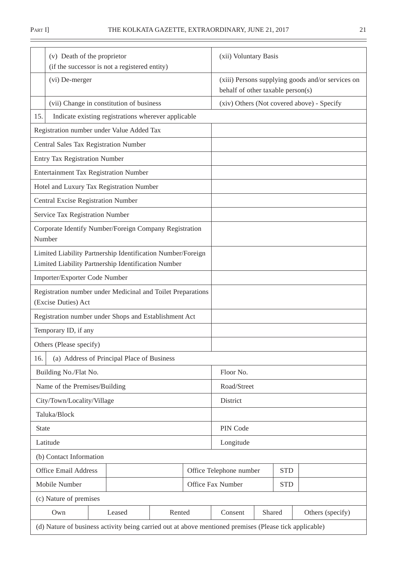| (v) Death of the proprietor                                                                                        |                                                                                        | (xii) Voluntary Basis   |            |                                            |  |  |
|--------------------------------------------------------------------------------------------------------------------|----------------------------------------------------------------------------------------|-------------------------|------------|--------------------------------------------|--|--|
| (if the successor is not a registered entity)                                                                      |                                                                                        |                         |            |                                            |  |  |
| (vi) De-merger                                                                                                     | (xiii) Persons supplying goods and/or services on<br>behalf of other taxable person(s) |                         |            |                                            |  |  |
| (vii) Change in constitution of business                                                                           |                                                                                        |                         |            | (xiv) Others (Not covered above) - Specify |  |  |
| 15.<br>Indicate existing registrations wherever applicable                                                         |                                                                                        |                         |            |                                            |  |  |
| Registration number under Value Added Tax                                                                          |                                                                                        |                         |            |                                            |  |  |
| Central Sales Tax Registration Number                                                                              |                                                                                        |                         |            |                                            |  |  |
| <b>Entry Tax Registration Number</b>                                                                               |                                                                                        |                         |            |                                            |  |  |
| <b>Entertainment Tax Registration Number</b>                                                                       |                                                                                        |                         |            |                                            |  |  |
| Hotel and Luxury Tax Registration Number                                                                           |                                                                                        |                         |            |                                            |  |  |
| Central Excise Registration Number                                                                                 |                                                                                        |                         |            |                                            |  |  |
| Service Tax Registration Number                                                                                    |                                                                                        |                         |            |                                            |  |  |
| Corporate Identify Number/Foreign Company Registration<br>Number                                                   |                                                                                        |                         |            |                                            |  |  |
| Limited Liability Partnership Identification Number/Foreign<br>Limited Liability Partnership Identification Number |                                                                                        |                         |            |                                            |  |  |
| Importer/Exporter Code Number                                                                                      |                                                                                        |                         |            |                                            |  |  |
| Registration number under Medicinal and Toilet Preparations<br>(Excise Duties) Act                                 |                                                                                        |                         |            |                                            |  |  |
| Registration number under Shops and Establishment Act                                                              |                                                                                        |                         |            |                                            |  |  |
| Temporary ID, if any                                                                                               |                                                                                        |                         |            |                                            |  |  |
| Others (Please specify)                                                                                            |                                                                                        |                         |            |                                            |  |  |
| (a) Address of Principal Place of Business<br>16.                                                                  |                                                                                        |                         |            |                                            |  |  |
| Building No./Flat No.                                                                                              |                                                                                        | Floor No.               |            |                                            |  |  |
| Name of the Premises/Building                                                                                      |                                                                                        | Road/Street             |            |                                            |  |  |
| City/Town/Locality/Village                                                                                         |                                                                                        | District                |            |                                            |  |  |
| Taluka/Block                                                                                                       |                                                                                        |                         |            |                                            |  |  |
| <b>State</b>                                                                                                       |                                                                                        | PIN Code                |            |                                            |  |  |
| Latitude                                                                                                           |                                                                                        | Longitude               |            |                                            |  |  |
| (b) Contact Information                                                                                            |                                                                                        |                         |            |                                            |  |  |
| <b>Office Email Address</b>                                                                                        |                                                                                        | Office Telephone number | <b>STD</b> |                                            |  |  |
| Mobile Number                                                                                                      |                                                                                        | Office Fax Number       | <b>STD</b> |                                            |  |  |
| (c) Nature of premises                                                                                             |                                                                                        |                         |            |                                            |  |  |
| Own<br>Rented<br>Leased                                                                                            |                                                                                        | Consent                 | Shared     | Others (specify)                           |  |  |
| (d) Nature of business activity being carried out at above mentioned premises (Please tick applicable)             |                                                                                        |                         |            |                                            |  |  |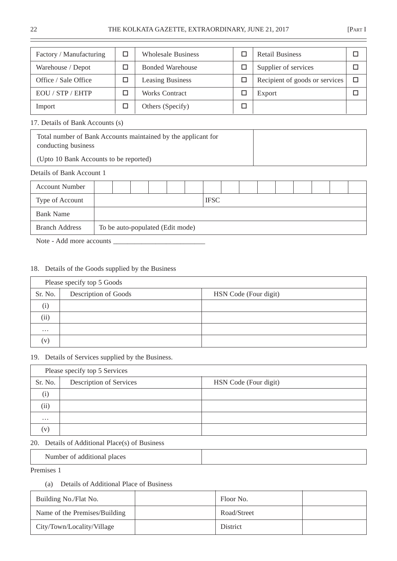| Factory / Manufacturing | <b>Wholesale Business</b> | <b>Retail Business</b>         |  |
|-------------------------|---------------------------|--------------------------------|--|
| Warehouse / Depot       | <b>Bonded Warehouse</b>   | Supplier of services           |  |
| Office / Sale Office    | <b>Leasing Business</b>   | Recipient of goods or services |  |
| EQU / STP / EHTP        | <b>Works Contract</b>     | Export                         |  |
| Import                  | Others (Specify)          |                                |  |

#### 17. Details of Bank Accounts (s)

| Total number of Bank Accounts maintained by the applicant for<br>conducting business |  |
|--------------------------------------------------------------------------------------|--|
| (Upto 10 Bank Accounts to be reported)                                               |  |

# Details of Bank Account 1

| <b>Account Number</b> |                                  |  |  |  |  |             |  |  |  |  |  |  |  |  |  |
|-----------------------|----------------------------------|--|--|--|--|-------------|--|--|--|--|--|--|--|--|--|
| Type of Account       |                                  |  |  |  |  | <b>IFSC</b> |  |  |  |  |  |  |  |  |  |
| <b>Bank Name</b>      |                                  |  |  |  |  |             |  |  |  |  |  |  |  |  |  |
| <b>Branch Address</b> | To be auto-populated (Edit mode) |  |  |  |  |             |  |  |  |  |  |  |  |  |  |
| _ _ _ _ _ _ _ _ _     |                                  |  |  |  |  |             |  |  |  |  |  |  |  |  |  |

Note - Add more accounts \_\_\_\_\_\_\_\_\_\_\_\_\_\_\_\_\_\_\_\_\_\_\_\_\_\_

# 18. Details of the Goods supplied by the Business

| Please specify top 5 Goods |                      |                       |  |  |  |  |  |  |
|----------------------------|----------------------|-----------------------|--|--|--|--|--|--|
| Sr. No.                    | Description of Goods | HSN Code (Four digit) |  |  |  |  |  |  |
| (i)                        |                      |                       |  |  |  |  |  |  |
| (ii)                       |                      |                       |  |  |  |  |  |  |
| $\cdots$                   |                      |                       |  |  |  |  |  |  |
| (v)                        |                      |                       |  |  |  |  |  |  |

### 19. Details of Services supplied by the Business.

| Please specify top 5 Services |                         |                       |  |  |  |  |  |  |
|-------------------------------|-------------------------|-----------------------|--|--|--|--|--|--|
| Sr. No.                       | Description of Services | HSN Code (Four digit) |  |  |  |  |  |  |
| (i)                           |                         |                       |  |  |  |  |  |  |
| (ii)                          |                         |                       |  |  |  |  |  |  |
| $\cdots$                      |                         |                       |  |  |  |  |  |  |
| (v)                           |                         |                       |  |  |  |  |  |  |

#### 20. Details of Additional Place(s) of Business

Number of additional places

Premises 1

(a) Details of Additional Place of Business

| Building No./Flat No.         | Floor No.   |  |
|-------------------------------|-------------|--|
| Name of the Premises/Building | Road/Street |  |
| City/Town/Locality/Village    | District    |  |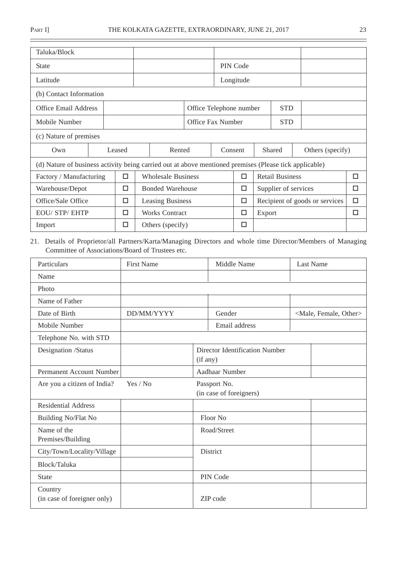$\overline{\phantom{0}}$ 

| Taluka/Block                                                                                           |  |  |                  |  |                                       |                   |          |           |                                |                      |  |                  |   |
|--------------------------------------------------------------------------------------------------------|--|--|------------------|--|---------------------------------------|-------------------|----------|-----------|--------------------------------|----------------------|--|------------------|---|
| <b>State</b>                                                                                           |  |  |                  |  |                                       |                   | PIN Code |           |                                |                      |  |                  |   |
| Latitude                                                                                               |  |  |                  |  |                                       |                   |          | Longitude |                                |                      |  |                  |   |
| (b) Contact Information                                                                                |  |  |                  |  |                                       |                   |          |           |                                |                      |  |                  |   |
| <b>Office Email Address</b>                                                                            |  |  |                  |  | <b>STD</b><br>Office Telephone number |                   |          |           |                                |                      |  |                  |   |
| Mobile Number                                                                                          |  |  |                  |  |                                       | Office Fax Number |          |           |                                | <b>STD</b>           |  |                  |   |
| (c) Nature of premises                                                                                 |  |  |                  |  |                                       |                   |          |           |                                |                      |  |                  |   |
| Own                                                                                                    |  |  | Rented<br>Leased |  |                                       |                   | Consent  |           |                                | Shared               |  | Others (specify) |   |
| (d) Nature of business activity being carried out at above mentioned premises (Please tick applicable) |  |  |                  |  |                                       |                   |          |           |                                |                      |  |                  |   |
| Factory / Manufacturing                                                                                |  |  | $\Box$           |  | <b>Wholesale Business</b>             |                   |          | □         | <b>Retail Business</b>         |                      |  |                  | □ |
| Warehouse/Depot                                                                                        |  |  | □                |  | <b>Bonded Warehouse</b>               |                   |          | □         |                                | Supplier of services |  |                  | □ |
| Office/Sale Office                                                                                     |  |  | □                |  | Leasing Business                      |                   |          | □         | Recipient of goods or services |                      |  | □                |   |
| <b>EOU/ STP/ EHTP</b>                                                                                  |  |  | П                |  | <b>Works Contract</b>                 |                   |          | □         | Export                         |                      |  |                  | □ |
| Import                                                                                                 |  |  | п                |  | Others (specify)                      |                   |          | □         |                                |                      |  |                  |   |

# 21. Details of Proprietor/all Partners/Karta/Managing Directors and whole time Director/Members of Managing Committee of Associations/Board of Trustees etc.

| Particulars                            | <b>First Name</b> |  | Middle Name                                |  | <b>Last Name</b>                    |  |  |  |
|----------------------------------------|-------------------|--|--------------------------------------------|--|-------------------------------------|--|--|--|
| Name                                   |                   |  |                                            |  |                                     |  |  |  |
| Photo                                  |                   |  |                                            |  |                                     |  |  |  |
| Name of Father                         |                   |  |                                            |  |                                     |  |  |  |
| Date of Birth                          | DD/MM/YYYY        |  | Gender                                     |  | <male, female,="" other=""></male,> |  |  |  |
| Mobile Number                          |                   |  | Email address                              |  |                                     |  |  |  |
| Telephone No. with STD                 |                   |  |                                            |  |                                     |  |  |  |
| Designation /Status                    |                   |  | Director Identification Number<br>(if any) |  |                                     |  |  |  |
| Permanent Account Number               |                   |  | Aadhaar Number                             |  |                                     |  |  |  |
| Are you a citizen of India?            | Yes / No          |  | Passport No.<br>(in case of foreigners)    |  |                                     |  |  |  |
| <b>Residential Address</b>             |                   |  |                                            |  |                                     |  |  |  |
| Building No/Flat No                    |                   |  | Floor No                                   |  |                                     |  |  |  |
| Name of the<br>Premises/Building       |                   |  | Road/Street                                |  |                                     |  |  |  |
| City/Town/Locality/Village             |                   |  | District                                   |  |                                     |  |  |  |
| Block/Taluka                           |                   |  |                                            |  |                                     |  |  |  |
| <b>State</b>                           |                   |  | PIN Code                                   |  |                                     |  |  |  |
| Country<br>(in case of foreigner only) |                   |  | ZIP code                                   |  |                                     |  |  |  |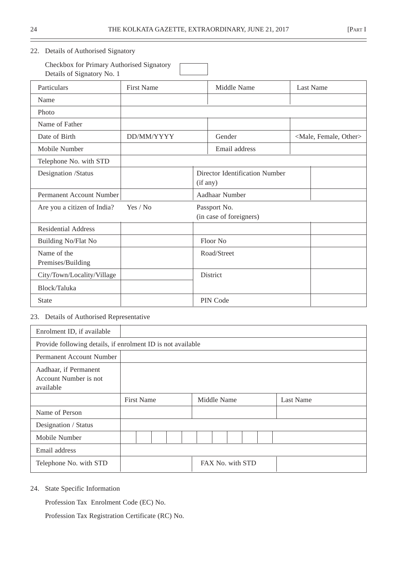#### 22. Details of Authorised Signatory

Checkbox for Primary Authorised Signatory Details of Signatory No. 1 Particulars First Name Middle Name Last Name Name Photo Name of Father Date of Birth DD/MM/YYYY Gender <Male, Female, Other> Mobile Number **Email address** Telephone No. with STD Designation /Status Director Identification Number (if any) Permanent Account Number Aadhaar Number Are you a citizen of India? Yes / No Passport No. (in case of foreigners) Residential Address Building No/Flat No Floor No Name of the Road/Street Premises/Building City/Town/Locality/Village | District Block/Taluka State PIN Code

# 23. Details of Authorised Representative

| Enrolment ID, if available                                  |                   |  |  |  |             |  |  |                  |  |                  |
|-------------------------------------------------------------|-------------------|--|--|--|-------------|--|--|------------------|--|------------------|
| Provide following details, if enrolment ID is not available |                   |  |  |  |             |  |  |                  |  |                  |
| Permanent Account Number                                    |                   |  |  |  |             |  |  |                  |  |                  |
| Aadhaar, if Permanent<br>Account Number is not<br>available |                   |  |  |  |             |  |  |                  |  |                  |
|                                                             | <b>First Name</b> |  |  |  | Middle Name |  |  |                  |  | <b>Last Name</b> |
| Name of Person                                              |                   |  |  |  |             |  |  |                  |  |                  |
| Designation / Status                                        |                   |  |  |  |             |  |  |                  |  |                  |
| Mobile Number                                               |                   |  |  |  |             |  |  |                  |  |                  |
| Email address                                               |                   |  |  |  |             |  |  |                  |  |                  |
| Telephone No. with STD                                      |                   |  |  |  |             |  |  | FAX No. with STD |  |                  |

24. State Specific Information

Profession Tax Enrolment Code (EC) No.

Profession Tax Registration Certificate (RC) No.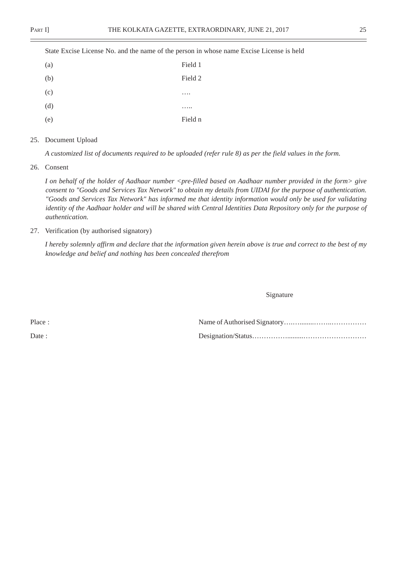State Excise License No. and the name of the person in whose name Excise License is held

| (a) | Field 1         |
|-----|-----------------|
| (b) | Field 2         |
| (c) | $\cdot$ $\cdot$ |
| (d) | $\ddotsc$       |
| (e) | Field n         |

#### 25. Document Upload

*A customized list of documents required to be uploaded (refer rule 8) as per the field values in the form.*

26. Consent

*I on behalf of the holder of Aadhaar number <pre-filled based on Aadhaar number provided in the form> give consent to "Goods and Services Tax Network" to obtain my details from UIDAI for the purpose of authentication. "Goods and Services Tax Network" has informed me that identity information would only be used for validating identity of the Aadhaar holder and will be shared with Central Identities Data Repository only for the purpose of authentication.*

27. Verification (by authorised signatory)

*I hereby solemnly affirm and declare that the information given herein above is true and correct to the best of my knowledge and belief and nothing has been concealed therefrom*

Signature

Place : Name of Authorised Signatory….…........……..…………… Date : Designation/Status…………….........………………………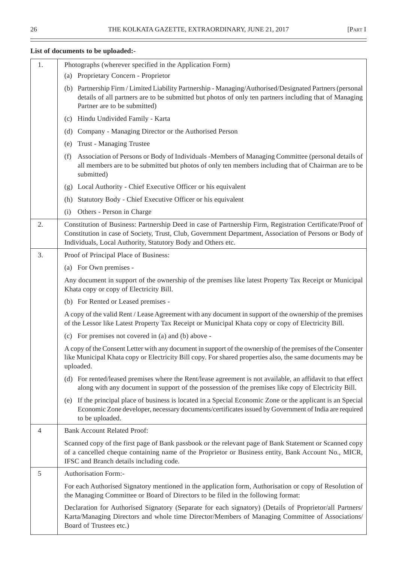÷

| 1.             | Photographs (wherever specified in the Application Form)                                                                                                                                                                                                                            |
|----------------|-------------------------------------------------------------------------------------------------------------------------------------------------------------------------------------------------------------------------------------------------------------------------------------|
|                | (a) Proprietary Concern - Proprietor                                                                                                                                                                                                                                                |
|                | (b) Partnership Firm / Limited Liability Partnership - Managing/Authorised/Designated Partners (personal<br>details of all partners are to be submitted but photos of only ten partners including that of Managing<br>Partner are to be submitted)                                  |
|                | Hindu Undivided Family - Karta<br>(c)                                                                                                                                                                                                                                               |
|                | Company - Managing Director or the Authorised Person<br>(d)                                                                                                                                                                                                                         |
|                | Trust - Managing Trustee<br>(e)                                                                                                                                                                                                                                                     |
|                | Association of Persons or Body of Individuals - Members of Managing Committee (personal details of<br>(f)<br>all members are to be submitted but photos of only ten members including that of Chairman are to be<br>submitted)                                                      |
|                | Local Authority - Chief Executive Officer or his equivalent<br>(g)                                                                                                                                                                                                                  |
|                | Statutory Body - Chief Executive Officer or his equivalent<br>(h)                                                                                                                                                                                                                   |
|                | Others - Person in Charge<br>(i)                                                                                                                                                                                                                                                    |
| 2.             | Constitution of Business: Partnership Deed in case of Partnership Firm, Registration Certificate/Proof of<br>Constitution in case of Society, Trust, Club, Government Department, Association of Persons or Body of<br>Individuals, Local Authority, Statutory Body and Others etc. |
| 3.             | Proof of Principal Place of Business:                                                                                                                                                                                                                                               |
|                | (a) For Own premises -                                                                                                                                                                                                                                                              |
|                | Any document in support of the ownership of the premises like latest Property Tax Receipt or Municipal<br>Khata copy or copy of Electricity Bill.                                                                                                                                   |
|                | (b) For Rented or Leased premises -                                                                                                                                                                                                                                                 |
|                | A copy of the valid Rent / Lease Agreement with any document in support of the ownership of the premises<br>of the Lessor like Latest Property Tax Receipt or Municipal Khata copy or copy of Electricity Bill.                                                                     |
|                | (c) For premises not covered in (a) and (b) above -                                                                                                                                                                                                                                 |
|                | A copy of the Consent Letter with any document in support of the ownership of the premises of the Consenter<br>like Municipal Khata copy or Electricity Bill copy. For shared properties also, the same documents may be<br>uploaded.                                               |
|                | (d) For rented/leased premises where the Rent/lease agreement is not available, an affidavit to that effect<br>along with any document in support of the possession of the premises like copy of Electricity Bill.                                                                  |
|                | (e) If the principal place of business is located in a Special Economic Zone or the applicant is an Special<br>Economic Zone developer, necessary documents/certificates issued by Government of India are required<br>to be uploaded.                                              |
| $\overline{4}$ | <b>Bank Account Related Proof:</b>                                                                                                                                                                                                                                                  |
|                | Scanned copy of the first page of Bank passbook or the relevant page of Bank Statement or Scanned copy<br>of a cancelled cheque containing name of the Proprietor or Business entity, Bank Account No., MICR,<br>IFSC and Branch details including code.                            |
| 5              | Authorisation Form:-                                                                                                                                                                                                                                                                |
|                | For each Authorised Signatory mentioned in the application form, Authorisation or copy of Resolution of<br>the Managing Committee or Board of Directors to be filed in the following format:                                                                                        |
|                | Declaration for Authorised Signatory (Separate for each signatory) (Details of Proprietor/all Partners/<br>Karta/Managing Directors and whole time Director/Members of Managing Committee of Associations/<br>Board of Trustees etc.)                                               |

# **List of documents to be uploaded:-**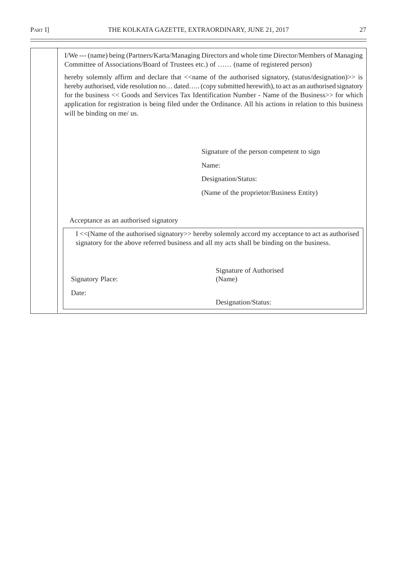I/We --- (name) being (Partners/Karta/Managing Directors and whole time Director/Members of Managing Committee of Associations/Board of Trustees etc.) of …… (name of registered person) hereby solemnly affirm and declare that  $\langle$  name of the authorised signatory, (status/designation) $\rangle$  is hereby authorised, vide resolution no... dated….. (copy submitted herewith), to act as an authorised signatory for the business << Goods and Services Tax Identification Number - Name of the Business>> for which application for registration is being filed under the Ordinance. All his actions in relation to this business will be binding on me/ us. Signature of the person competent to sign Name: Designation/Status: (Name of the proprietor/Business Entity) Acceptance as an authorised signatory I <<(Name of the authorised signatory>> hereby solemnly accord my acceptance to act as authorised signatory for the above referred business and all my acts shall be binding on the business. Signature of Authorised Signatory Place: (Name) Date: Designation/Status: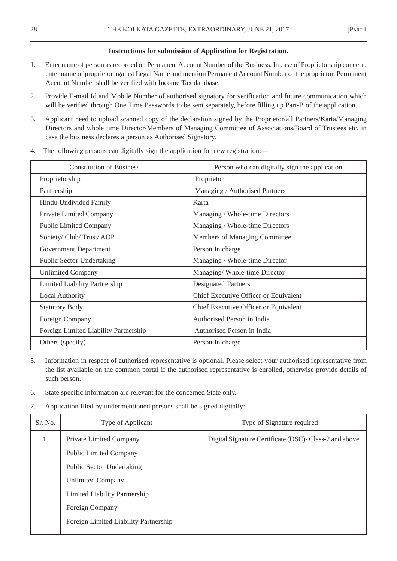#### **Instructions for submission of Application for Registration.**

- 1. Enter name of person as recorded on Permanent Account Number of the Business. In case of Proprietorship concern, enter name of proprietor against Legal Name and mention Permanent Account Number of the proprietor. Permanent Account Number shall be verified with Income Tax database.
- 2. Provide E-mail Id and Mobile Number of authorised signatory for verification and future communication which will be verified through One Time Passwords to be sent separately, before filling up Part-B of the application.
- 3. Applicant need to upload scanned copy of the declaration signed by the Proprietor/all Partners/Karta/Managing Directors and whole time Director/Members of Managing Committee of Associations/Board of Trustees etc. in case the business declares a person as Authorised Signatory.

| <b>Constitution of Business</b>       | Person who can digitally sign the application |
|---------------------------------------|-----------------------------------------------|
| Proprietorship                        | Proprietor                                    |
| Partnership                           | Managing / Authorised Partners                |
| Hindu Undivided Family                | Karta                                         |
| Private Limited Company               | Managing / Whole-time Directors               |
| <b>Public Limited Company</b>         | Managing / Whole-time Directors               |
| Society/ Club/ Trust/ AOP             | Members of Managing Committee                 |
| Government Department                 | Person In charge                              |
| Public Sector Undertaking             | Managing / Whole-time Director                |
| <b>Unlimited Company</b>              | Managing/Whole-time Director                  |
| Limited Liability Partnership         | <b>Designated Partners</b>                    |
| <b>Local Authority</b>                | Chief Executive Officer or Equivalent         |
| <b>Statutory Body</b>                 | Chief Executive Officer or Equivalent         |
| Foreign Company                       | Authorised Person in India                    |
| Foreign Limited Liability Partnership | Authorised Person in India                    |
| Others (specify)                      | Person In charge                              |

4. The following persons can digitally sign the application for new registration:—

- 5. Information in respect of authorised representative is optional. Please select your authorised representative from the list available on the common portal if the authorised representative is enrolled, otherwise provide details of such person.
- 6. State specific information are relevant for the concerned State only.
- 7. Application filed by undermentioned persons shall be signed digitally:—

| Sr. No. | Type of Applicant                     | Type of Signature required                             |
|---------|---------------------------------------|--------------------------------------------------------|
| 1.      | Private Limited Company               | Digital Signature Certificate (DSC)-Class-2 and above. |
|         | <b>Public Limited Company</b>         |                                                        |
|         | Public Sector Undertaking             |                                                        |
|         | <b>Unlimited Company</b>              |                                                        |
|         | <b>Limited Liability Partnership</b>  |                                                        |
|         | Foreign Company                       |                                                        |
|         | Foreign Limited Liability Partnership |                                                        |
|         |                                       |                                                        |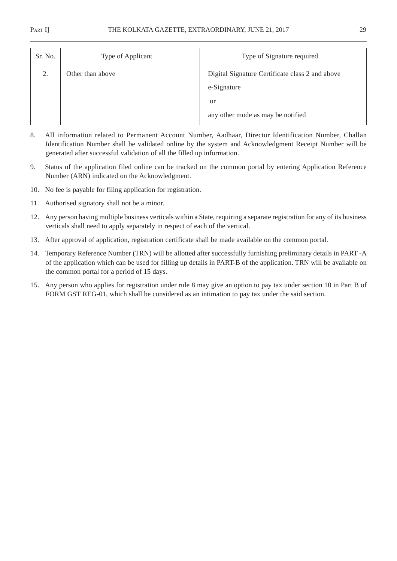| Sr. No. | Type of Applicant | Type of Signature required                                                                                           |
|---------|-------------------|----------------------------------------------------------------------------------------------------------------------|
| 2.      | Other than above  | Digital Signature Certificate class 2 and above<br>e-Signature<br><sub>or</sub><br>any other mode as may be notified |

- 8. All information related to Permanent Account Number, Aadhaar, Director Identification Number, Challan Identification Number shall be validated online by the system and Acknowledgment Receipt Number will be generated after successful validation of all the filled up information.
- 9. Status of the application filed online can be tracked on the common portal by entering Application Reference Number (ARN) indicated on the Acknowledgment.
- 10. No fee is payable for filing application for registration.
- 11. Authorised signatory shall not be a minor.
- 12. Any person having multiple business verticals within a State, requiring a separate registration for any of its business verticals shall need to apply separately in respect of each of the vertical.
- 13. After approval of application, registration certificate shall be made available on the common portal.
- 14. Temporary Reference Number (TRN) will be allotted after successfully furnishing preliminary details in PART -A of the application which can be used for filling up details in PART-B of the application. TRN will be available on the common portal for a period of 15 days.
- 15. Any person who applies for registration under rule 8 may give an option to pay tax under section 10 in Part B of FORM GST REG-01, which shall be considered as an intimation to pay tax under the said section.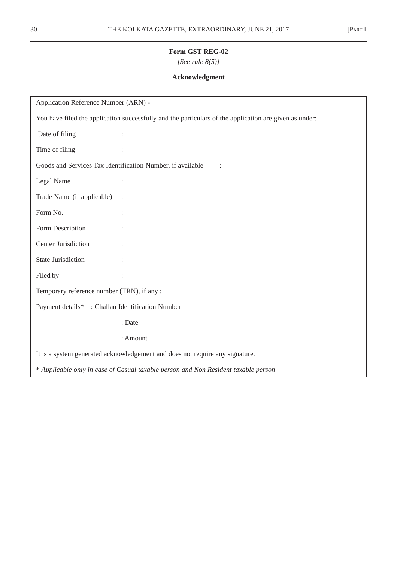*[See rule 8(5)]*

# **Acknowledgment**

| Application Reference Number (ARN) -                                                                   |                |  |  |  |
|--------------------------------------------------------------------------------------------------------|----------------|--|--|--|
| You have filed the application successfully and the particulars of the application are given as under: |                |  |  |  |
| Date of filing                                                                                         |                |  |  |  |
| Time of filing                                                                                         |                |  |  |  |
| Goods and Services Tax Identification Number, if available                                             |                |  |  |  |
| Legal Name                                                                                             | $\ddot{\cdot}$ |  |  |  |
| Trade Name (if applicable)<br>$\ddot{\cdot}$                                                           |                |  |  |  |
| Form No.                                                                                               |                |  |  |  |
| Form Description                                                                                       |                |  |  |  |
| Center Jurisdiction                                                                                    |                |  |  |  |
| <b>State Jurisdiction</b>                                                                              |                |  |  |  |
| Filed by                                                                                               |                |  |  |  |
| Temporary reference number (TRN), if any :                                                             |                |  |  |  |
| Payment details* : Challan Identification Number                                                       |                |  |  |  |
|                                                                                                        | : Date         |  |  |  |
| : Amount                                                                                               |                |  |  |  |
| It is a system generated acknowledgement and does not require any signature.                           |                |  |  |  |
| * Applicable only in case of Casual taxable person and Non Resident taxable person                     |                |  |  |  |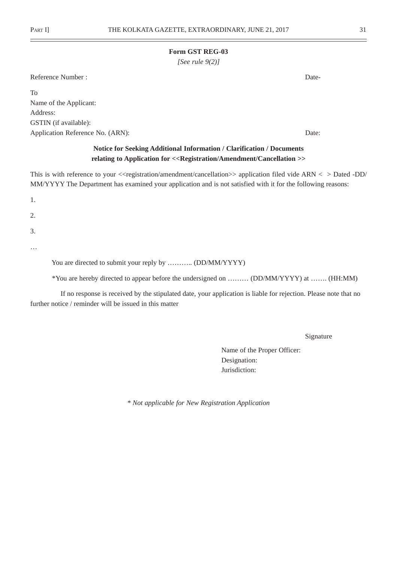*[See rule 9(2)]*

Reference Number : Date-

To Name of the Applicant: Address: GSTIN (if available): Application Reference No. (ARN): Date:

# **Notice for Seeking Additional Information / Clarification / Documents relating to Application for <<Registration/Amendment/Cancellation >>**

This is with reference to your <<registration/amendment/cancellation>> application filed vide ARN < > Dated -DD/ MM/YYYY The Department has examined your application and is not satisfied with it for the following reasons:

1.

2.

3.

…

You are directed to submit your reply by ........... (DD/MM/YYYY)

\*You are hereby directed to appear before the undersigned on ……… (DD/MM/YYYY) at ……. (HH:MM)

If no response is received by the stipulated date, your application is liable for rejection. Please note that no further notice / reminder will be issued in this matter

Signature

Name of the Proper Officer: Designation: Jurisdiction:

*\* Not applicable for New Registration Application*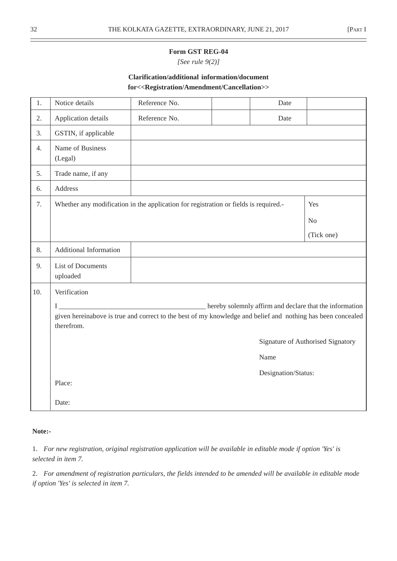*[See rule 9(2)]*

# **Clarification/additional information/document for<<Registration/Amendment/Cancellation>>**

| 1.  | Notice details                                                                                                            | Reference No.                                                                        |  | Date                |                                   |
|-----|---------------------------------------------------------------------------------------------------------------------------|--------------------------------------------------------------------------------------|--|---------------------|-----------------------------------|
| 2.  | Application details                                                                                                       | Reference No.                                                                        |  | Date                |                                   |
| 3.  | GSTIN, if applicable                                                                                                      |                                                                                      |  |                     |                                   |
| 4.  | Name of Business<br>(Legal)                                                                                               |                                                                                      |  |                     |                                   |
| 5.  | Trade name, if any                                                                                                        |                                                                                      |  |                     |                                   |
| 6.  | Address                                                                                                                   |                                                                                      |  |                     |                                   |
| 7.  |                                                                                                                           | Whether any modification in the application for registration or fields is required.- |  |                     | Yes                               |
|     |                                                                                                                           |                                                                                      |  |                     | N <sub>o</sub>                    |
|     |                                                                                                                           |                                                                                      |  |                     | (Tick one)                        |
| 8.  | Additional Information                                                                                                    |                                                                                      |  |                     |                                   |
| 9.  | <b>List of Documents</b><br>uploaded                                                                                      |                                                                                      |  |                     |                                   |
| 10. | Verification                                                                                                              |                                                                                      |  |                     |                                   |
|     | hereby solemnly affirm and declare that the information<br>Ι                                                              |                                                                                      |  |                     |                                   |
|     | given hereinabove is true and correct to the best of my knowledge and belief and nothing has been concealed<br>therefrom. |                                                                                      |  |                     |                                   |
|     |                                                                                                                           |                                                                                      |  |                     |                                   |
|     |                                                                                                                           |                                                                                      |  |                     | Signature of Authorised Signatory |
|     |                                                                                                                           |                                                                                      |  | Name                |                                   |
|     |                                                                                                                           |                                                                                      |  | Designation/Status: |                                   |
|     | Place:                                                                                                                    |                                                                                      |  |                     |                                   |
|     | Date:                                                                                                                     |                                                                                      |  |                     |                                   |

#### **Note:-**

1. *For new registration, original registration application will be available in editable mode if option 'Yes' is selected in item 7.*

2. *For amendment of registration particulars, the fields intended to be amended will be available in editable mode if option 'Yes' is selected in item 7.*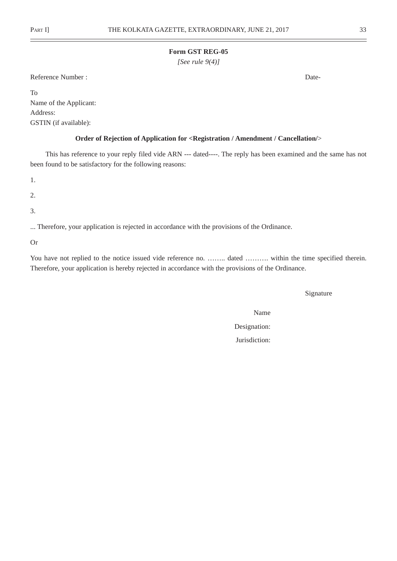*[See rule 9(4)]*

Reference Number : Date-

To Name of the Applicant: Address: GSTIN (if available):

#### **Order of Rejection of Application for <Registration / Amendment / Cancellation/**>

This has reference to your reply filed vide ARN --- dated----. The reply has been examined and the same has not been found to be satisfactory for the following reasons:

1.

2.

3.

... Therefore, your application is rejected in accordance with the provisions of the Ordinance.

Or

You have not replied to the notice issued vide reference no. …….. dated ………. within the time specified therein. Therefore, your application is hereby rejected in accordance with the provisions of the Ordinance.

Signature

Name

Designation: Jurisdiction: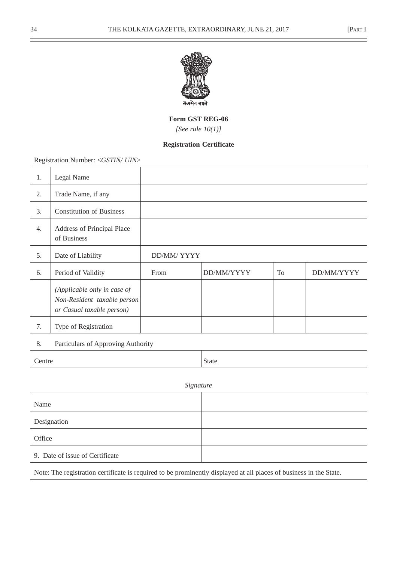

*[See rule 10(1)]*

# **Registration Certificate**

Registration Number: <*GSTIN/ UIN*>

| 1.                                       | Legal Name                                                                              |            |              |                |            |
|------------------------------------------|-----------------------------------------------------------------------------------------|------------|--------------|----------------|------------|
| 2.                                       | Trade Name, if any                                                                      |            |              |                |            |
| 3.                                       | <b>Constitution of Business</b>                                                         |            |              |                |            |
| 4.                                       | Address of Principal Place<br>of Business                                               |            |              |                |            |
| 5.                                       | Date of Liability                                                                       | DD/MM/YYYY |              |                |            |
| 6.                                       | Period of Validity                                                                      | From       | DD/MM/YYYY   | T <sub>o</sub> | DD/MM/YYYY |
|                                          | (Applicable only in case of<br>Non-Resident taxable person<br>or Casual taxable person) |            |              |                |            |
| 7.                                       | Type of Registration                                                                    |            |              |                |            |
| 8.<br>Particulars of Approving Authority |                                                                                         |            |              |                |            |
| Centre                                   |                                                                                         |            | <b>State</b> |                |            |
| Signature                                |                                                                                         |            |              |                |            |
| Name                                     |                                                                                         |            |              |                |            |
|                                          | Designation                                                                             |            |              |                |            |

9. Date of issue of Certificate

**Office** 

Note: The registration certificate is required to be prominently displayed at all places of business in the State.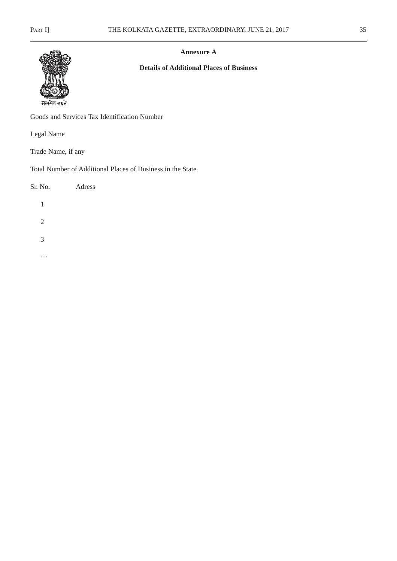$\equiv$ 



**Annexure A**

# **Details of Additional Places of Business**

सत्यमेव जयते

Goods and Services Tax Identification Number

Legal Name

Trade Name, if any

Total Number of Additional Places of Business in the State

| Sr. No. | Adress |  |
|---------|--------|--|
| 1       |        |  |
| 2       |        |  |
| 3       |        |  |
|         |        |  |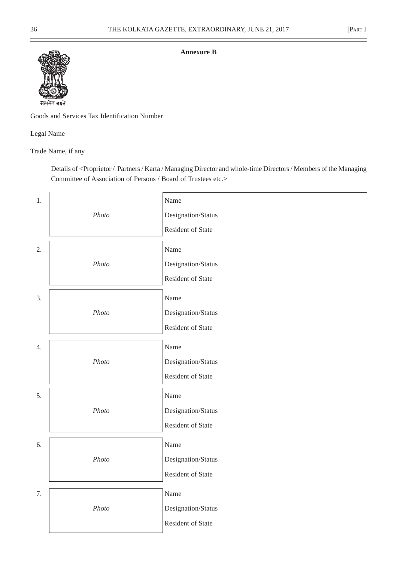### **Annexure B**



Goods and Services Tax Identification Number

Legal Name

Trade Name, if any

Details of <Proprietor / Partners / Karta / Managing Director and whole-time Directors / Members of the Managing Committee of Association of Persons / Board of Trustees etc.>

| 1. |       | Name               |
|----|-------|--------------------|
|    | Photo | Designation/Status |
|    |       | Resident of State  |
| 2. |       | Name               |
|    | Photo | Designation/Status |
|    |       | Resident of State  |
| 3. |       | Name               |
|    | Photo | Designation/Status |
|    |       | Resident of State  |
| 4. |       | Name               |
|    | Photo | Designation/Status |
|    |       | Resident of State  |
| 5. |       | Name               |
|    | Photo | Designation/Status |
|    |       | Resident of State  |
| 6. |       | Name               |
|    | Photo | Designation/Status |
|    |       | Resident of State  |
| 7. |       | Name               |
|    | Photo | Designation/Status |
|    |       | Resident of State  |
|    |       |                    |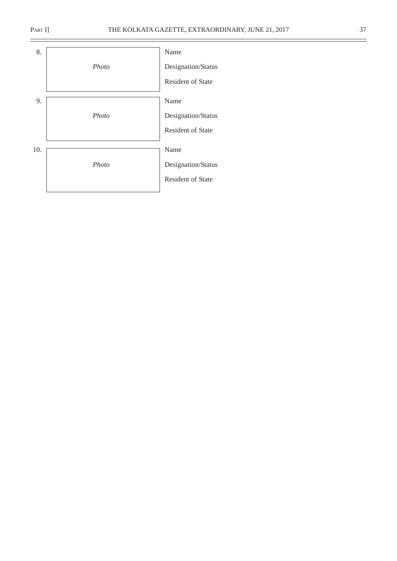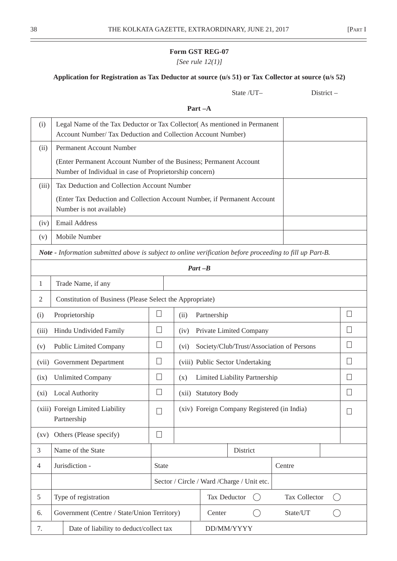*[See rule 12(1)]*

# **Application for Registration as Tax Deductor at source (u/s 51) or Tax Collector at source (u/s 52)**

State /UT– District –

# **Part –A**

| (i)                | Legal Name of the Tax Deductor or Tax Collector (As mentioned in Permanent<br>Account Number/ Tax Deduction and Collection Account Number) |              |      |                                           |                                             |                         |        |
|--------------------|--------------------------------------------------------------------------------------------------------------------------------------------|--------------|------|-------------------------------------------|---------------------------------------------|-------------------------|--------|
| (ii)               | Permanent Account Number                                                                                                                   |              |      |                                           |                                             |                         |        |
|                    | (Enter Permanent Account Number of the Business; Permanent Account<br>Number of Individual in case of Proprietorship concern)              |              |      |                                           |                                             |                         |        |
| (iii)              | Tax Deduction and Collection Account Number                                                                                                |              |      |                                           |                                             |                         |        |
|                    | (Enter Tax Deduction and Collection Account Number, if Permanent Account<br>Number is not available)                                       |              |      |                                           |                                             |                         |        |
| (iv)               | <b>Email Address</b>                                                                                                                       |              |      |                                           |                                             |                         |        |
| (v)                | Mobile Number                                                                                                                              |              |      |                                           |                                             |                         |        |
|                    | Note - Information submitted above is subject to online verification before proceeding to fill up Part-B.                                  |              |      |                                           |                                             |                         |        |
|                    |                                                                                                                                            |              |      | $Part - B$                                |                                             |                         |        |
| 1                  | Trade Name, if any                                                                                                                         |              |      |                                           |                                             |                         |        |
| $\overline{2}$     | Constitution of Business (Please Select the Appropriate)                                                                                   |              |      |                                           |                                             |                         |        |
| (i)                | Proprietorship                                                                                                                             | ⊔            | (ii) | Partnership                               |                                             |                         |        |
| (iii)              | Hindu Undivided Family                                                                                                                     | $\Box$       | (iv) | Private Limited Company                   |                                             |                         |        |
| (v)                | <b>Public Limited Company</b>                                                                                                              | $\Box$       | (vi) | Society/Club/Trust/Association of Persons |                                             |                         |        |
|                    | (vii) Government Department                                                                                                                | $\Box$       |      |                                           | (viii) Public Sector Undertaking            |                         |        |
| (ix)               | <b>Unlimited Company</b>                                                                                                                   | $\Box$       | (x)  |                                           | Limited Liability Partnership               |                         | $\Box$ |
| $(x_i)$            | <b>Local Authority</b>                                                                                                                     | $\Box$       |      | (xii) Statutory Body                      |                                             |                         |        |
|                    | (xiii) Foreign Limited Liability<br>Partnership                                                                                            | $\mathbf{L}$ |      |                                           | (xiv) Foreign Company Registered (in India) |                         |        |
| $\left( xy\right)$ | Others (Please specify)                                                                                                                    | $\Box$       |      |                                           |                                             |                         |        |
| $\mathfrak{Z}$     | Name of the State                                                                                                                          |              |      |                                           | District                                    |                         |        |
| $\overline{4}$     | Jurisdiction -                                                                                                                             | <b>State</b> |      |                                           |                                             | Centre                  |        |
|                    |                                                                                                                                            |              |      |                                           | Sector / Circle / Ward / Charge / Unit etc. |                         |        |
| $\sqrt{5}$         | Type of registration                                                                                                                       |              |      | Tax Deductor                              |                                             | Tax Collector<br>$(\ )$ |        |
| 6.                 | Government (Centre / State/Union Territory)                                                                                                |              |      | Center                                    |                                             | State/UT                |        |
| 7.                 | Date of liability to deduct/collect tax<br>DD/MM/YYYY                                                                                      |              |      |                                           |                                             |                         |        |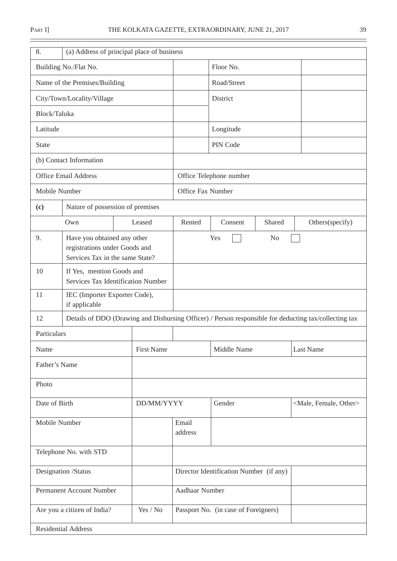| 8.                         |                                                                                                 | (a) Address of principal place of business |                                         |                         |                |                                                                                                       |
|----------------------------|-------------------------------------------------------------------------------------------------|--------------------------------------------|-----------------------------------------|-------------------------|----------------|-------------------------------------------------------------------------------------------------------|
|                            | Building No./Flat No.                                                                           |                                            |                                         | Floor No.               |                |                                                                                                       |
|                            | Name of the Premises/Building                                                                   |                                            |                                         | Road/Street             |                |                                                                                                       |
|                            | City/Town/Locality/Village                                                                      |                                            |                                         | District                |                |                                                                                                       |
| Block/Taluka               |                                                                                                 |                                            |                                         |                         |                |                                                                                                       |
| Latitude                   |                                                                                                 |                                            |                                         | Longitude               |                |                                                                                                       |
| <b>State</b>               |                                                                                                 |                                            |                                         | PIN Code                |                |                                                                                                       |
|                            | (b) Contact Information                                                                         |                                            |                                         |                         |                |                                                                                                       |
|                            | <b>Office Email Address</b>                                                                     |                                            |                                         | Office Telephone number |                |                                                                                                       |
| Mobile Number              |                                                                                                 |                                            | Office Fax Number                       |                         |                |                                                                                                       |
| (c)                        | Nature of possession of premises                                                                |                                            |                                         |                         |                |                                                                                                       |
|                            | Own                                                                                             | Leased                                     | Rented                                  | Consent                 | Shared         | Others(specify)                                                                                       |
| 9.                         | Have you obtained any other<br>registrations under Goods and<br>Services Tax in the same State? |                                            |                                         | Yes                     | N <sub>o</sub> |                                                                                                       |
| 10                         | If Yes, mention Goods and<br>Services Tax Identification Number                                 |                                            |                                         |                         |                |                                                                                                       |
| 11                         | IEC (Importer Exporter Code),<br>if applicable                                                  |                                            |                                         |                         |                |                                                                                                       |
| 12                         |                                                                                                 |                                            |                                         |                         |                | Details of DDO (Drawing and Disbursing Officer) / Person responsible for deducting tax/collecting tax |
| Particulars                |                                                                                                 |                                            |                                         |                         |                |                                                                                                       |
| Name                       |                                                                                                 | <b>First Name</b>                          |                                         | Middle Name             |                | <b>Last Name</b>                                                                                      |
| Father's Name              |                                                                                                 |                                            |                                         |                         |                |                                                                                                       |
| Photo                      |                                                                                                 |                                            |                                         |                         |                |                                                                                                       |
| Date of Birth              |                                                                                                 | DD/MM/YYYY                                 |                                         | Gender                  |                | <male, female,="" other=""></male,>                                                                   |
|                            | Mobile Number                                                                                   |                                            | Email<br>address                        |                         |                |                                                                                                       |
| Telephone No. with STD     |                                                                                                 |                                            |                                         |                         |                |                                                                                                       |
| Designation /Status        |                                                                                                 |                                            | Director Identification Number (if any) |                         |                |                                                                                                       |
|                            | Permanent Account Number                                                                        |                                            | Aadhaar Number                          |                         |                |                                                                                                       |
|                            | Are you a citizen of India?                                                                     | Yes / No                                   | Passport No. (in case of Foreigners)    |                         |                |                                                                                                       |
| <b>Residential Address</b> |                                                                                                 |                                            |                                         |                         |                |                                                                                                       |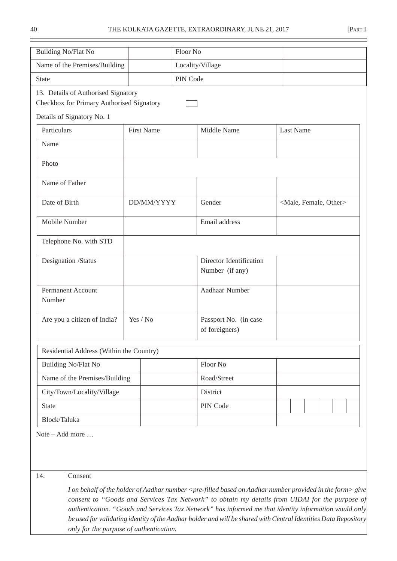| <b>Building No/Flat No</b>                                                       |                   | Floor No         |                                                                                                                                                                                                                                                                                                                                                                                                                                                                                |  |                  |                                     |  |
|----------------------------------------------------------------------------------|-------------------|------------------|--------------------------------------------------------------------------------------------------------------------------------------------------------------------------------------------------------------------------------------------------------------------------------------------------------------------------------------------------------------------------------------------------------------------------------------------------------------------------------|--|------------------|-------------------------------------|--|
| Name of the Premises/Building                                                    |                   | Locality/Village |                                                                                                                                                                                                                                                                                                                                                                                                                                                                                |  |                  |                                     |  |
| <b>State</b>                                                                     |                   | PIN Code         |                                                                                                                                                                                                                                                                                                                                                                                                                                                                                |  |                  |                                     |  |
| 13. Details of Authorised Signatory<br>Checkbox for Primary Authorised Signatory |                   |                  |                                                                                                                                                                                                                                                                                                                                                                                                                                                                                |  |                  |                                     |  |
| Details of Signatory No. 1                                                       |                   |                  |                                                                                                                                                                                                                                                                                                                                                                                                                                                                                |  |                  |                                     |  |
| Particulars                                                                      | <b>First Name</b> |                  | Middle Name                                                                                                                                                                                                                                                                                                                                                                                                                                                                    |  | <b>Last Name</b> |                                     |  |
| Name                                                                             |                   |                  |                                                                                                                                                                                                                                                                                                                                                                                                                                                                                |  |                  |                                     |  |
| Photo                                                                            |                   |                  |                                                                                                                                                                                                                                                                                                                                                                                                                                                                                |  |                  |                                     |  |
| Name of Father                                                                   |                   |                  |                                                                                                                                                                                                                                                                                                                                                                                                                                                                                |  |                  |                                     |  |
| Date of Birth                                                                    | DD/MM/YYYY        |                  | Gender                                                                                                                                                                                                                                                                                                                                                                                                                                                                         |  |                  | <male, female,="" other=""></male,> |  |
| Mobile Number                                                                    |                   |                  | Email address                                                                                                                                                                                                                                                                                                                                                                                                                                                                  |  |                  |                                     |  |
| Telephone No. with STD                                                           |                   |                  |                                                                                                                                                                                                                                                                                                                                                                                                                                                                                |  |                  |                                     |  |
| Designation /Status                                                              |                   |                  | Director Identification<br>Number (if any)                                                                                                                                                                                                                                                                                                                                                                                                                                     |  |                  |                                     |  |
| <b>Permanent Account</b><br>Number                                               |                   |                  | Aadhaar Number                                                                                                                                                                                                                                                                                                                                                                                                                                                                 |  |                  |                                     |  |
| Are you a citizen of India?                                                      | Yes / No          |                  | Passport No. (in case<br>of foreigners)                                                                                                                                                                                                                                                                                                                                                                                                                                        |  |                  |                                     |  |
| Residential Address (Within the Country)                                         |                   |                  |                                                                                                                                                                                                                                                                                                                                                                                                                                                                                |  |                  |                                     |  |
| Building No/Flat No                                                              |                   |                  | Floor No                                                                                                                                                                                                                                                                                                                                                                                                                                                                       |  |                  |                                     |  |
| Name of the Premises/Building                                                    |                   |                  | Road/Street                                                                                                                                                                                                                                                                                                                                                                                                                                                                    |  |                  |                                     |  |
| City/Town/Locality/Village                                                       |                   |                  | District                                                                                                                                                                                                                                                                                                                                                                                                                                                                       |  |                  |                                     |  |
| <b>State</b>                                                                     |                   |                  | PIN Code                                                                                                                                                                                                                                                                                                                                                                                                                                                                       |  |                  |                                     |  |
| Block/Taluka                                                                     |                   |                  |                                                                                                                                                                                                                                                                                                                                                                                                                                                                                |  |                  |                                     |  |
| Note – Add more                                                                  |                   |                  |                                                                                                                                                                                                                                                                                                                                                                                                                                                                                |  |                  |                                     |  |
| 14.<br>Consent                                                                   |                   |                  |                                                                                                                                                                                                                                                                                                                                                                                                                                                                                |  |                  |                                     |  |
| only for the purpose of authentication.                                          |                   |                  | I on behalf of the holder of Aadhar number <pre-filled aadhar="" based="" form="" in="" number="" on="" provided="" the=""> give<br/>consent to "Goods and Services Tax Network" to obtain my details from UIDAI for the purpose of<br/>authentication. "Goods and Services Tax Network" has informed me that identity information would only<br/>be used for validating identity of the Aadhar holder and will be shared with Central Identities Data Repository</pre-filled> |  |                  |                                     |  |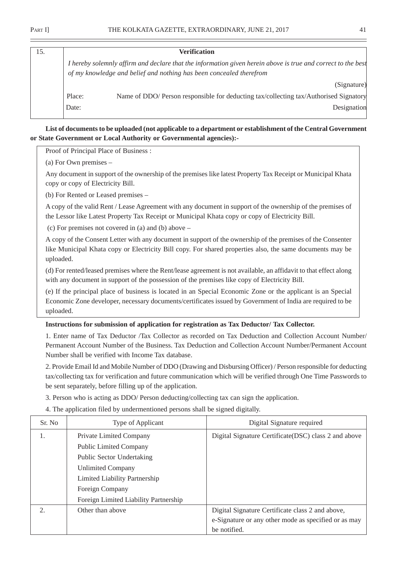| 15. |        | <b>Verification</b>                                                                                                                                                                 |
|-----|--------|-------------------------------------------------------------------------------------------------------------------------------------------------------------------------------------|
|     |        | I hereby solemnly affirm and declare that the information given herein above is true and correct to the best<br>of my knowledge and belief and nothing has been concealed therefrom |
|     |        | (Signature)                                                                                                                                                                         |
|     | Place: | Name of DDO/ Person responsible for deducting tax/collecting tax/Authorised Signatory                                                                                               |
|     | Date:  | Designation                                                                                                                                                                         |

**List of documents to be uploaded (not applicable to a department or establishment of the Central Government or State Government or Local Authority or Governmental agencies):-**

Proof of Principal Place of Business :

(a) For Own premises –

Any document in support of the ownership of the premises like latest Property Tax Receipt or Municipal Khata copy or copy of Electricity Bill.

(b) For Rented or Leased premises –

A copy of the valid Rent / Lease Agreement with any document in support of the ownership of the premises of the Lessor like Latest Property Tax Receipt or Municipal Khata copy or copy of Electricity Bill.

(c) For premises not covered in (a) and (b) above –

A copy of the Consent Letter with any document in support of the ownership of the premises of the Consenter like Municipal Khata copy or Electricity Bill copy. For shared properties also, the same documents may be uploaded.

(d) For rented/leased premises where the Rent/lease agreement is not available, an affidavit to that effect along with any document in support of the possession of the premises like copy of Electricity Bill.

(e) If the principal place of business is located in an Special Economic Zone or the applicant is an Special Economic Zone developer, necessary documents/certificates issued by Government of India are required to be uploaded.

### **Instructions for submission of application for registration as Tax Deductor/ Tax Collector.**

1. Enter name of Tax Deductor /Tax Collector as recorded on Tax Deduction and Collection Account Number/ Permanent Account Number of the Business. Tax Deduction and Collection Account Number/Permanent Account Number shall be verified with Income Tax database.

2. Provide Email Id and Mobile Number of DDO (Drawing and Disbursing Officer) / Person responsible for deducting tax/collecting tax for verification and future communication which will be verified through One Time Passwords to be sent separately, before filling up of the application.

3. Person who is acting as DDO/ Person deducting/collecting tax can sign the application.

4. The application filed by undermentioned persons shall be signed digitally.

| Sr. No. | Type of Applicant                     | Digital Signature required                            |
|---------|---------------------------------------|-------------------------------------------------------|
| 1.      | <b>Private Limited Company</b>        | Digital Signature Certificate (DSC) class 2 and above |
|         | <b>Public Limited Company</b>         |                                                       |
|         | <b>Public Sector Undertaking</b>      |                                                       |
|         | <b>Unlimited Company</b>              |                                                       |
|         | Limited Liability Partnership         |                                                       |
|         | Foreign Company                       |                                                       |
|         | Foreign Limited Liability Partnership |                                                       |
| 2.      | Other than above                      | Digital Signature Certificate class 2 and above,      |
|         |                                       | e-Signature or any other mode as specified or as may  |
|         |                                       | be notified.                                          |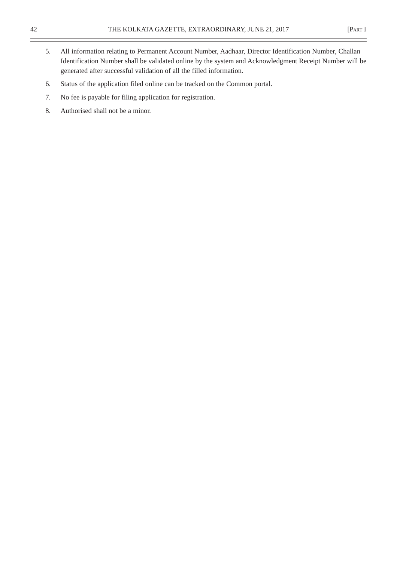- 5. All information relating to Permanent Account Number, Aadhaar, Director Identification Number, Challan Identification Number shall be validated online by the system and Acknowledgment Receipt Number will be generated after successful validation of all the filled information.
- 6. Status of the application filed online can be tracked on the Common portal.
- 7. No fee is payable for filing application for registration.
- 8. Authorised shall not be a minor.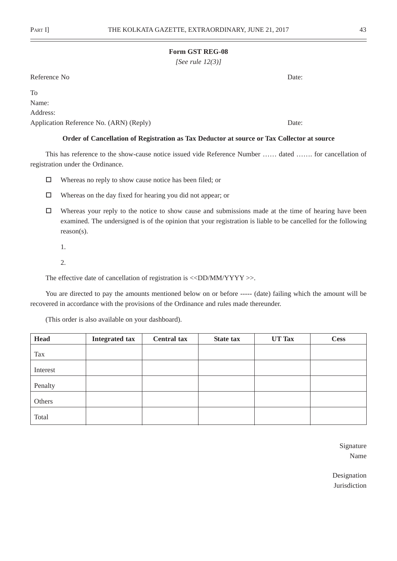*[See rule 12(3)]*

Reference No Date:

To

Name:

Address:

Application Reference No. (ARN) (Reply) Date:

### **Order of Cancellation of Registration as Tax Deductor at source or Tax Collector at source**

This has reference to the show-cause notice issued vide Reference Number …… dated ……. for cancellation of registration under the Ordinance.

- Whereas no reply to show cause notice has been filed; or
- $\Box$  Whereas on the day fixed for hearing you did not appear; or
- $\Box$  Whereas your reply to the notice to show cause and submissions made at the time of hearing have been examined. The undersigned is of the opinion that your registration is liable to be cancelled for the following reason(s).
	- 1.
	- 2.

The effective date of cancellation of registration is  $\langle \langle DDMM/YYYY \rangle$ .

You are directed to pay the amounts mentioned below on or before ----- (date) failing which the amount will be recovered in accordance with the provisions of the Ordinance and rules made thereunder.

(This order is also available on your dashboard).

| <b>Head</b> | <b>Integrated tax</b> | <b>Central tax</b> | State tax | UT Tax | <b>Cess</b> |
|-------------|-----------------------|--------------------|-----------|--------|-------------|
| Tax         |                       |                    |           |        |             |
| Interest    |                       |                    |           |        |             |
| Penalty     |                       |                    |           |        |             |
| Others      |                       |                    |           |        |             |
| Total       |                       |                    |           |        |             |

Signature Name

Designation Jurisdiction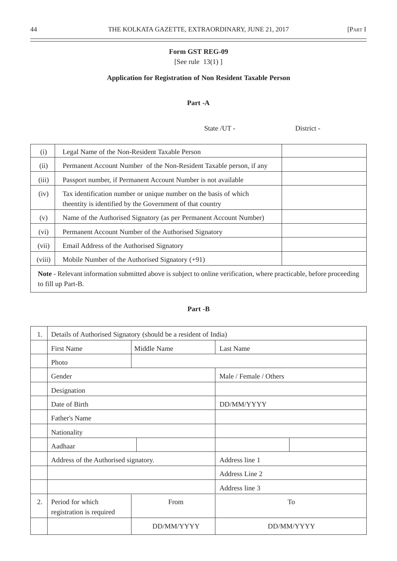÷,

### **Form GST REG-09**

[See rule 13(1) ]

## **Application for Registration of Non Resident Taxable Person**

## **Part -A**

State /UT - District -

| (i)                                                                                                                                              | Legal Name of the Non-Resident Taxable Person                       |  |  |  |
|--------------------------------------------------------------------------------------------------------------------------------------------------|---------------------------------------------------------------------|--|--|--|
| (ii)                                                                                                                                             | Permanent Account Number of the Non-Resident Taxable person, if any |  |  |  |
| (iii)                                                                                                                                            | Passport number, if Permanent Account Number is not available       |  |  |  |
| (iv)                                                                                                                                             | Tax identification number or unique number on the basis of which    |  |  |  |
|                                                                                                                                                  | the entity is identified by the Government of that country          |  |  |  |
| (v)                                                                                                                                              | Name of the Authorised Signatory (as per Permanent Account Number)  |  |  |  |
| (vi)                                                                                                                                             | Permanent Account Number of the Authorised Signatory                |  |  |  |
| (vii)                                                                                                                                            | Email Address of the Authorised Signatory                           |  |  |  |
| (viii)                                                                                                                                           | Mobile Number of the Authorised Signatory $(+91)$                   |  |  |  |
| <b>Note</b> - Relevant information submitted above is subject to online verification, where practicable, before proceeding<br>to fill up Part-B. |                                                                     |  |  |  |

## **Part -B**

| 1. | Details of Authorised Signatory (should be a resident of India) |             |                        |            |  |
|----|-----------------------------------------------------------------|-------------|------------------------|------------|--|
|    | <b>First Name</b>                                               | Middle Name | <b>Last Name</b>       |            |  |
|    | Photo                                                           |             |                        |            |  |
|    | Gender                                                          |             | Male / Female / Others |            |  |
|    | Designation                                                     |             |                        |            |  |
|    | Date of Birth                                                   |             | DD/MM/YYYY             |            |  |
|    | Father's Name                                                   |             |                        |            |  |
|    | Nationality                                                     |             |                        |            |  |
|    | Aadhaar                                                         |             |                        |            |  |
|    | Address of the Authorised signatory.                            |             | Address line 1         |            |  |
|    |                                                                 |             | Address Line 2         |            |  |
|    |                                                                 |             | Address line 3         |            |  |
| 2. | Period for which<br>From                                        |             | To                     |            |  |
|    | registration is required                                        |             |                        |            |  |
|    |                                                                 | DD/MM/YYYY  |                        | DD/MM/YYYY |  |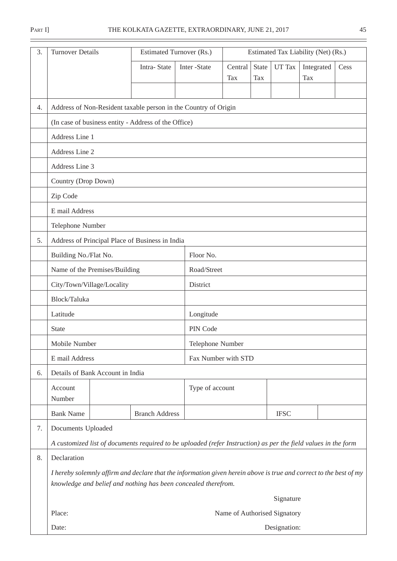$\equiv$ 

ı

| 3. | <b>Turnover Details</b>                         |  | Estimated Turnover (Rs.)                             |                                                                                                                    | Estimated Tax Liability (Net) (Rs.) |                            |              |                          |      |  |
|----|-------------------------------------------------|--|------------------------------------------------------|--------------------------------------------------------------------------------------------------------------------|-------------------------------------|----------------------------|--------------|--------------------------|------|--|
|    |                                                 |  | Intra-State                                          | Inter -State                                                                                                       | Central<br>Tax                      | <b>State</b><br><b>Tax</b> | UT Tax       | Integrated<br><b>Tax</b> | Cess |  |
| 4. |                                                 |  |                                                      | Address of Non-Resident taxable person in the Country of Origin                                                    |                                     |                            |              |                          |      |  |
|    |                                                 |  | (In case of business entity - Address of the Office) |                                                                                                                    |                                     |                            |              |                          |      |  |
|    | Address Line 1                                  |  |                                                      |                                                                                                                    |                                     |                            |              |                          |      |  |
|    | Address Line 2                                  |  |                                                      |                                                                                                                    |                                     |                            |              |                          |      |  |
|    | Address Line 3                                  |  |                                                      |                                                                                                                    |                                     |                            |              |                          |      |  |
|    | Country (Drop Down)                             |  |                                                      |                                                                                                                    |                                     |                            |              |                          |      |  |
|    | Zip Code                                        |  |                                                      |                                                                                                                    |                                     |                            |              |                          |      |  |
|    | E mail Address                                  |  |                                                      |                                                                                                                    |                                     |                            |              |                          |      |  |
|    | Telephone Number                                |  |                                                      |                                                                                                                    |                                     |                            |              |                          |      |  |
| 5. | Address of Principal Place of Business in India |  |                                                      |                                                                                                                    |                                     |                            |              |                          |      |  |
|    | Building No./Flat No.                           |  | Floor No.                                            |                                                                                                                    |                                     |                            |              |                          |      |  |
|    | Name of the Premises/Building                   |  |                                                      |                                                                                                                    | Road/Street                         |                            |              |                          |      |  |
|    | City/Town/Village/Locality                      |  |                                                      | District                                                                                                           |                                     |                            |              |                          |      |  |
|    | Block/Taluka                                    |  |                                                      |                                                                                                                    |                                     |                            |              |                          |      |  |
|    | Latitude                                        |  |                                                      | Longitude                                                                                                          |                                     |                            |              |                          |      |  |
|    | <b>State</b>                                    |  |                                                      | PIN Code                                                                                                           |                                     |                            |              |                          |      |  |
|    | Mobile Number                                   |  |                                                      |                                                                                                                    | Telephone Number                    |                            |              |                          |      |  |
|    | E mail Address                                  |  |                                                      | Fax Number with STD                                                                                                |                                     |                            |              |                          |      |  |
| 6. | Details of Bank Account in India                |  |                                                      |                                                                                                                    |                                     |                            |              |                          |      |  |
|    | Account<br>Number                               |  |                                                      | Type of account                                                                                                    |                                     |                            |              |                          |      |  |
|    | <b>Bank Name</b>                                |  | <b>Branch Address</b>                                |                                                                                                                    |                                     |                            | <b>IFSC</b>  |                          |      |  |
| 7. | Documents Uploaded                              |  |                                                      |                                                                                                                    |                                     |                            |              |                          |      |  |
|    |                                                 |  |                                                      | A customized list of documents required to be uploaded (refer Instruction) as per the field values in the form     |                                     |                            |              |                          |      |  |
| 8. | Declaration                                     |  |                                                      |                                                                                                                    |                                     |                            |              |                          |      |  |
|    |                                                 |  |                                                      | I hereby solemnly affirm and declare that the information given herein above is true and correct to the best of my |                                     |                            |              |                          |      |  |
|    |                                                 |  |                                                      | knowledge and belief and nothing has been concealed therefrom.                                                     |                                     |                            |              |                          |      |  |
|    |                                                 |  |                                                      |                                                                                                                    |                                     |                            | Signature    |                          |      |  |
|    | Place:                                          |  |                                                      |                                                                                                                    | Name of Authorised Signatory        |                            |              |                          |      |  |
|    | Date:                                           |  |                                                      |                                                                                                                    |                                     |                            | Designation: |                          |      |  |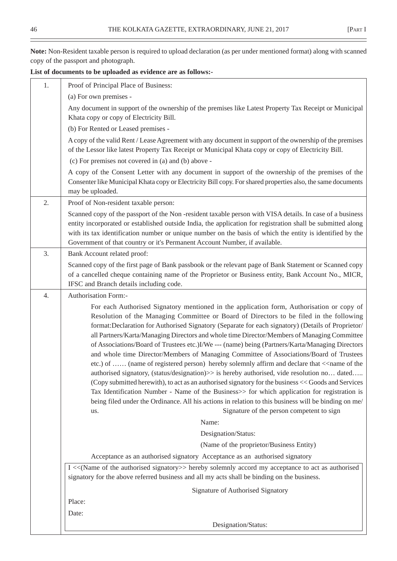**Note:** Non-Resident taxable person is required to upload declaration (as per under mentioned format) along with scanned copy of the passport and photograph.

**List of documents to be uploaded as evidence are as follows:-**

| 1. | Proof of Principal Place of Business:                                                                                                                                                                                                                                                                                                                                                                                                                                                                                                                                                                                                                                                                                                                                                                                                                                                                                                                                                                                                                                                                                                                                                                  |
|----|--------------------------------------------------------------------------------------------------------------------------------------------------------------------------------------------------------------------------------------------------------------------------------------------------------------------------------------------------------------------------------------------------------------------------------------------------------------------------------------------------------------------------------------------------------------------------------------------------------------------------------------------------------------------------------------------------------------------------------------------------------------------------------------------------------------------------------------------------------------------------------------------------------------------------------------------------------------------------------------------------------------------------------------------------------------------------------------------------------------------------------------------------------------------------------------------------------|
|    | (a) For own premises -                                                                                                                                                                                                                                                                                                                                                                                                                                                                                                                                                                                                                                                                                                                                                                                                                                                                                                                                                                                                                                                                                                                                                                                 |
|    | Any document in support of the ownership of the premises like Latest Property Tax Receipt or Municipal<br>Khata copy or copy of Electricity Bill.                                                                                                                                                                                                                                                                                                                                                                                                                                                                                                                                                                                                                                                                                                                                                                                                                                                                                                                                                                                                                                                      |
|    | (b) For Rented or Leased premises -                                                                                                                                                                                                                                                                                                                                                                                                                                                                                                                                                                                                                                                                                                                                                                                                                                                                                                                                                                                                                                                                                                                                                                    |
|    | A copy of the valid Rent / Lease Agreement with any document in support of the ownership of the premises<br>of the Lessor like latest Property Tax Receipt or Municipal Khata copy or copy of Electricity Bill.                                                                                                                                                                                                                                                                                                                                                                                                                                                                                                                                                                                                                                                                                                                                                                                                                                                                                                                                                                                        |
|    | (c) For premises not covered in (a) and (b) above -                                                                                                                                                                                                                                                                                                                                                                                                                                                                                                                                                                                                                                                                                                                                                                                                                                                                                                                                                                                                                                                                                                                                                    |
|    | A copy of the Consent Letter with any document in support of the ownership of the premises of the<br>Consenter like Municipal Khata copy or Electricity Bill copy. For shared properties also, the same documents<br>may be uploaded.                                                                                                                                                                                                                                                                                                                                                                                                                                                                                                                                                                                                                                                                                                                                                                                                                                                                                                                                                                  |
| 2. | Proof of Non-resident taxable person:                                                                                                                                                                                                                                                                                                                                                                                                                                                                                                                                                                                                                                                                                                                                                                                                                                                                                                                                                                                                                                                                                                                                                                  |
|    | Scanned copy of the passport of the Non-resident taxable person with VISA details. In case of a business<br>entity incorporated or established outside India, the application for registration shall be submitted along<br>with its tax identification number or unique number on the basis of which the entity is identified by the<br>Government of that country or it's Permanent Account Number, if available.                                                                                                                                                                                                                                                                                                                                                                                                                                                                                                                                                                                                                                                                                                                                                                                     |
| 3. | Bank Account related proof:                                                                                                                                                                                                                                                                                                                                                                                                                                                                                                                                                                                                                                                                                                                                                                                                                                                                                                                                                                                                                                                                                                                                                                            |
|    | Scanned copy of the first page of Bank passbook or the relevant page of Bank Statement or Scanned copy<br>of a cancelled cheque containing name of the Proprietor or Business entity, Bank Account No., MICR,                                                                                                                                                                                                                                                                                                                                                                                                                                                                                                                                                                                                                                                                                                                                                                                                                                                                                                                                                                                          |
| 4. | IFSC and Branch details including code.<br>Authorisation Form:-                                                                                                                                                                                                                                                                                                                                                                                                                                                                                                                                                                                                                                                                                                                                                                                                                                                                                                                                                                                                                                                                                                                                        |
|    | For each Authorised Signatory mentioned in the application form, Authorisation or copy of<br>Resolution of the Managing Committee or Board of Directors to be filed in the following<br>format:Declaration for Authorised Signatory (Separate for each signatory) (Details of Proprietor/<br>all Partners/Karta/Managing Directors and whole time Director/Members of Managing Committee<br>of Associations/Board of Trustees etc.)I/We --- (name) being (Partners/Karta/Managing Directors<br>and whole time Director/Members of Managing Committee of Associations/Board of Trustees<br>etc.) of  (name of registered person) hereby solemnly affirm and declare that < <name of="" the<br="">authorised signatory, (status/designation)&gt;&gt; is hereby authorised, vide resolution no dated<br/>(Copy submitted herewith), to act as an authorised signatory for the business &lt;&lt; Goods and Services<br/>Tax Identification Number - Name of the Business&gt;&gt; for which application for registration is<br/>being filed under the Ordinance. All his actions in relation to this business will be binding on me/<br/>Signature of the person competent to sign<br/>us.<br/>Name:</name> |
|    | Designation/Status:                                                                                                                                                                                                                                                                                                                                                                                                                                                                                                                                                                                                                                                                                                                                                                                                                                                                                                                                                                                                                                                                                                                                                                                    |
|    | (Name of the proprietor/Business Entity)                                                                                                                                                                                                                                                                                                                                                                                                                                                                                                                                                                                                                                                                                                                                                                                                                                                                                                                                                                                                                                                                                                                                                               |
|    | Acceptance as an authorised signatory Acceptance as an authorised signatory                                                                                                                                                                                                                                                                                                                                                                                                                                                                                                                                                                                                                                                                                                                                                                                                                                                                                                                                                                                                                                                                                                                            |
|    | I << (Name of the authorised signatory>> hereby solemnly accord my acceptance to act as authorised<br>signatory for the above referred business and all my acts shall be binding on the business.                                                                                                                                                                                                                                                                                                                                                                                                                                                                                                                                                                                                                                                                                                                                                                                                                                                                                                                                                                                                      |
|    | Signature of Authorised Signatory                                                                                                                                                                                                                                                                                                                                                                                                                                                                                                                                                                                                                                                                                                                                                                                                                                                                                                                                                                                                                                                                                                                                                                      |
|    | Place:                                                                                                                                                                                                                                                                                                                                                                                                                                                                                                                                                                                                                                                                                                                                                                                                                                                                                                                                                                                                                                                                                                                                                                                                 |
|    | Date:                                                                                                                                                                                                                                                                                                                                                                                                                                                                                                                                                                                                                                                                                                                                                                                                                                                                                                                                                                                                                                                                                                                                                                                                  |
|    | Designation/Status:                                                                                                                                                                                                                                                                                                                                                                                                                                                                                                                                                                                                                                                                                                                                                                                                                                                                                                                                                                                                                                                                                                                                                                                    |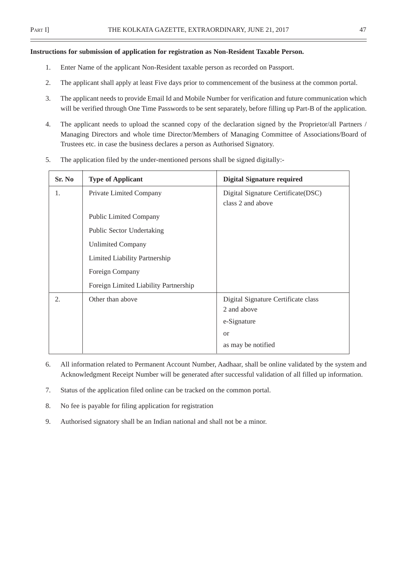### **Instructions for submission of application for registration as Non-Resident Taxable Person.**

- 1. Enter Name of the applicant Non-Resident taxable person as recorded on Passport.
- 2. The applicant shall apply at least Five days prior to commencement of the business at the common portal.
- 3. The applicant needs to provide Email Id and Mobile Number for verification and future communication which will be verified through One Time Passwords to be sent separately, before filling up Part-B of the application.
- 4. The applicant needs to upload the scanned copy of the declaration signed by the Proprietor/all Partners / Managing Directors and whole time Director/Members of Managing Committee of Associations/Board of Trustees etc. in case the business declares a person as Authorised Signatory.
- 5. The application filed by the under-mentioned persons shall be signed digitally:-

| Sr. No | <b>Type of Applicant</b>              | <b>Digital Signature required</b>                       |
|--------|---------------------------------------|---------------------------------------------------------|
| 1.     | Private Limited Company               | Digital Signature Certificate(DSC)<br>class 2 and above |
|        | <b>Public Limited Company</b>         |                                                         |
|        | Public Sector Undertaking             |                                                         |
|        | <b>Unlimited Company</b>              |                                                         |
|        | Limited Liability Partnership         |                                                         |
|        | Foreign Company                       |                                                         |
|        | Foreign Limited Liability Partnership |                                                         |
| 2.     | Other than above                      | Digital Signature Certificate class                     |
|        |                                       | 2 and above                                             |
|        |                                       | e-Signature                                             |
|        |                                       | <sub>or</sub>                                           |
|        |                                       | as may be notified                                      |

- 6. All information related to Permanent Account Number, Aadhaar, shall be online validated by the system and Acknowledgment Receipt Number will be generated after successful validation of all filled up information.
- 7. Status of the application filed online can be tracked on the common portal.
- 8. No fee is payable for filing application for registration
- 9. Authorised signatory shall be an Indian national and shall not be a minor.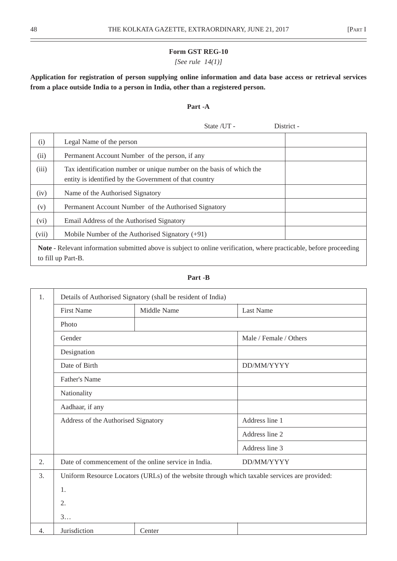## *[See rule 14(1)]*

**Application for registration of person supplying online information and data base access or retrieval services from a place outside India to a person in India, other than a registered person.**

# **Part -A**

State / UT - District -

| (i)                                                                                                                                              | Legal Name of the person                                                                                                       |  |  |  |
|--------------------------------------------------------------------------------------------------------------------------------------------------|--------------------------------------------------------------------------------------------------------------------------------|--|--|--|
| (ii)                                                                                                                                             | Permanent Account Number of the person, if any                                                                                 |  |  |  |
| (iii)                                                                                                                                            | Tax identification number or unique number on the basis of which the<br>entity is identified by the Government of that country |  |  |  |
| (iv)                                                                                                                                             | Name of the Authorised Signatory                                                                                               |  |  |  |
| (v)                                                                                                                                              | Permanent Account Number of the Authorised Signatory                                                                           |  |  |  |
| (vi)                                                                                                                                             | Email Address of the Authorised Signatory                                                                                      |  |  |  |
| (vii)                                                                                                                                            | Mobile Number of the Authorised Signatory $(+91)$                                                                              |  |  |  |
| <b>Note</b> - Relevant information submitted above is subject to online verification, where practicable, before proceeding<br>to fill up Part-B. |                                                                                                                                |  |  |  |

### **Part -B**

| 1.<br>Details of Authorised Signatory (shall be resident of India) |                                     |                                                                                              |                        |  |  |  |
|--------------------------------------------------------------------|-------------------------------------|----------------------------------------------------------------------------------------------|------------------------|--|--|--|
|                                                                    | <b>First Name</b>                   | Middle Name                                                                                  | <b>Last Name</b>       |  |  |  |
|                                                                    | Photo                               |                                                                                              |                        |  |  |  |
|                                                                    | Gender                              |                                                                                              | Male / Female / Others |  |  |  |
|                                                                    | Designation                         |                                                                                              |                        |  |  |  |
|                                                                    | Date of Birth                       |                                                                                              | DD/MM/YYYY             |  |  |  |
|                                                                    | <b>Father's Name</b>                |                                                                                              |                        |  |  |  |
|                                                                    | Nationality                         |                                                                                              |                        |  |  |  |
|                                                                    | Aadhaar, if any                     |                                                                                              |                        |  |  |  |
|                                                                    | Address of the Authorised Signatory |                                                                                              | Address line 1         |  |  |  |
|                                                                    |                                     |                                                                                              | Address line 2         |  |  |  |
|                                                                    |                                     |                                                                                              | Address line 3         |  |  |  |
| 2.                                                                 |                                     | Date of commencement of the online service in India.                                         | DD/MM/YYYY             |  |  |  |
| 3.                                                                 |                                     | Uniform Resource Locators (URLs) of the website through which taxable services are provided: |                        |  |  |  |
|                                                                    | 1.                                  |                                                                                              |                        |  |  |  |
|                                                                    | 2.                                  |                                                                                              |                        |  |  |  |
|                                                                    | 3                                   |                                                                                              |                        |  |  |  |
| 4.                                                                 | Jurisdiction                        | Center                                                                                       |                        |  |  |  |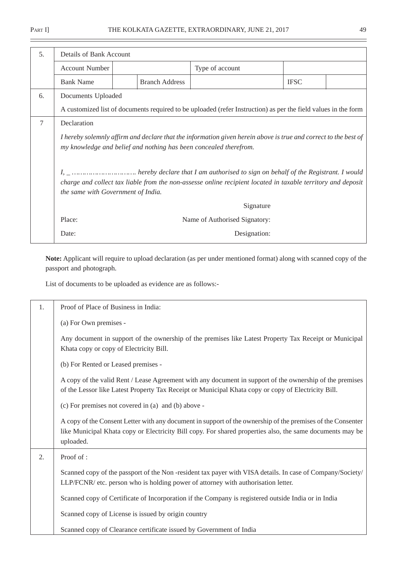$\overline{a}$ 

| 5.              | Details of Bank Account                                                                                                                                                                                                                                                                         |                       |                                                                                                                |             |  |  |  |
|-----------------|-------------------------------------------------------------------------------------------------------------------------------------------------------------------------------------------------------------------------------------------------------------------------------------------------|-----------------------|----------------------------------------------------------------------------------------------------------------|-------------|--|--|--|
|                 | <b>Account Number</b>                                                                                                                                                                                                                                                                           |                       | Type of account                                                                                                |             |  |  |  |
|                 | <b>Bank Name</b>                                                                                                                                                                                                                                                                                | <b>Branch Address</b> |                                                                                                                | <b>IFSC</b> |  |  |  |
| 6.              | Documents Uploaded                                                                                                                                                                                                                                                                              |                       |                                                                                                                |             |  |  |  |
|                 |                                                                                                                                                                                                                                                                                                 |                       | A customized list of documents required to be uploaded (refer Instruction) as per the field values in the form |             |  |  |  |
| $7\phantom{.0}$ | Declaration                                                                                                                                                                                                                                                                                     |                       |                                                                                                                |             |  |  |  |
|                 | I hereby solemnly affirm and declare that the information given herein above is true and correct to the best of<br>my knowledge and belief and nothing has been concealed therefrom.                                                                                                            |                       |                                                                                                                |             |  |  |  |
|                 | $I, \_ \ldots \ldots \ldots \ldots \ldots \ldots \ldots$ hereby declare that I am authorised to sign on behalf of the Registrant. I would<br>charge and collect tax liable from the non-assesse online recipient located in taxable territory and deposit<br>the same with Government of India. |                       |                                                                                                                |             |  |  |  |
|                 | Signature                                                                                                                                                                                                                                                                                       |                       |                                                                                                                |             |  |  |  |
|                 | Place:                                                                                                                                                                                                                                                                                          |                       | Name of Authorised Signatory:                                                                                  |             |  |  |  |
|                 | Date:                                                                                                                                                                                                                                                                                           |                       | Designation:                                                                                                   |             |  |  |  |

**Note:** Applicant will require to upload declaration (as per under mentioned format) along with scanned copy of the passport and photograph.

List of documents to be uploaded as evidence are as follows:-

| 1. | Proof of Place of Business in India:                                                                                                                                                                                                  |
|----|---------------------------------------------------------------------------------------------------------------------------------------------------------------------------------------------------------------------------------------|
|    | (a) For Own premises -                                                                                                                                                                                                                |
|    | Any document in support of the ownership of the premises like Latest Property Tax Receipt or Municipal<br>Khata copy or copy of Electricity Bill.                                                                                     |
|    | (b) For Rented or Leased premises -                                                                                                                                                                                                   |
|    | A copy of the valid Rent / Lease Agreement with any document in support of the ownership of the premises<br>of the Lessor like Latest Property Tax Receipt or Municipal Khata copy or copy of Electricity Bill.                       |
|    | (c) For premises not covered in (a) and (b) above -                                                                                                                                                                                   |
|    | A copy of the Consent Letter with any document in support of the ownership of the premises of the Consenter<br>like Municipal Khata copy or Electricity Bill copy. For shared properties also, the same documents may be<br>uploaded. |
| 2. | Proof of:                                                                                                                                                                                                                             |
|    | Scanned copy of the passport of the Non-resident tax payer with VISA details. In case of Company/Society/<br>LLP/FCNR/ etc. person who is holding power of attorney with authorisation letter.                                        |
|    | Scanned copy of Certificate of Incorporation if the Company is registered outside India or in India                                                                                                                                   |
|    | Scanned copy of License is issued by origin country                                                                                                                                                                                   |
|    | Scanned copy of Clearance certificate issued by Government of India                                                                                                                                                                   |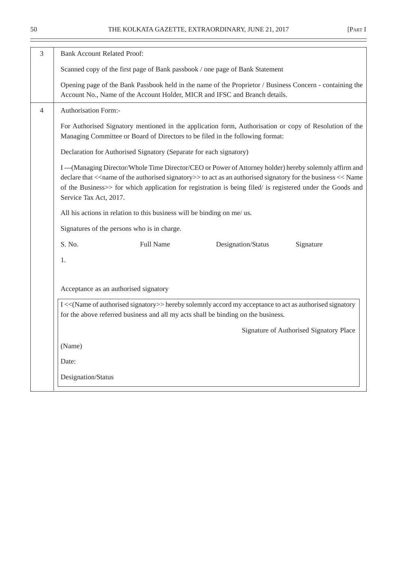| 3                        | <b>Bank Account Related Proof:</b>                                                                                                                                                                                                                                                                                                                                                                  |  |  |  |  |  |  |
|--------------------------|-----------------------------------------------------------------------------------------------------------------------------------------------------------------------------------------------------------------------------------------------------------------------------------------------------------------------------------------------------------------------------------------------------|--|--|--|--|--|--|
|                          | Scanned copy of the first page of Bank passbook / one page of Bank Statement                                                                                                                                                                                                                                                                                                                        |  |  |  |  |  |  |
|                          | Opening page of the Bank Passbook held in the name of the Proprietor / Business Concern - containing the<br>Account No., Name of the Account Holder, MICR and IFSC and Branch details.                                                                                                                                                                                                              |  |  |  |  |  |  |
| $\overline{\mathcal{A}}$ | Authorisation Form:-                                                                                                                                                                                                                                                                                                                                                                                |  |  |  |  |  |  |
|                          | For Authorised Signatory mentioned in the application form, Authorisation or copy of Resolution of the<br>Managing Committee or Board of Directors to be filed in the following format:                                                                                                                                                                                                             |  |  |  |  |  |  |
|                          | Declaration for Authorised Signatory (Separate for each signatory)                                                                                                                                                                                                                                                                                                                                  |  |  |  |  |  |  |
|                          | I---(Managing Director/Whole Time Director/CEO or Power of Attorney holder) hereby solemnly affirm and<br>declare that < <name authorised="" of="" signatory="" the="">&gt; to act as an authorised signatory for the business &lt;&lt; Name<br/>of the Business&gt;&gt; for which application for registration is being filed/ is registered under the Goods and<br/>Service Tax Act, 2017.</name> |  |  |  |  |  |  |
|                          | All his actions in relation to this business will be binding on me/ us.                                                                                                                                                                                                                                                                                                                             |  |  |  |  |  |  |
|                          | Signatures of the persons who is in charge.                                                                                                                                                                                                                                                                                                                                                         |  |  |  |  |  |  |
|                          | S. No.<br><b>Full Name</b><br>Designation/Status<br>Signature                                                                                                                                                                                                                                                                                                                                       |  |  |  |  |  |  |
|                          | 1.                                                                                                                                                                                                                                                                                                                                                                                                  |  |  |  |  |  |  |
|                          |                                                                                                                                                                                                                                                                                                                                                                                                     |  |  |  |  |  |  |
|                          | Acceptance as an authorised signatory                                                                                                                                                                                                                                                                                                                                                               |  |  |  |  |  |  |
|                          | I << (Name of authorised signatory>> hereby solemnly accord my acceptance to act as authorised signatory<br>for the above referred business and all my acts shall be binding on the business.                                                                                                                                                                                                       |  |  |  |  |  |  |
|                          | Signature of Authorised Signatory Place                                                                                                                                                                                                                                                                                                                                                             |  |  |  |  |  |  |
|                          | (Name)                                                                                                                                                                                                                                                                                                                                                                                              |  |  |  |  |  |  |
|                          | Date:                                                                                                                                                                                                                                                                                                                                                                                               |  |  |  |  |  |  |
|                          | Designation/Status                                                                                                                                                                                                                                                                                                                                                                                  |  |  |  |  |  |  |
|                          |                                                                                                                                                                                                                                                                                                                                                                                                     |  |  |  |  |  |  |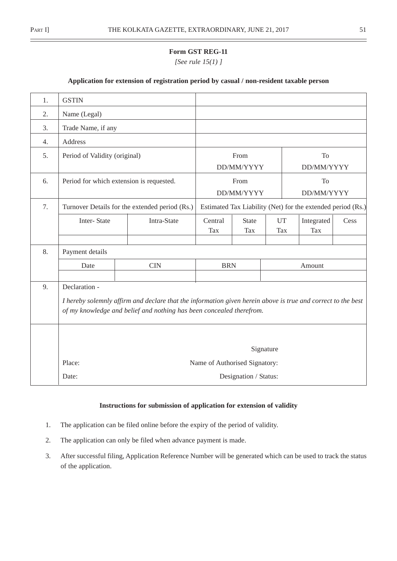*[See rule 15(1) ]*

### **Application for extension of registration period by casual / non-resident taxable person**

| 1. | <b>GSTIN</b>                                                                                                                                                                                          |                                                |            |                       |           |                                                             |      |
|----|-------------------------------------------------------------------------------------------------------------------------------------------------------------------------------------------------------|------------------------------------------------|------------|-----------------------|-----------|-------------------------------------------------------------|------|
| 2. | Name (Legal)                                                                                                                                                                                          |                                                |            |                       |           |                                                             |      |
| 3. | Trade Name, if any                                                                                                                                                                                    |                                                |            |                       |           |                                                             |      |
| 4. | Address                                                                                                                                                                                               |                                                |            |                       |           |                                                             |      |
| 5. | Period of Validity (original)                                                                                                                                                                         |                                                |            | From                  |           | To                                                          |      |
|    |                                                                                                                                                                                                       |                                                |            | DD/MM/YYYY            |           | DD/MM/YYYY                                                  |      |
| 6. | Period for which extension is requested.                                                                                                                                                              |                                                |            | From                  |           | <b>To</b>                                                   |      |
|    |                                                                                                                                                                                                       |                                                |            | DD/MM/YYYY            |           | DD/MM/YYYY                                                  |      |
| 7. |                                                                                                                                                                                                       | Turnover Details for the extended period (Rs.) |            |                       |           | Estimated Tax Liability (Net) for the extended period (Rs.) |      |
|    | Inter-State                                                                                                                                                                                           | Intra-State                                    | Central    | <b>State</b>          | <b>UT</b> | Integrated                                                  | Cess |
|    |                                                                                                                                                                                                       |                                                | Tax        | Tax                   | Tax       | <b>Tax</b>                                                  |      |
| 8. | Payment details                                                                                                                                                                                       |                                                |            |                       |           |                                                             |      |
|    | Date                                                                                                                                                                                                  | <b>CIN</b>                                     | <b>BRN</b> |                       |           | Amount                                                      |      |
|    |                                                                                                                                                                                                       |                                                |            |                       |           |                                                             |      |
| 9. | Declaration -<br>I hereby solemnly affirm and declare that the information given herein above is true and correct to the best<br>of my knowledge and belief and nothing has been concealed therefrom. |                                                |            |                       |           |                                                             |      |
|    | Signature<br>Place:<br>Name of Authorised Signatory:                                                                                                                                                  |                                                |            |                       |           |                                                             |      |
|    | Date:                                                                                                                                                                                                 |                                                |            | Designation / Status: |           |                                                             |      |

## **Instructions for submission of application for extension of validity**

- 1. The application can be filed online before the expiry of the period of validity.
- 2. The application can only be filed when advance payment is made.
- 3. After successful filing, Application Reference Number will be generated which can be used to track the status of the application.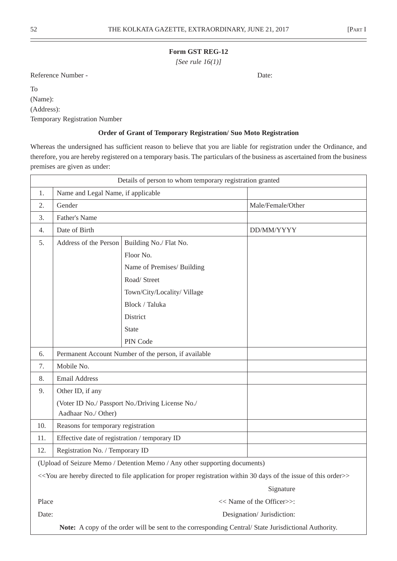*[See rule 16(1)]*

Reference Number - Date:

To

(Name):

(Address):

Temporary Registration Number

### **Order of Grant of Temporary Registration/ Suo Moto Registration**

Whereas the undersigned has sufficient reason to believe that you are liable for registration under the Ordinance, and therefore, you are hereby registered on a temporary basis. The particulars of the business as ascertained from the business premises are given as under:

|       | Details of person to whom temporary registration granted |                                                                                                                                                                             |                            |  |  |
|-------|----------------------------------------------------------|-----------------------------------------------------------------------------------------------------------------------------------------------------------------------------|----------------------------|--|--|
| 1.    | Name and Legal Name, if applicable                       |                                                                                                                                                                             |                            |  |  |
| 2.    | Gender                                                   |                                                                                                                                                                             | Male/Female/Other          |  |  |
| 3.    | Father's Name                                            |                                                                                                                                                                             |                            |  |  |
| 4.    | Date of Birth                                            |                                                                                                                                                                             | DD/MM/YYYY                 |  |  |
| 5.    | Address of the Person                                    | Building No./ Flat No.                                                                                                                                                      |                            |  |  |
|       |                                                          | Floor No.                                                                                                                                                                   |                            |  |  |
|       |                                                          | Name of Premises/ Building                                                                                                                                                  |                            |  |  |
|       |                                                          | Road/ Street                                                                                                                                                                |                            |  |  |
|       |                                                          | Town/City/Locality/Village                                                                                                                                                  |                            |  |  |
|       |                                                          | Block / Taluka                                                                                                                                                              |                            |  |  |
|       |                                                          | District                                                                                                                                                                    |                            |  |  |
|       |                                                          | <b>State</b>                                                                                                                                                                |                            |  |  |
|       |                                                          | PIN Code                                                                                                                                                                    |                            |  |  |
| 6.    |                                                          | Permanent Account Number of the person, if available                                                                                                                        |                            |  |  |
| 7.    | Mobile No.                                               |                                                                                                                                                                             |                            |  |  |
| 8.    | <b>Email Address</b>                                     |                                                                                                                                                                             |                            |  |  |
| 9.    | Other ID, if any                                         |                                                                                                                                                                             |                            |  |  |
|       |                                                          | (Voter ID No./ Passport No./Driving License No./                                                                                                                            |                            |  |  |
|       | Aadhaar No./ Other)                                      |                                                                                                                                                                             |                            |  |  |
| 10.   | Reasons for temporary registration                       |                                                                                                                                                                             |                            |  |  |
| 11.   | Effective date of registration / temporary ID            |                                                                                                                                                                             |                            |  |  |
| 12.   | Registration No. / Temporary ID                          |                                                                                                                                                                             |                            |  |  |
|       |                                                          | (Upload of Seizure Memo / Detention Memo / Any other supporting documents)                                                                                                  |                            |  |  |
|       |                                                          | < <you 30="" application="" are="" days="" directed="" file="" for="" hereby="" issue="" of="" order="" proper="" registration="" the="" this="" to="" within="">&gt;</you> |                            |  |  |
|       |                                                          |                                                                                                                                                                             | Signature                  |  |  |
| Place |                                                          |                                                                                                                                                                             | << Name of the Officer>>:  |  |  |
| Date: |                                                          |                                                                                                                                                                             | Designation/ Jurisdiction: |  |  |
|       |                                                          | Note: A copy of the order will be sent to the corresponding Central/State Jurisdictional Authority.                                                                         |                            |  |  |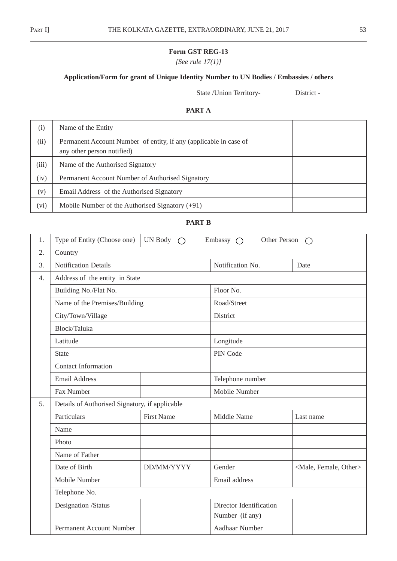$\overline{\phantom{0}}$ 

*[See rule 17(1)]*

# **Application/Form for grant of Unique Identity Number to UN Bodies / Embassies / others**

State /Union Territory- District -

# **PART A**

| (i)   | Name of the Entity                                                                              |  |
|-------|-------------------------------------------------------------------------------------------------|--|
| (ii)  | Permanent Account Number of entity, if any (applicable in case of<br>any other person notified) |  |
| (iii) | Name of the Authorised Signatory                                                                |  |
| (iv)  | Permanent Account Number of Authorised Signatory                                                |  |
| (v)   | Email Address of the Authorised Signatory                                                       |  |
| (vi)  | Mobile Number of the Authorised Signatory $(+91)$                                               |  |

# **PART B**

| 1. | Type of Entity (Choose one)                    | UN Body $\bigcirc$ | Other Person<br>Embassy $\bigcap$          | $\bigcirc$                          |  |
|----|------------------------------------------------|--------------------|--------------------------------------------|-------------------------------------|--|
| 2. | Country                                        |                    |                                            |                                     |  |
| 3. | <b>Notification Details</b>                    |                    | Notification No.                           | Date                                |  |
| 4. | Address of the entity in State                 |                    |                                            |                                     |  |
|    | Building No./Flat No.                          |                    | Floor No.                                  |                                     |  |
|    | Name of the Premises/Building                  |                    | Road/Street                                |                                     |  |
|    | City/Town/Village                              |                    | District                                   |                                     |  |
|    | Block/Taluka                                   |                    |                                            |                                     |  |
|    | Latitude                                       |                    | Longitude                                  |                                     |  |
|    | <b>State</b>                                   |                    | PIN Code                                   |                                     |  |
|    | <b>Contact Information</b>                     |                    |                                            |                                     |  |
|    | <b>Email Address</b>                           |                    | Telephone number                           |                                     |  |
|    | Fax Number                                     |                    | Mobile Number                              |                                     |  |
| 5. | Details of Authorised Signatory, if applicable |                    |                                            |                                     |  |
|    | Particulars                                    | <b>First Name</b>  | Middle Name                                | Last name                           |  |
|    | Name                                           |                    |                                            |                                     |  |
|    | Photo                                          |                    |                                            |                                     |  |
|    | Name of Father                                 |                    |                                            |                                     |  |
|    | Date of Birth                                  | DD/MM/YYYY         | Gender                                     | <male, female,="" other=""></male,> |  |
|    | Mobile Number                                  |                    | Email address                              |                                     |  |
|    | Telephone No.                                  |                    |                                            |                                     |  |
|    | Designation /Status                            |                    | Director Identification<br>Number (if any) |                                     |  |
|    | Permanent Account Number                       |                    | Aadhaar Number                             |                                     |  |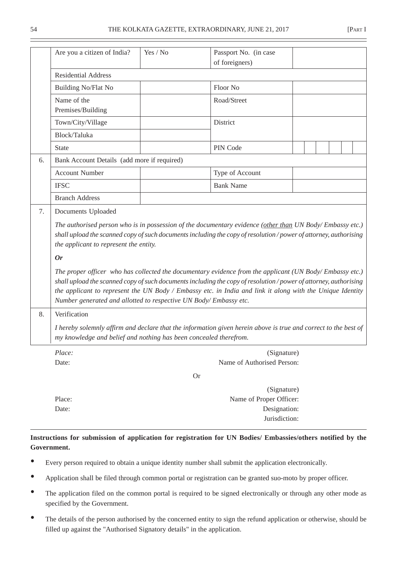|    | Are you a citizen of India?                                       | Yes / No  | Passport No. (in case                                                                                                                                                                                                                                                                                                                     |  |  |  |  |  |  |  |
|----|-------------------------------------------------------------------|-----------|-------------------------------------------------------------------------------------------------------------------------------------------------------------------------------------------------------------------------------------------------------------------------------------------------------------------------------------------|--|--|--|--|--|--|--|
|    | of foreigners)                                                    |           |                                                                                                                                                                                                                                                                                                                                           |  |  |  |  |  |  |  |
|    | <b>Residential Address</b>                                        |           |                                                                                                                                                                                                                                                                                                                                           |  |  |  |  |  |  |  |
|    | Building No/Flat No                                               |           | Floor No                                                                                                                                                                                                                                                                                                                                  |  |  |  |  |  |  |  |
|    | Name of the<br>Premises/Building                                  |           | Road/Street                                                                                                                                                                                                                                                                                                                               |  |  |  |  |  |  |  |
|    | Town/City/Village                                                 |           | District                                                                                                                                                                                                                                                                                                                                  |  |  |  |  |  |  |  |
|    | Block/Taluka                                                      |           |                                                                                                                                                                                                                                                                                                                                           |  |  |  |  |  |  |  |
|    | <b>State</b>                                                      |           | PIN Code                                                                                                                                                                                                                                                                                                                                  |  |  |  |  |  |  |  |
| 6. | Bank Account Details (add more if required)                       |           |                                                                                                                                                                                                                                                                                                                                           |  |  |  |  |  |  |  |
|    | <b>Account Number</b>                                             |           | Type of Account                                                                                                                                                                                                                                                                                                                           |  |  |  |  |  |  |  |
|    | <b>IFSC</b>                                                       |           | <b>Bank Name</b>                                                                                                                                                                                                                                                                                                                          |  |  |  |  |  |  |  |
|    | <b>Branch Address</b>                                             |           |                                                                                                                                                                                                                                                                                                                                           |  |  |  |  |  |  |  |
| 7. | Documents Uploaded                                                |           |                                                                                                                                                                                                                                                                                                                                           |  |  |  |  |  |  |  |
|    | the applicant to represent the entity.                            |           | The authorised person who is in possession of the documentary evidence (other than UN Body/Embassy etc.)<br>shall upload the scanned copy of such documents including the copy of resolution / power of attorney, authorising                                                                                                             |  |  |  |  |  |  |  |
|    | <b>Or</b>                                                         |           |                                                                                                                                                                                                                                                                                                                                           |  |  |  |  |  |  |  |
|    | Number generated and allotted to respective UN Body/Embassy etc.  |           | The proper officer who has collected the documentary evidence from the applicant (UN Body/Embassy etc.)<br>shall upload the scanned copy of such documents including the copy of resolution / power of attorney, authorising<br>the applicant to represent the UN Body / Embassy etc. in India and link it along with the Unique Identity |  |  |  |  |  |  |  |
| 8. | Verification                                                      |           |                                                                                                                                                                                                                                                                                                                                           |  |  |  |  |  |  |  |
|    | my knowledge and belief and nothing has been concealed therefrom. |           | I hereby solemnly affirm and declare that the information given herein above is true and correct to the best of                                                                                                                                                                                                                           |  |  |  |  |  |  |  |
|    | Place:                                                            |           | (Signature)                                                                                                                                                                                                                                                                                                                               |  |  |  |  |  |  |  |
|    | Date:                                                             |           | Name of Authorised Person:                                                                                                                                                                                                                                                                                                                |  |  |  |  |  |  |  |
|    |                                                                   | <b>Or</b> |                                                                                                                                                                                                                                                                                                                                           |  |  |  |  |  |  |  |
|    |                                                                   |           | (Signature)                                                                                                                                                                                                                                                                                                                               |  |  |  |  |  |  |  |

Jurisdiction: **Instructions for submission of application for registration for UN Bodies/ Embassies/others notified by the Government.**

• Every person required to obtain a unique identity number shall submit the application electronically.

Place: Name of Proper Officer: Date: Designation:

- Application shall be filed through common portal or registration can be granted suo-moto by proper officer.
- The application filed on the common portal is required to be signed electronically or through any other mode as specified by the Government.
- The details of the person authorised by the concerned entity to sign the refund application or otherwise, should be filled up against the "Authorised Signatory details" in the application.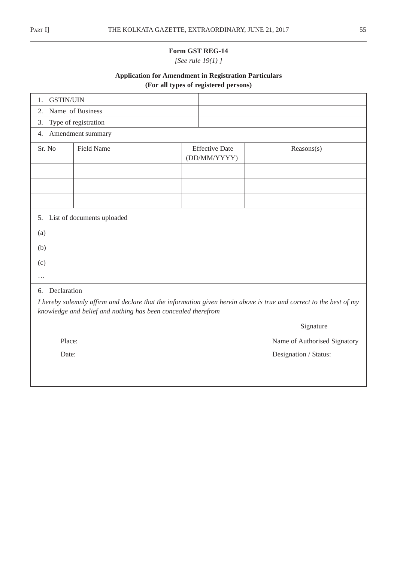$\overline{\phantom{0}}$ 

## **Form GST REG-14**

*[See rule 19(1) ]*

# **Application for Amendment in Registration Particulars (For all types of registered persons)**

| <b>GSTIN/UIN</b><br>1. |                                                               |  |                                       |                                                                                                                    |  |  |  |
|------------------------|---------------------------------------------------------------|--|---------------------------------------|--------------------------------------------------------------------------------------------------------------------|--|--|--|
| 2.                     | Name of Business                                              |  |                                       |                                                                                                                    |  |  |  |
| 3.                     | Type of registration                                          |  |                                       |                                                                                                                    |  |  |  |
| 4.                     | Amendment summary                                             |  |                                       |                                                                                                                    |  |  |  |
| Sr. No                 | Field Name                                                    |  | <b>Effective Date</b><br>(DD/MM/YYYY) | Reasons(s)                                                                                                         |  |  |  |
|                        |                                                               |  |                                       |                                                                                                                    |  |  |  |
|                        |                                                               |  |                                       |                                                                                                                    |  |  |  |
|                        |                                                               |  |                                       |                                                                                                                    |  |  |  |
|                        | 5. List of documents uploaded                                 |  |                                       |                                                                                                                    |  |  |  |
| (a)                    |                                                               |  |                                       |                                                                                                                    |  |  |  |
| (b)                    |                                                               |  |                                       |                                                                                                                    |  |  |  |
| (c)                    |                                                               |  |                                       |                                                                                                                    |  |  |  |
| .                      |                                                               |  |                                       |                                                                                                                    |  |  |  |
| Declaration<br>6.      |                                                               |  |                                       |                                                                                                                    |  |  |  |
|                        | knowledge and belief and nothing has been concealed therefrom |  |                                       | I hereby solemnly affirm and declare that the information given herein above is true and correct to the best of my |  |  |  |
|                        |                                                               |  |                                       | Signature                                                                                                          |  |  |  |
| Place:                 |                                                               |  |                                       | Name of Authorised Signatory                                                                                       |  |  |  |
| Date:                  |                                                               |  |                                       | Designation / Status:                                                                                              |  |  |  |
|                        |                                                               |  |                                       |                                                                                                                    |  |  |  |
|                        |                                                               |  |                                       |                                                                                                                    |  |  |  |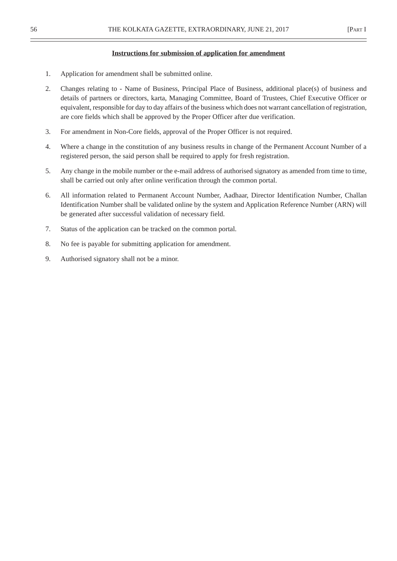### **Instructions for submission of application for amendment**

- 1. Application for amendment shall be submitted online.
- 2. Changes relating to Name of Business, Principal Place of Business, additional place(s) of business and details of partners or directors, karta, Managing Committee, Board of Trustees, Chief Executive Officer or equivalent, responsible for day to day affairs of the business which does not warrant cancellation of registration, are core fields which shall be approved by the Proper Officer after due verification.
- 3. For amendment in Non-Core fields, approval of the Proper Officer is not required.
- 4. Where a change in the constitution of any business results in change of the Permanent Account Number of a registered person, the said person shall be required to apply for fresh registration.
- 5. Any change in the mobile number or the e-mail address of authorised signatory as amended from time to time, shall be carried out only after online verification through the common portal.
- 6. All information related to Permanent Account Number, Aadhaar, Director Identification Number, Challan Identification Number shall be validated online by the system and Application Reference Number (ARN) will be generated after successful validation of necessary field.
- 7. Status of the application can be tracked on the common portal.
- 8. No fee is payable for submitting application for amendment.
- 9. Authorised signatory shall not be a minor.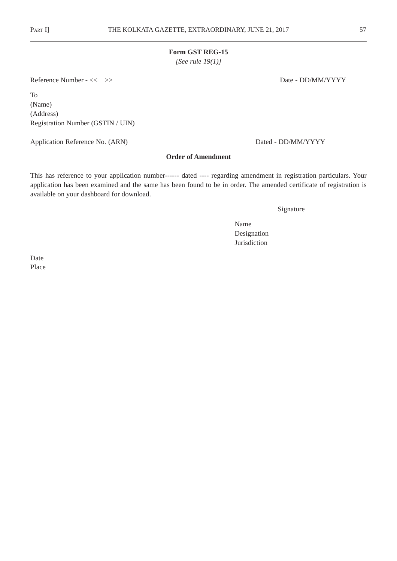*[See rule 19(1)]*

Reference Number - << >> Date - DD/MM/YYYY

To (Name) (Address) Registration Number (GSTIN / UIN)

Application Reference No. (ARN) Dated - DD/MM/YYYY

### **Order of Amendment**

This has reference to your application number------ dated ---- regarding amendment in registration particulars. Your application has been examined and the same has been found to be in order. The amended certificate of registration is available on your dashboard for download.

Signature

Name Designation Jurisdiction

Date Place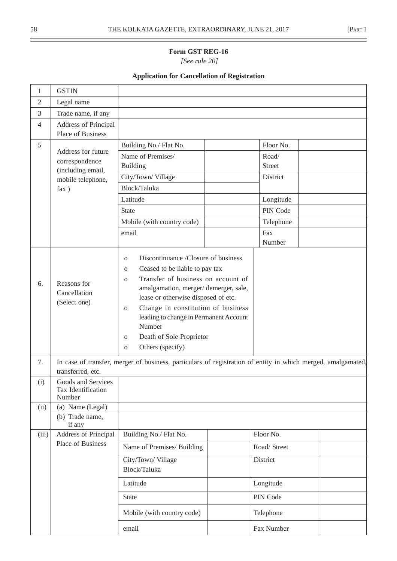$\overline{\phantom{0}}$ 

# **Form GST REG-16**

 *[See rule 20]*

# **Application for Cancellation of Registration**

| 1              | <b>GSTIN</b>                                              |                                                                                                                                                                                                                                                                                                                                                                                                                                      |  |                 |  |
|----------------|-----------------------------------------------------------|--------------------------------------------------------------------------------------------------------------------------------------------------------------------------------------------------------------------------------------------------------------------------------------------------------------------------------------------------------------------------------------------------------------------------------------|--|-----------------|--|
| $\overline{2}$ | Legal name                                                |                                                                                                                                                                                                                                                                                                                                                                                                                                      |  |                 |  |
| 3              | Trade name, if any                                        |                                                                                                                                                                                                                                                                                                                                                                                                                                      |  |                 |  |
| $\overline{4}$ | <b>Address of Principal</b><br>Place of Business          |                                                                                                                                                                                                                                                                                                                                                                                                                                      |  |                 |  |
| 5              |                                                           | Building No./ Flat No.                                                                                                                                                                                                                                                                                                                                                                                                               |  | Floor No.       |  |
|                | Address for future<br>correspondence<br>(including email, | Name of Premises/<br><b>Building</b>                                                                                                                                                                                                                                                                                                                                                                                                 |  | Road/<br>Street |  |
|                | mobile telephone,                                         | City/Town/Village                                                                                                                                                                                                                                                                                                                                                                                                                    |  | District        |  |
|                | fax)                                                      | Block/Taluka                                                                                                                                                                                                                                                                                                                                                                                                                         |  |                 |  |
|                |                                                           | Latitude                                                                                                                                                                                                                                                                                                                                                                                                                             |  | Longitude       |  |
|                |                                                           | <b>State</b>                                                                                                                                                                                                                                                                                                                                                                                                                         |  | PIN Code        |  |
|                |                                                           | Mobile (with country code)                                                                                                                                                                                                                                                                                                                                                                                                           |  | Telephone       |  |
|                |                                                           | email                                                                                                                                                                                                                                                                                                                                                                                                                                |  | Fax<br>Number   |  |
| 6.             | Reasons for<br>Cancellation<br>(Select one)               | Discontinuance /Closure of business<br>$\mathbf{O}$<br>Ceased to be liable to pay tax<br>$\mathbf{O}$<br>Transfer of business on account of<br>$\mathbf{O}$<br>amalgamation, merger/demerger, sale,<br>lease or otherwise disposed of etc.<br>Change in constitution of business<br>$\mathbf{O}$<br>leading to change in Permanent Account<br>Number<br>Death of Sole Proprietor<br>$\mathbf{O}$<br>Others (specify)<br>$\mathbf{O}$ |  |                 |  |
| 7.             | transferred, etc.                                         | In case of transfer, merger of business, particulars of registration of entity in which merged, amalgamated,                                                                                                                                                                                                                                                                                                                         |  |                 |  |
| (i)            | Goods and Services<br>Tax Identification<br>Number        |                                                                                                                                                                                                                                                                                                                                                                                                                                      |  |                 |  |
| (ii)           | (a) Name (Legal)<br>(b) Trade name,<br>if any             |                                                                                                                                                                                                                                                                                                                                                                                                                                      |  |                 |  |
| (iii)          | <b>Address of Principal</b>                               | Building No./ Flat No.                                                                                                                                                                                                                                                                                                                                                                                                               |  | Floor No.       |  |
|                | Place of Business                                         | Name of Premises/ Building                                                                                                                                                                                                                                                                                                                                                                                                           |  | Road/ Street    |  |
|                |                                                           | City/Town/Village<br>Block/Taluka                                                                                                                                                                                                                                                                                                                                                                                                    |  | District        |  |
|                |                                                           | Latitude                                                                                                                                                                                                                                                                                                                                                                                                                             |  | Longitude       |  |
|                |                                                           | <b>State</b>                                                                                                                                                                                                                                                                                                                                                                                                                         |  | PIN Code        |  |
|                |                                                           | Mobile (with country code)                                                                                                                                                                                                                                                                                                                                                                                                           |  | Telephone       |  |
|                |                                                           | email                                                                                                                                                                                                                                                                                                                                                                                                                                |  | Fax Number      |  |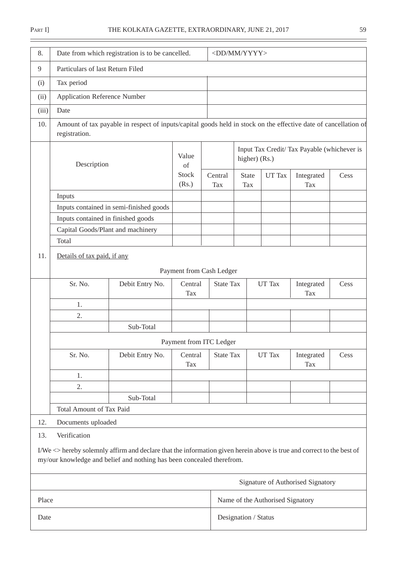| 8.    | Date from which registration is to be cancelled. |                                                                                                                                                                                                | <dd mm="" yyyy=""></dd>              |                       |                                      |                                                                                   |                                   |      |
|-------|--------------------------------------------------|------------------------------------------------------------------------------------------------------------------------------------------------------------------------------------------------|--------------------------------------|-----------------------|--------------------------------------|-----------------------------------------------------------------------------------|-----------------------------------|------|
| 9     | Particulars of last Return Filed                 |                                                                                                                                                                                                |                                      |                       |                                      |                                                                                   |                                   |      |
| (i)   | Tax period                                       |                                                                                                                                                                                                |                                      |                       |                                      |                                                                                   |                                   |      |
| (ii)  | <b>Application Reference Number</b>              |                                                                                                                                                                                                |                                      |                       |                                      |                                                                                   |                                   |      |
| (iii) | Date                                             |                                                                                                                                                                                                |                                      |                       |                                      |                                                                                   |                                   |      |
| 10.   | registration.                                    | Amount of tax payable in respect of inputs/capital goods held in stock on the effective date of cancellation of                                                                                |                                      |                       |                                      |                                                                                   |                                   |      |
|       | Description                                      |                                                                                                                                                                                                | Value<br>of<br><b>Stock</b><br>(Rs.) | Central<br><b>Tax</b> | higher) (Rs.)<br><b>State</b><br>Tax | Input Tax Credit/Tax Payable (whichever is<br>UT Tax<br>Integrated<br>Cess<br>Tax |                                   |      |
|       | Inputs                                           |                                                                                                                                                                                                |                                      |                       |                                      |                                                                                   |                                   |      |
|       |                                                  | Inputs contained in semi-finished goods                                                                                                                                                        |                                      |                       |                                      |                                                                                   |                                   |      |
|       | Inputs contained in finished goods               |                                                                                                                                                                                                |                                      |                       |                                      |                                                                                   |                                   |      |
|       | Capital Goods/Plant and machinery                |                                                                                                                                                                                                |                                      |                       |                                      |                                                                                   |                                   |      |
|       | Total                                            |                                                                                                                                                                                                |                                      |                       |                                      |                                                                                   |                                   |      |
| 11.   | Details of tax paid, if any                      |                                                                                                                                                                                                |                                      |                       |                                      |                                                                                   |                                   |      |
|       |                                                  |                                                                                                                                                                                                | Payment from Cash Ledger             |                       |                                      |                                                                                   |                                   |      |
|       | Sr. No.                                          | Debit Entry No.                                                                                                                                                                                | Central<br><b>Tax</b>                | <b>State Tax</b>      |                                      | UT Tax                                                                            | Integrated<br><b>Tax</b>          | Cess |
|       | 1.                                               |                                                                                                                                                                                                |                                      |                       |                                      |                                                                                   |                                   |      |
|       | 2.                                               |                                                                                                                                                                                                |                                      |                       |                                      |                                                                                   |                                   |      |
|       |                                                  | Sub-Total                                                                                                                                                                                      |                                      |                       |                                      |                                                                                   |                                   |      |
|       |                                                  |                                                                                                                                                                                                | Payment from ITC Ledger              |                       |                                      |                                                                                   |                                   |      |
|       | Sr. No.                                          | Debit Entry No.                                                                                                                                                                                | Central<br>Tax                       | <b>State Tax</b>      |                                      | UT Tax                                                                            | Integrated<br><b>Tax</b>          | Cess |
|       | 1.                                               |                                                                                                                                                                                                |                                      |                       |                                      |                                                                                   |                                   |      |
|       | 2.                                               |                                                                                                                                                                                                |                                      |                       |                                      |                                                                                   |                                   |      |
|       |                                                  | Sub-Total                                                                                                                                                                                      |                                      |                       |                                      |                                                                                   |                                   |      |
|       | Total Amount of Tax Paid                         |                                                                                                                                                                                                |                                      |                       |                                      |                                                                                   |                                   |      |
| 12.   | Documents uploaded                               |                                                                                                                                                                                                |                                      |                       |                                      |                                                                                   |                                   |      |
| 13.   | Verification                                     |                                                                                                                                                                                                |                                      |                       |                                      |                                                                                   |                                   |      |
|       |                                                  | I/We <> hereby solemnly affirm and declare that the information given herein above is true and correct to the best of<br>my/our knowledge and belief and nothing has been concealed therefrom. |                                      |                       |                                      |                                                                                   |                                   |      |
|       |                                                  |                                                                                                                                                                                                |                                      |                       |                                      |                                                                                   | Signature of Authorised Signatory |      |
| Place |                                                  |                                                                                                                                                                                                |                                      |                       |                                      | Name of the Authorised Signatory                                                  |                                   |      |
| Date  |                                                  |                                                                                                                                                                                                |                                      |                       | Designation / Status                 |                                                                                   |                                   |      |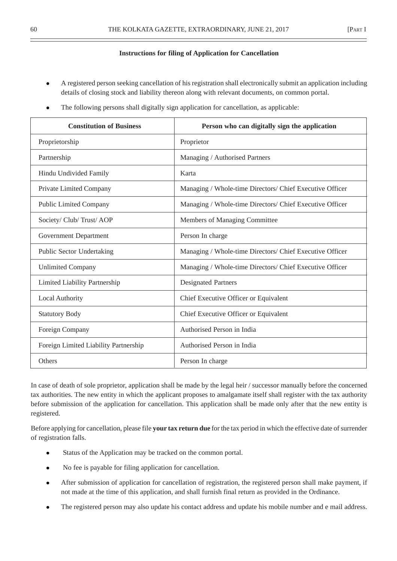### **Instructions for filing of Application for Cancellation**

- A registered person seeking cancellation of his registration shall electronically submit an application including details of closing stock and liability thereon along with relevant documents, on common portal.
- The following persons shall digitally sign application for cancellation, as applicable:

| <b>Constitution of Business</b>       | Person who can digitally sign the application            |
|---------------------------------------|----------------------------------------------------------|
| Proprietorship                        | Proprietor                                               |
| Partnership                           | Managing / Authorised Partners                           |
| Hindu Undivided Family                | Karta                                                    |
| Private Limited Company               | Managing / Whole-time Directors/ Chief Executive Officer |
| <b>Public Limited Company</b>         | Managing / Whole-time Directors/ Chief Executive Officer |
| Society/ Club/ Trust/ AOP             | Members of Managing Committee                            |
| <b>Government Department</b>          | Person In charge                                         |
| <b>Public Sector Undertaking</b>      | Managing / Whole-time Directors/ Chief Executive Officer |
| <b>Unlimited Company</b>              | Managing / Whole-time Directors/ Chief Executive Officer |
| Limited Liability Partnership         | <b>Designated Partners</b>                               |
| <b>Local Authority</b>                | Chief Executive Officer or Equivalent                    |
| <b>Statutory Body</b>                 | Chief Executive Officer or Equivalent                    |
| Foreign Company                       | Authorised Person in India                               |
| Foreign Limited Liability Partnership | Authorised Person in India                               |
| <b>Others</b>                         | Person In charge                                         |

In case of death of sole proprietor, application shall be made by the legal heir / successor manually before the concerned tax authorities. The new entity in which the applicant proposes to amalgamate itself shall register with the tax authority before submission of the application for cancellation. This application shall be made only after that the new entity is registered.

Before applying for cancellation, please file **your tax return due** for the tax period in which the effective date of surrender of registration falls.

- Status of the Application may be tracked on the common portal.
- No fee is payable for filing application for cancellation.
- After submission of application for cancellation of registration, the registered person shall make payment, if not made at the time of this application, and shall furnish final return as provided in the Ordinance.
- The registered person may also update his contact address and update his mobile number and e mail address.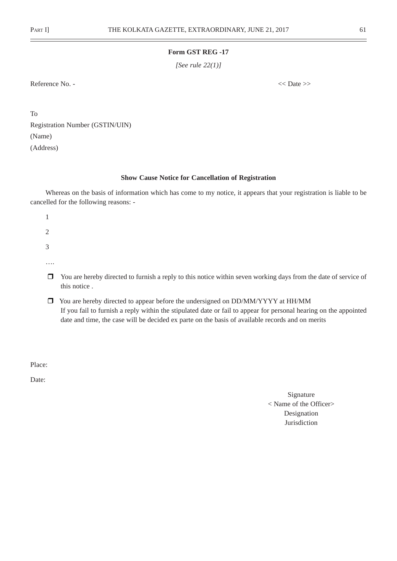*[See rule 22(1)]*

Reference No. -  $\langle$  Date >>

To Registration Number (GSTIN/UIN) (Name) (Address)

### **Show Cause Notice for Cancellation of Registration**

Whereas on the basis of information which has come to my notice, it appears that your registration is liable to be cancelled for the following reasons: -

- 1 2 3 ….
- $\Box$  You are hereby directed to furnish a reply to this notice within seven working days from the date of service of this notice .
- You are hereby directed to appear before the undersigned on DD/MM/YYYY at HH/MM If you fail to furnish a reply within the stipulated date or fail to appear for personal hearing on the appointed date and time, the case will be decided ex parte on the basis of available records and on merits

Place:

Date:

Signature < Name of the Officer> Designation Jurisdiction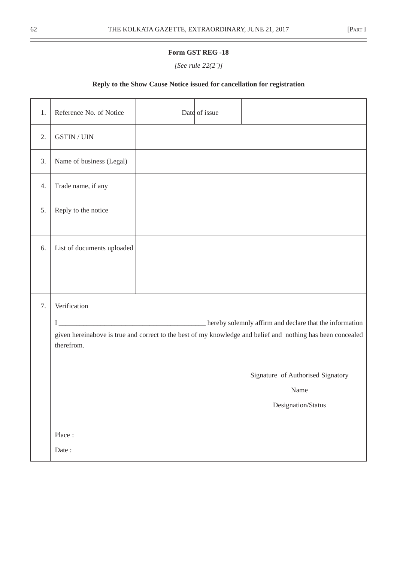*[See rule 22(2`)]*

## **Reply to the Show Cause Notice issued for cancellation for registration**

| 1. | Reference No. of Notice    | Date of issue |                                                                                                                                                                        |
|----|----------------------------|---------------|------------------------------------------------------------------------------------------------------------------------------------------------------------------------|
| 2. | <b>GSTIN / UIN</b>         |               |                                                                                                                                                                        |
| 3. | Name of business (Legal)   |               |                                                                                                                                                                        |
| 4. | Trade name, if any         |               |                                                                                                                                                                        |
| 5. | Reply to the notice        |               |                                                                                                                                                                        |
| 6. | List of documents uploaded |               |                                                                                                                                                                        |
| 7. | Verification<br>therefrom. |               | hereby solemnly affirm and declare that the information<br>given hereinabove is true and correct to the best of my knowledge and belief and nothing has been concealed |
|    | Place:<br>Date:            |               | Signature of Authorised Signatory<br>Name<br>Designation/Status                                                                                                        |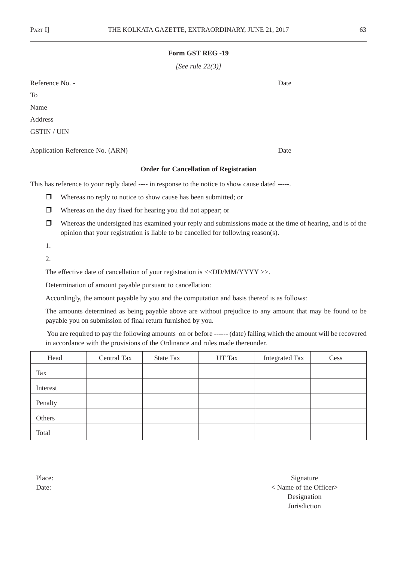*[See rule 22(3)]*

Reference No. - Date To Name Address GSTIN / UIN

Application Reference No. (ARN) Date

### **Order for Cancellation of Registration**

This has reference to your reply dated ---- in response to the notice to show cause dated -----.

- **D** Whereas no reply to notice to show cause has been submitted; or
- Whereas on the day fixed for hearing you did not appear; or
- $\Box$  Whereas the undersigned has examined your reply and submissions made at the time of hearing, and is of the opinion that your registration is liable to be cancelled for following reason(s).
- 1.
- 2.

The effective date of cancellation of your registration is <<DD/MM/YYYY >>.

Determination of amount payable pursuant to cancellation:

Accordingly, the amount payable by you and the computation and basis thereof is as follows:

The amounts determined as being payable above are without prejudice to any amount that may be found to be payable you on submission of final return furnished by you.

 You are required to pay the following amounts on or before ------ (date) failing which the amount will be recovered in accordance with the provisions of the Ordinance and rules made thereunder.

| Head     | Central Tax | State Tax | <b>UT Tax</b> | <b>Integrated Tax</b> | Cess |
|----------|-------------|-----------|---------------|-----------------------|------|
| Tax      |             |           |               |                       |      |
| Interest |             |           |               |                       |      |
| Penalty  |             |           |               |                       |      |
| Others   |             |           |               |                       |      |
| Total    |             |           |               |                       |      |

Place: Signature Seconds Signature Seconds and Signature Seconds Signature Seconds and Signature Seconds and Signature Seconds and Signature Seconds and Signature Seconds and Signature Seconds and Signature Seconds and Sig Date:  $\langle$  Name of the Officer Designation Jurisdiction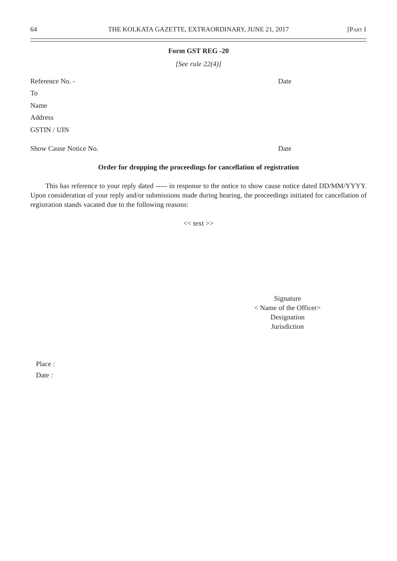*[See rule 22(4)]*

Reference No. - Date

To

Name

Address

GSTIN / UIN

Show Cause Notice No. Date

## **Order for dropping the proceedings for cancellation of registration**

This has reference to your reply dated ----- in response to the notice to show cause notice dated DD/MM/YYYY. Upon consideration of your reply and/or submissions made during hearing, the proceedings initiated for cancellation of registration stands vacated due to the following reasons:

 $<<$  text $>>$ 

Signature < Name of the Officer> Designation Jurisdiction

Place :

Date: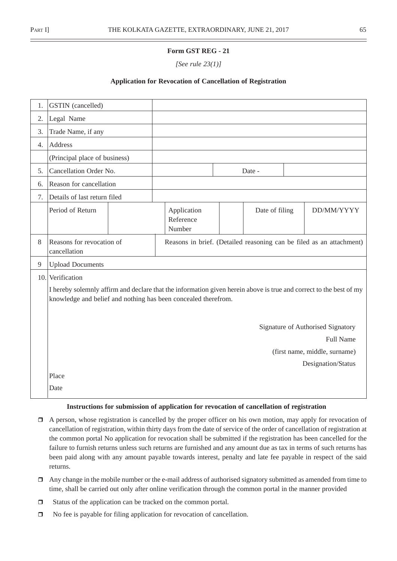*[See rule 23(1)]*

## **Application for Revocation of Cancellation of Registration**

| 1. | <b>GSTIN</b> (cancelled)                  |                                                                |                                                                                                                    |                                   |
|----|-------------------------------------------|----------------------------------------------------------------|--------------------------------------------------------------------------------------------------------------------|-----------------------------------|
| 2. | Legal Name                                |                                                                |                                                                                                                    |                                   |
| 3. | Trade Name, if any                        |                                                                |                                                                                                                    |                                   |
| 4. | Address                                   |                                                                |                                                                                                                    |                                   |
|    | (Principal place of business)             |                                                                |                                                                                                                    |                                   |
| 5. | Cancellation Order No.                    |                                                                | Date -                                                                                                             |                                   |
| 6. | Reason for cancellation                   |                                                                |                                                                                                                    |                                   |
| 7. | Details of last return filed              |                                                                |                                                                                                                    |                                   |
|    | Period of Return                          | Application<br>Reference<br>Number                             | Date of filing                                                                                                     | DD/MM/YYYY                        |
| 8  | Reasons for revocation of<br>cancellation |                                                                | Reasons in brief. (Detailed reasoning can be filed as an attachment)                                               |                                   |
| 9  | <b>Upload Documents</b>                   |                                                                |                                                                                                                    |                                   |
|    | 10. Verification                          |                                                                |                                                                                                                    |                                   |
|    |                                           | knowledge and belief and nothing has been concealed therefrom. | I hereby solemnly affirm and declare that the information given herein above is true and correct to the best of my |                                   |
|    |                                           |                                                                |                                                                                                                    | Signature of Authorised Signatory |
|    |                                           |                                                                |                                                                                                                    | <b>Full Name</b>                  |
|    |                                           |                                                                |                                                                                                                    | (first name, middle, surname)     |
|    |                                           |                                                                |                                                                                                                    | Designation/Status                |
|    | Place                                     |                                                                |                                                                                                                    |                                   |
|    | Date                                      |                                                                |                                                                                                                    |                                   |

### **Instructions for submission of application for revocation of cancellation of registration**

- A person, whose registration is cancelled by the proper officer on his own motion, may apply for revocation of cancellation of registration, within thirty days from the date of service of the order of cancellation of registration at the common portal No application for revocation shall be submitted if the registration has been cancelled for the failure to furnish returns unless such returns are furnished and any amount due as tax in terms of such returns has been paid along with any amount payable towards interest, penalty and late fee payable in respect of the said returns.
- Any change in the mobile number or the e-mail address of authorised signatory submitted as amended from time to time, shall be carried out only after online verification through the common portal in the manner provided
- □ Status of the application can be tracked on the common portal.
- □ No fee is payable for filing application for revocation of cancellation.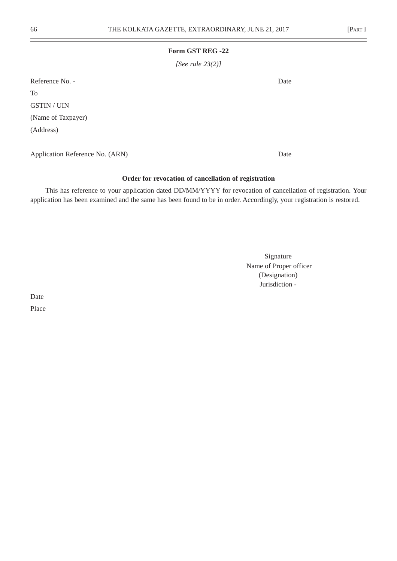*[See rule 23(2)]*

Reference No. - Date To

GSTIN / UIN (Name of Taxpayer) (Address)

Application Reference No. (ARN) Date

## **Order for revocation of cancellation of registration**

This has reference to your application dated DD/MM/YYYY for revocation of cancellation of registration. Your application has been examined and the same has been found to be in order. Accordingly, your registration is restored.

> Signature Name of Proper officer (Designation) Jurisdiction -

Date Place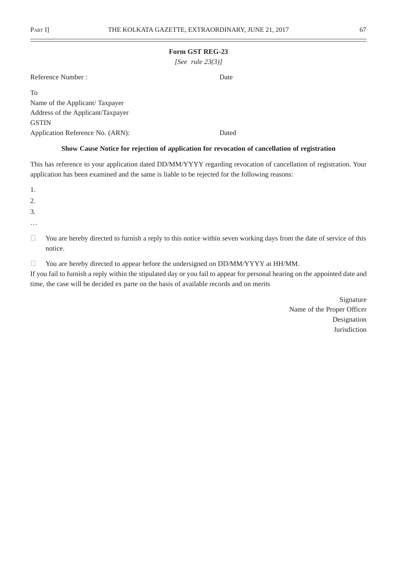*[See rule 23(3)]*

| Reference Number: | Date |
|-------------------|------|
|-------------------|------|

| To                                |       |
|-----------------------------------|-------|
| Name of the Applicant/Taxpayer    |       |
| Address of the Applicant/Taxpayer |       |
| <b>GSTIN</b>                      |       |
| Application Reference No. (ARN):  | Dated |

### **Show Cause Notice for rejection of application for revocation of cancellation of registration**

This has reference to your application dated DD/MM/YYYY regarding revocation of cancellation of registration. Your application has been examined and the same is liable to be rejected for the following reasons:

1.

2.

3.

…

- <sup>2</sup> You are hereby directed to furnish a reply to this notice within seven working days from the date of service of this notice.
- <sup>2</sup> You are hereby directed to appear before the undersigned on DD/MM/YYYY at HH/MM.

If you fail to furnish a reply within the stipulated day or you fail to appear for personal hearing on the appointed date and time, the case will be decided ex parte on the basis of available records and on merits

> Signature Name of the Proper Officer Designation Jurisdiction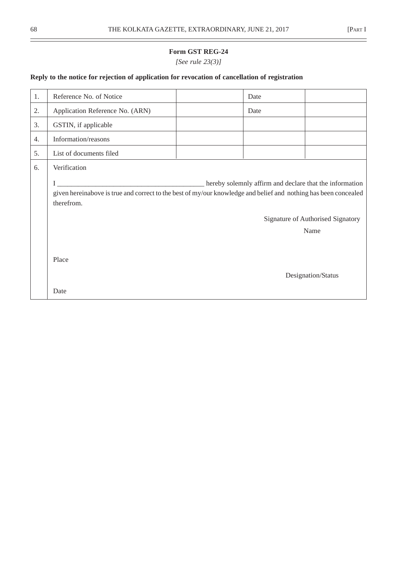*[See rule 23(3)]*

# **Reply to the notice for rejection of application for revocation of cancellation of registration**

| 1. | Reference No. of Notice                                                                                                                                                                                                               | Date |                    |  |  |  |  |
|----|---------------------------------------------------------------------------------------------------------------------------------------------------------------------------------------------------------------------------------------|------|--------------------|--|--|--|--|
| 2. | Application Reference No. (ARN)                                                                                                                                                                                                       | Date |                    |  |  |  |  |
| 3. | GSTIN, if applicable                                                                                                                                                                                                                  |      |                    |  |  |  |  |
| 4. | Information/reasons                                                                                                                                                                                                                   |      |                    |  |  |  |  |
| 5. | List of documents filed                                                                                                                                                                                                               |      |                    |  |  |  |  |
| 6. | Verification                                                                                                                                                                                                                          |      |                    |  |  |  |  |
|    | hereby solemnly affirm and declare that the information<br>given hereinabove is true and correct to the best of my/our knowledge and belief and nothing has been concealed<br>therefrom.<br>Signature of Authorised Signatory<br>Name |      |                    |  |  |  |  |
|    | Place                                                                                                                                                                                                                                 |      | Designation/Status |  |  |  |  |
|    | Date                                                                                                                                                                                                                                  |      |                    |  |  |  |  |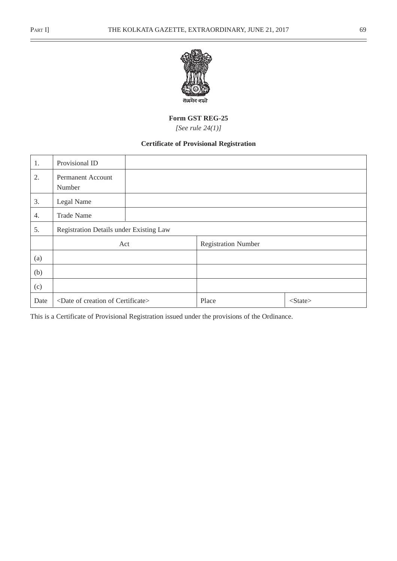$\overline{a}$ 



### **Form GST REG-25**

*[See rule 24(1)]*

# **Certificate of Provisional Registration**

| 1.   | Provisional ID                                 |                            |               |
|------|------------------------------------------------|----------------------------|---------------|
| 2.   | Permanent Account<br>Number                    |                            |               |
| 3.   | Legal Name                                     |                            |               |
| 4.   | <b>Trade Name</b>                              |                            |               |
| 5.   | Registration Details under Existing Law        |                            |               |
|      | Act                                            | <b>Registration Number</b> |               |
| (a)  |                                                |                            |               |
| (b)  |                                                |                            |               |
| (c)  |                                                |                            |               |
| Date | <date certificate="" creation="" of=""></date> | Place                      | $<$ State $>$ |

This is a Certificate of Provisional Registration issued under the provisions of the Ordinance.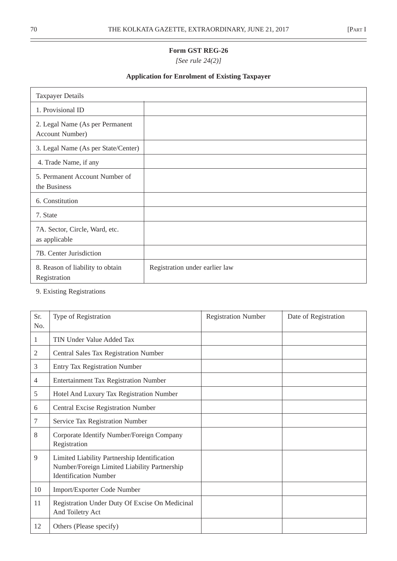*[See rule 24(2)]*

# **Application for Enrolment of Existing Taxpayer**

| <b>Taxpayer Details</b>                            |                                |
|----------------------------------------------------|--------------------------------|
| 1. Provisional ID                                  |                                |
| 2. Legal Name (As per Permanent<br>Account Number) |                                |
| 3. Legal Name (As per State/Center)                |                                |
| 4. Trade Name, if any                              |                                |
| 5. Permanent Account Number of<br>the Business     |                                |
| 6. Constitution                                    |                                |
| 7. State                                           |                                |
| 7A. Sector, Circle, Ward, etc.<br>as applicable    |                                |
| 7B. Center Jurisdiction                            |                                |
| 8. Reason of liability to obtain<br>Registration   | Registration under earlier law |

# 9. Existing Registrations

| Sr.<br>No.     | Type of Registration                                                                                                         | <b>Registration Number</b> | Date of Registration |
|----------------|------------------------------------------------------------------------------------------------------------------------------|----------------------------|----------------------|
| 1              | <b>TIN Under Value Added Tax</b>                                                                                             |                            |                      |
| 2              | Central Sales Tax Registration Number                                                                                        |                            |                      |
| 3              | <b>Entry Tax Registration Number</b>                                                                                         |                            |                      |
| $\overline{4}$ | <b>Entertainment Tax Registration Number</b>                                                                                 |                            |                      |
| 5              | Hotel And Luxury Tax Registration Number                                                                                     |                            |                      |
| 6              | Central Excise Registration Number                                                                                           |                            |                      |
| 7              | Service Tax Registration Number                                                                                              |                            |                      |
| 8              | Corporate Identify Number/Foreign Company<br>Registration                                                                    |                            |                      |
| 9              | Limited Liability Partnership Identification<br>Number/Foreign Limited Liability Partnership<br><b>Identification Number</b> |                            |                      |
| 10             | Import/Exporter Code Number                                                                                                  |                            |                      |
| 11             | Registration Under Duty Of Excise On Medicinal<br>And Toiletry Act                                                           |                            |                      |
| 12             | Others (Please specify)                                                                                                      |                            |                      |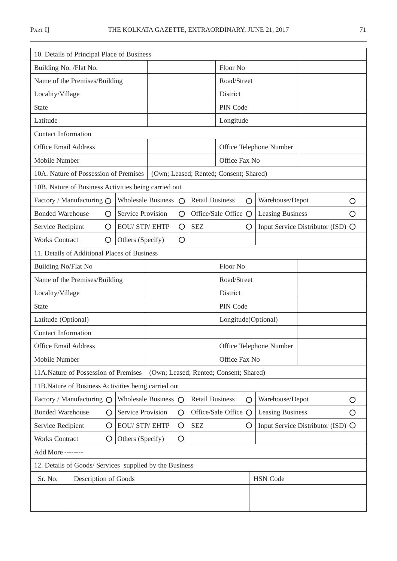$\equiv$ 

| 10. Details of Principal Place of Business              |         |                              |             |                 |                        |                                        |                         |                                   |                                   |    |
|---------------------------------------------------------|---------|------------------------------|-------------|-----------------|------------------------|----------------------------------------|-------------------------|-----------------------------------|-----------------------------------|----|
| Building No. /Flat No.                                  |         |                              |             |                 |                        | Floor No                               |                         |                                   |                                   |    |
| Name of the Premises/Building                           |         |                              |             |                 | Road/Street            |                                        |                         |                                   |                                   |    |
| Locality/Village                                        |         |                              |             |                 |                        | District                               |                         |                                   |                                   |    |
| <b>State</b>                                            |         |                              |             |                 |                        | PIN Code                               |                         |                                   |                                   |    |
| Latitude                                                |         |                              |             |                 |                        | Longitude                              |                         |                                   |                                   |    |
| <b>Contact Information</b>                              |         |                              |             |                 |                        |                                        |                         |                                   |                                   |    |
| <b>Office Email Address</b>                             |         |                              |             |                 |                        |                                        |                         | Office Telephone Number           |                                   |    |
| Mobile Number                                           |         |                              |             |                 |                        | Office Fax No                          |                         |                                   |                                   |    |
| 10A. Nature of Possession of Premises                   |         |                              |             |                 |                        | (Own; Leased; Rented; Consent; Shared) |                         |                                   |                                   |    |
| 10B. Nature of Business Activities being carried out    |         |                              |             |                 |                        |                                        |                         |                                   |                                   |    |
| Factory / Manufacturing O                               |         | <b>Wholesale Business</b>    |             | $\bigcirc$      | <b>Retail Business</b> | O                                      |                         | Warehouse/Depot                   |                                   | O  |
| <b>Bonded Warehouse</b>                                 | O       | <b>Service Provision</b>     |             | O               |                        | Office/Sale Office O                   |                         | <b>Leasing Business</b>           |                                   | O) |
| Service Recipient                                       | O       | <b>EOU/ STP/ EHTP</b>        |             | O               | <b>SEZ</b>             | O                                      |                         |                                   | Input Service Distributor (ISD) O |    |
| <b>Works Contract</b><br>O                              |         | Others (Specify)             |             | O               |                        |                                        |                         |                                   |                                   |    |
| 11. Details of Additional Places of Business            |         |                              |             |                 |                        |                                        |                         |                                   |                                   |    |
| Building No/Flat No                                     |         |                              | Floor No    |                 |                        |                                        |                         |                                   |                                   |    |
| Name of the Premises/Building                           |         |                              | Road/Street |                 |                        |                                        |                         |                                   |                                   |    |
| Locality/Village                                        |         |                              |             |                 | District               |                                        |                         |                                   |                                   |    |
| <b>State</b>                                            |         |                              | PIN Code    |                 |                        |                                        |                         |                                   |                                   |    |
| Latitude (Optional)                                     |         |                              |             |                 | Longitude(Optional)    |                                        |                         |                                   |                                   |    |
| <b>Contact Information</b>                              |         |                              |             |                 |                        |                                        |                         |                                   |                                   |    |
| <b>Office Email Address</b>                             |         |                              |             |                 |                        |                                        | Office Telephone Number |                                   |                                   |    |
| Mobile Number                                           |         |                              |             |                 |                        | Office Fax No                          |                         |                                   |                                   |    |
| 11A.Nature of Possession of Premises                    |         |                              |             |                 |                        | (Own; Leased; Rented; Consent; Shared) |                         |                                   |                                   |    |
| 11B.Nature of Business Activities being carried out     |         |                              |             |                 |                        |                                        |                         |                                   |                                   |    |
| Factory / Manufacturing O                               |         | Wholesale Business $\bigcap$ |             |                 | <b>Retail Business</b> | O                                      |                         | Warehouse/Depot                   |                                   | O  |
| <b>Bonded Warehouse</b>                                 | $\circ$ | Service Provision            |             | $\left(\right)$ |                        | Office/Sale Office O                   |                         | <b>Leasing Business</b>           |                                   | O  |
| Service Recipient                                       | O       | <b>EOU/ STP/ EHTP</b>        |             | O               | <b>SEZ</b>             | O                                      |                         | Input Service Distributor (ISD) O |                                   |    |
| <b>Works Contract</b>                                   | O       | Others (Specify)             |             | O               |                        |                                        |                         |                                   |                                   |    |
| Add More --------                                       |         |                              |             |                 |                        |                                        |                         |                                   |                                   |    |
| 12. Details of Goods/ Services supplied by the Business |         |                              |             |                 |                        |                                        |                         |                                   |                                   |    |
| Sr. No.<br>Description of Goods                         |         |                              |             |                 |                        |                                        |                         | <b>HSN</b> Code                   |                                   |    |
|                                                         |         |                              |             |                 |                        |                                        |                         |                                   |                                   |    |
|                                                         |         |                              |             |                 |                        |                                        |                         |                                   |                                   |    |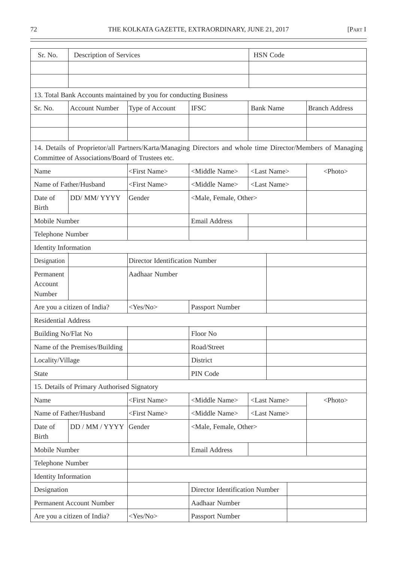| Sr. No.                                             | Description of Services                          |                                                                                                             |                                     |                       | <b>HSN</b> Code |                       |  |
|-----------------------------------------------------|--------------------------------------------------|-------------------------------------------------------------------------------------------------------------|-------------------------------------|-----------------------|-----------------|-----------------------|--|
|                                                     |                                                  |                                                                                                             |                                     |                       |                 |                       |  |
|                                                     |                                                  |                                                                                                             |                                     |                       |                 |                       |  |
|                                                     |                                                  | 13. Total Bank Accounts maintained by you for conducting Business                                           |                                     |                       |                 |                       |  |
| Sr. No.                                             | <b>Account Number</b>                            | Type of Account                                                                                             | <b>IFSC</b>                         | <b>Bank Name</b>      |                 | <b>Branch Address</b> |  |
|                                                     |                                                  |                                                                                                             |                                     |                       |                 |                       |  |
|                                                     |                                                  |                                                                                                             |                                     |                       |                 |                       |  |
|                                                     | Committee of Associations/Board of Trustees etc. | 14. Details of Proprietor/all Partners/Karta/Managing Directors and whole time Director/Members of Managing |                                     |                       |                 |                       |  |
| Name                                                |                                                  | <first name=""></first>                                                                                     | <middle name=""></middle>           | <last name=""></last> |                 | <photo></photo>       |  |
|                                                     | Name of Father/Husband                           | <first name=""></first>                                                                                     | <middle name=""></middle>           | <last name=""></last> |                 |                       |  |
| Date of<br><b>Birth</b>                             | DD/ MM/ YYYY                                     | Gender                                                                                                      | <male, female,="" other=""></male,> |                       |                 |                       |  |
| Mobile Number                                       |                                                  |                                                                                                             | <b>Email Address</b>                |                       |                 |                       |  |
| Telephone Number                                    |                                                  |                                                                                                             |                                     |                       |                 |                       |  |
| <b>Identity Information</b>                         |                                                  |                                                                                                             |                                     |                       |                 |                       |  |
| Designation                                         |                                                  | <b>Director Identification Number</b>                                                                       |                                     |                       |                 |                       |  |
| Permanent<br>Account<br>Number                      |                                                  | Aadhaar Number                                                                                              |                                     |                       |                 |                       |  |
|                                                     | Are you a citizen of India?                      | $<$ Yes/No>                                                                                                 | Passport Number                     |                       |                 |                       |  |
| <b>Residential Address</b>                          |                                                  |                                                                                                             |                                     |                       |                 |                       |  |
| Building No/Flat No                                 |                                                  |                                                                                                             | Floor No                            |                       |                 |                       |  |
|                                                     | Name of the Premises/Building                    |                                                                                                             | Road/Street                         |                       |                 |                       |  |
| Locality/Village                                    |                                                  |                                                                                                             | District                            |                       |                 |                       |  |
| <b>State</b>                                        |                                                  |                                                                                                             | PIN Code                            |                       |                 |                       |  |
|                                                     | 15. Details of Primary Authorised Signatory      |                                                                                                             |                                     |                       |                 |                       |  |
| Name                                                |                                                  | <first name=""></first>                                                                                     | <middle name=""></middle>           | <last name=""></last> |                 | $<$ Photo $>$         |  |
|                                                     | Name of Father/Husband                           | <first name=""></first>                                                                                     | <middle name=""></middle>           | <last name=""></last> |                 |                       |  |
| Date of<br>DD / MM / YYYY<br>Gender<br><b>Birth</b> |                                                  | <male, female,="" other=""></male,>                                                                         |                                     |                       |                 |                       |  |
| Mobile Number                                       |                                                  |                                                                                                             | <b>Email Address</b>                |                       |                 |                       |  |
| Telephone Number                                    |                                                  |                                                                                                             |                                     |                       |                 |                       |  |
| <b>Identity Information</b>                         |                                                  |                                                                                                             |                                     |                       |                 |                       |  |
| Designation                                         |                                                  |                                                                                                             | Director Identification Number      |                       |                 |                       |  |
|                                                     | Permanent Account Number                         |                                                                                                             | Aadhaar Number                      |                       |                 |                       |  |
| Are you a citizen of India?                         |                                                  | $<$ Yes/No>                                                                                                 | Passport Number                     |                       |                 |                       |  |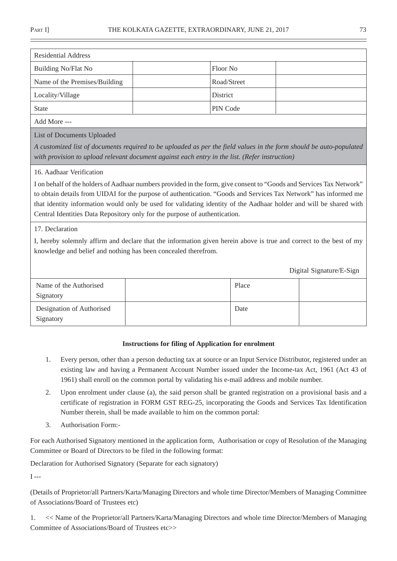| <b>Residential Address</b>    |                 |
|-------------------------------|-----------------|
| Building No/Flat No           | 'Floor No       |
| Name of the Premises/Building | Road/Street     |
| Locality/Village              | <b>District</b> |
| <b>State</b>                  | PIN Code        |
|                               |                 |

Add More ---

List of Documents Uploaded

*A customized list of documents required to be uploaded as per the field values in the form should be auto-populated with provision to upload relevant document against each entry in the list. (Refer instruction)*

### 16. Aadhaar Verification

I on behalf of the holders of Aadhaar numbers provided in the form, give consent to "Goods and Services Tax Network" to obtain details from UIDAI for the purpose of authentication. "Goods and Services Tax Network" has informed me that identity information would only be used for validating identity of the Aadhaar holder and will be shared with Central Identities Data Repository only for the purpose of authentication.

### 17. Declaration

I, hereby solemnly affirm and declare that the information given herein above is true and correct to the best of my knowledge and belief and nothing has been concealed therefrom.

Digital Signature/E-Sign

| Name of the Authorised<br>Signatory    | Place |  |
|----------------------------------------|-------|--|
| Designation of Authorised<br>Signatory | Date  |  |

### **Instructions for filing of Application for enrolment**

- 1. Every person, other than a person deducting tax at source or an Input Service Distributor, registered under an existing law and having a Permanent Account Number issued under the Income-tax Act, 1961 (Act 43 of 1961) shall enroll on the common portal by validating his e-mail address and mobile number.
- 2. Upon enrolment under clause (a), the said person shall be granted registration on a provisional basis and a certificate of registration in FORM GST REG-25, incorporating the Goods and Services Tax Identification Number therein, shall be made available to him on the common portal:
- 3. Authorisation Form:-

For each Authorised Signatory mentioned in the application form, Authorisation or copy of Resolution of the Managing Committee or Board of Directors to be filed in the following format:

Declaration for Authorised Signatory (Separate for each signatory)

 $I - -$ 

(Details of Proprietor/all Partners/Karta/Managing Directors and whole time Director/Members of Managing Committee of Associations/Board of Trustees etc)

1. << Name of the Proprietor/all Partners/Karta/Managing Directors and whole time Director/Members of Managing Committee of Associations/Board of Trustees etc>>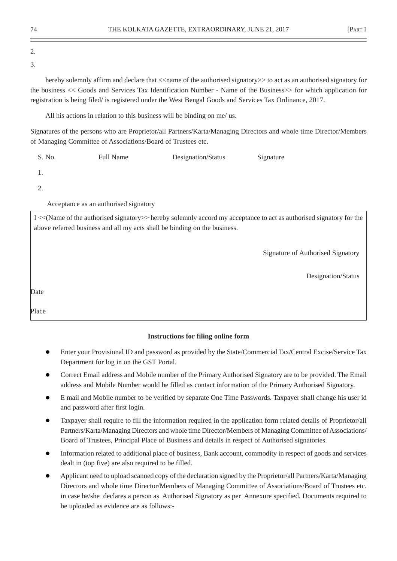# 2.

3.

hereby solemnly affirm and declare that  $\le$  name of the authorised signatory $\ge$  to act as an authorised signatory for the business << Goods and Services Tax Identification Number - Name of the Business>> for which application for registration is being filed/ is registered under the West Bengal Goods and Services Tax Ordinance, 2017.

All his actions in relation to this business will be binding on me/ us.

Signatures of the persons who are Proprietor/all Partners/Karta/Managing Directors and whole time Director/Members of Managing Committee of Associations/Board of Trustees etc.

| S. No. | <b>Full Name</b> | Designation/Status | Signature |
|--------|------------------|--------------------|-----------|
|        |                  |                    |           |

1.

2.

Acceptance as an authorised signatory

I <<(Name of the authorised signatory>> hereby solemnly accord my acceptance to act as authorised signatory for the above referred business and all my acts shall be binding on the business.

Signature of Authorised Signatory

Designation/Status

Date

Place

## **Instructions for filing online form**

- Enter your Provisional ID and password as provided by the State/Commercial Tax/Central Excise/Service Tax Department for log in on the GST Portal.
- Correct Email address and Mobile number of the Primary Authorised Signatory are to be provided. The Email address and Mobile Number would be filled as contact information of the Primary Authorised Signatory.
- E mail and Mobile number to be verified by separate One Time Passwords. Taxpayer shall change his user id and password after first login.
- Taxpayer shall require to fill the information required in the application form related details of Proprietor/all Partners/Karta/Managing Directors and whole time Director/Members of Managing Committee of Associations/ Board of Trustees, Principal Place of Business and details in respect of Authorised signatories.
- Information related to additional place of business, Bank account, commodity in respect of goods and services dealt in (top five) are also required to be filled.
- Applicant need to upload scanned copy of the declaration signed by the Proprietor/all Partners/Karta/Managing Directors and whole time Director/Members of Managing Committee of Associations/Board of Trustees etc. in case he/she declares a person as Authorised Signatory as per Annexure specified. Documents required to be uploaded as evidence are as follows:-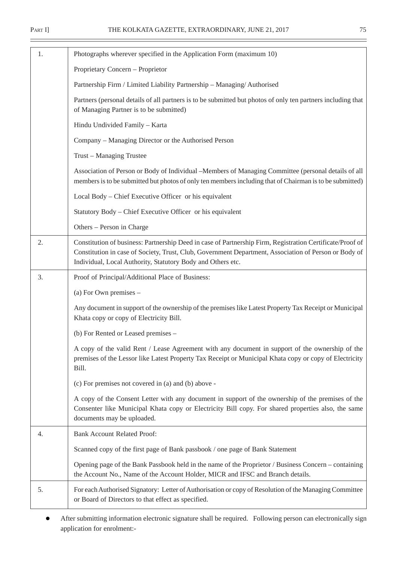$\overline{\phantom{0}}$ 

| 1. | Photographs wherever specified in the Application Form (maximum 10)                                                                                                                                                                                                               |  |
|----|-----------------------------------------------------------------------------------------------------------------------------------------------------------------------------------------------------------------------------------------------------------------------------------|--|
|    | Proprietary Concern - Proprietor                                                                                                                                                                                                                                                  |  |
|    | Partnership Firm / Limited Liability Partnership - Managing/Authorised                                                                                                                                                                                                            |  |
|    | Partners (personal details of all partners is to be submitted but photos of only ten partners including that<br>of Managing Partner is to be submitted)                                                                                                                           |  |
|    | Hindu Undivided Family - Karta                                                                                                                                                                                                                                                    |  |
|    | Company – Managing Director or the Authorised Person                                                                                                                                                                                                                              |  |
|    | Trust - Managing Trustee                                                                                                                                                                                                                                                          |  |
|    | Association of Person or Body of Individual – Members of Managing Committee (personal details of all<br>members is to be submitted but photos of only ten members including that of Chairman is to be submitted)                                                                  |  |
|    | Local Body – Chief Executive Officer or his equivalent                                                                                                                                                                                                                            |  |
|    | Statutory Body - Chief Executive Officer or his equivalent                                                                                                                                                                                                                        |  |
|    | Others - Person in Charge                                                                                                                                                                                                                                                         |  |
| 2. | Constitution of business: Partnership Deed in case of Partnership Firm, Registration Certificate/Proof of<br>Constitution in case of Society, Trust, Club, Government Department, Association of Person or Body of<br>Individual, Local Authority, Statutory Body and Others etc. |  |
| 3. | Proof of Principal/Additional Place of Business:                                                                                                                                                                                                                                  |  |
|    | (a) For Own premises $-$                                                                                                                                                                                                                                                          |  |
|    | Any document in support of the ownership of the premises like Latest Property Tax Receipt or Municipal<br>Khata copy or copy of Electricity Bill.                                                                                                                                 |  |
|    | (b) For Rented or Leased premises -                                                                                                                                                                                                                                               |  |
|    | A copy of the valid Rent / Lease Agreement with any document in support of the ownership of the<br>premises of the Lessor like Latest Property Tax Receipt or Municipal Khata copy or copy of Electricity<br>Bill.                                                                |  |
|    | (c) For premises not covered in (a) and (b) above -                                                                                                                                                                                                                               |  |
|    | A copy of the Consent Letter with any document in support of the ownership of the premises of the<br>Consenter like Municipal Khata copy or Electricity Bill copy. For shared properties also, the same<br>documents may be uploaded.                                             |  |
| 4. | <b>Bank Account Related Proof:</b>                                                                                                                                                                                                                                                |  |
|    | Scanned copy of the first page of Bank passbook / one page of Bank Statement                                                                                                                                                                                                      |  |
|    | Opening page of the Bank Passbook held in the name of the Proprietor / Business Concern – containing<br>the Account No., Name of the Account Holder, MICR and IFSC and Branch details.                                                                                            |  |
| 5. | For each Authorised Signatory: Letter of Authorisation or copy of Resolution of the Managing Committee<br>or Board of Directors to that effect as specified.                                                                                                                      |  |
|    |                                                                                                                                                                                                                                                                                   |  |

 After submitting information electronic signature shall be required. Following person can electronically sign application for enrolment:-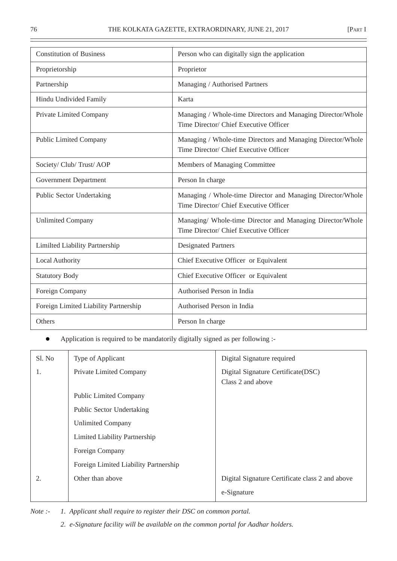| <b>Constitution of Business</b>       | Person who can digitally sign the application                                                         |
|---------------------------------------|-------------------------------------------------------------------------------------------------------|
| Proprietorship                        | Proprietor                                                                                            |
| Partnership                           | Managing / Authorised Partners                                                                        |
| Hindu Undivided Family                | Karta                                                                                                 |
| Private Limited Company               | Managing / Whole-time Directors and Managing Director/Whole<br>Time Director/ Chief Executive Officer |
| <b>Public Limited Company</b>         | Managing / Whole-time Directors and Managing Director/Whole<br>Time Director/ Chief Executive Officer |
| Society/ Club/ Trust/ AOP             | Members of Managing Committee                                                                         |
| <b>Government Department</b>          | Person In charge                                                                                      |
| <b>Public Sector Undertaking</b>      | Managing / Whole-time Director and Managing Director/Whole<br>Time Director/ Chief Executive Officer  |
| <b>Unlimited Company</b>              | Managing/ Whole-time Director and Managing Director/Whole<br>Time Director/ Chief Executive Officer   |
| Limilted Liability Partnership        | <b>Designated Partners</b>                                                                            |
| Local Authority                       | Chief Executive Officer or Equivalent                                                                 |
| <b>Statutory Body</b>                 | Chief Executive Officer or Equivalent                                                                 |
| Foreign Company                       | Authorised Person in India                                                                            |
| Foreign Limited Liability Partnership | Authorised Person in India                                                                            |
| <b>Others</b>                         | Person In charge                                                                                      |

Application is required to be mandatorily digitally signed as per following :-

| Sl. No | Type of Applicant                     | Digital Signature required                               |
|--------|---------------------------------------|----------------------------------------------------------|
| 1.     | Private Limited Company               | Digital Signature Certificate (DSC)<br>Class 2 and above |
|        | <b>Public Limited Company</b>         |                                                          |
|        | Public Sector Undertaking             |                                                          |
|        | <b>Unlimited Company</b>              |                                                          |
|        | Limited Liability Partnership         |                                                          |
|        | Foreign Company                       |                                                          |
|        | Foreign Limited Liability Partnership |                                                          |
|        | Other than above                      | Digital Signature Certificate class 2 and above          |
|        |                                       | e-Signature                                              |

*Note :- 1. Applicant shall require to register their DSC on common portal.*

*2. e-Signature facility will be available on the common portal for Aadhar holders.*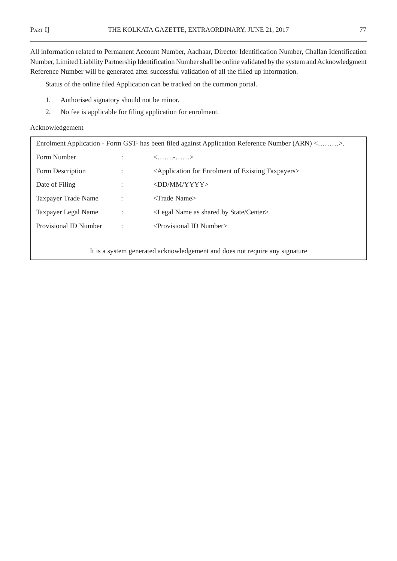$\overline{\phantom{0}}$ 

All information related to Permanent Account Number, Aadhaar, Director Identification Number, Challan Identification Number, Limited Liability Partnership Identification Number shall be online validated by the system and Acknowledgment Reference Number will be generated after successful validation of all the filled up information.

Status of the online filed Application can be tracked on the common portal.

- 1. Authorised signatory should not be minor.
- 2. No fee is applicable for filing application for enrolment.

### Acknowledgement

| Enrolment Application - Form GST- has been filed against Application Reference Number (ARN) <>. |  |                                                                                |
|-------------------------------------------------------------------------------------------------|--|--------------------------------------------------------------------------------|
| Form Number                                                                                     |  | $\langle$ ->                                                                   |
| Form Description                                                                                |  | <application enrolment="" existing="" for="" of="" taxpayers=""></application> |
| Date of Filing                                                                                  |  | <dd mm="" yyyy=""></dd>                                                        |
| Taxpayer Trade Name                                                                             |  | $\langle$ Trade Name $\rangle$                                                 |
| Taxpayer Legal Name                                                                             |  | <legal as="" by="" center="" name="" shared="" state=""></legal>               |
| Provisional ID Number                                                                           |  | $\le$ Provisional ID Number $>$                                                |
|                                                                                                 |  |                                                                                |

It is a system generated acknowledgement and does not require any signature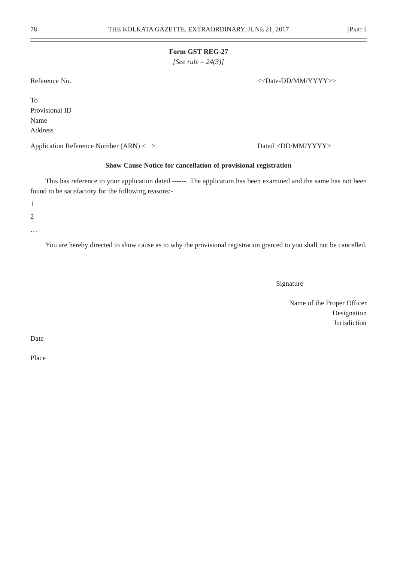*[See rule – 24(3)]*

Reference No.  $\langle$ Date-DD/MM/YYYY>>

To Provisional ID Name Address

Application Reference Number (ARN) < > Dated <DD/MM/YYYY>

### **Show Cause Notice for cancellation of provisional registration**

This has reference to your application dated ------. The application has been examined and the same has not been found to be satisfactory for the following reasons:-

1

2

…

You are hereby directed to show cause as to why the provisional registration granted to you shall not be cancelled.

Signature

Name of the Proper Officer Designation Jurisdiction

Date

Place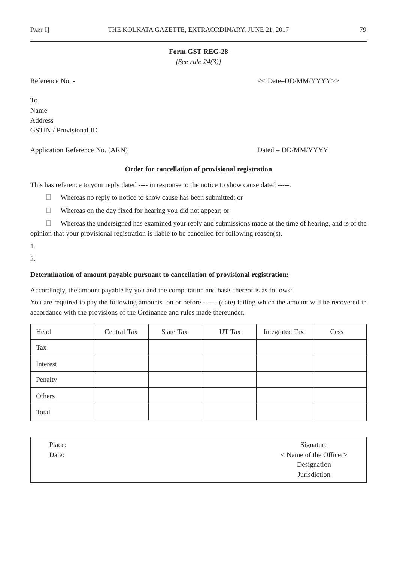*[See rule 24(3)]*

Reference No. -  $\langle \rangle$  and  $\langle \rangle$  and  $\langle \rangle$  and  $\langle \rangle$  and  $\langle \rangle$  and  $\langle \rangle$  and  $\langle \rangle$  and  $\langle \rangle$  and  $\langle \rangle$  and  $\langle \rangle$  and  $\langle \rangle$  and  $\langle \rangle$  and  $\langle \rangle$  and  $\langle \rangle$  and  $\langle \rangle$  and  $\langle \rangle$  and  $\langle \rangle$  and  $\langle \rangle$  and  $\langle \rangle$  a

To Name Address GSTIN / Provisional ID

Application Reference No. (ARN) Dated – DD/MM/YYYY

## **Order for cancellation of provisional registration**

This has reference to your reply dated ---- in response to the notice to show cause dated -----.

- <sup>2</sup> Whereas no reply to notice to show cause has been submitted; or
- <sup>2</sup> Whereas on the day fixed for hearing you did not appear; or

<sup>2</sup> Whereas the undersigned has examined your reply and submissions made at the time of hearing, and is of the opinion that your provisional registration is liable to be cancelled for following reason(s).

1.

2.

### **Determination of amount payable pursuant to cancellation of provisional registration:**

Accordingly, the amount payable by you and the computation and basis thereof is as follows:

You are required to pay the following amounts on or before ------ (date) failing which the amount will be recovered in accordance with the provisions of the Ordinance and rules made thereunder.

| Head     | Central Tax | <b>State Tax</b> | UT Tax | <b>Integrated Tax</b> | Cess |
|----------|-------------|------------------|--------|-----------------------|------|
| Tax      |             |                  |        |                       |      |
| Interest |             |                  |        |                       |      |
| Penalty  |             |                  |        |                       |      |
| Others   |             |                  |        |                       |      |
| Total    |             |                  |        |                       |      |

| Place: | Signature                     |
|--------|-------------------------------|
| Date:  | $\langle$ Name of the Officer |
|        | Designation                   |
|        | Jurisdiction                  |
|        |                               |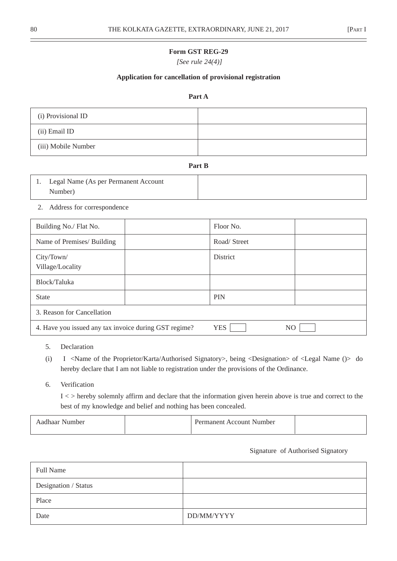*[See rule 24(4)]*

### **Application for cancellation of provisional registration**

### **Part A**

| (i) Provisional ID  |  |
|---------------------|--|
| (ii) Email ID       |  |
| (iii) Mobile Number |  |

**Part B**

| Legal Name (As per Permanent Account |  |
|--------------------------------------|--|
| Number)                              |  |

2. Address for correspondence

| Building No./ Flat No.                                | Floor No.                    |
|-------------------------------------------------------|------------------------------|
| Name of Premises/ Building                            | Road/Street                  |
| City/Town/<br>Village/Locality                        | <b>District</b>              |
| Block/Taluka                                          |                              |
| <b>State</b>                                          | <b>PIN</b>                   |
| 3. Reason for Cancellation                            |                              |
| 4. Have you issued any tax invoice during GST regime? | <b>YES</b><br>N <sub>O</sub> |

- 5. Declaration
- (i) I <Name of the Proprietor/Karta/Authorised Signatory>, being <Designation> of <Legal Name ()> do hereby declare that I am not liable to registration under the provisions of the Ordinance.
- 6. Verification

I < > hereby solemnly affirm and declare that the information given herein above is true and correct to the best of my knowledge and belief and nothing has been concealed.

| Aadhaar<br>Number | Permanent Account Number |  |
|-------------------|--------------------------|--|
|                   |                          |  |

#### Signature of Authorised Signatory

| <b>Full Name</b>     |            |
|----------------------|------------|
| Designation / Status |            |
| Place                |            |
| Date                 | DD/MM/YYYY |